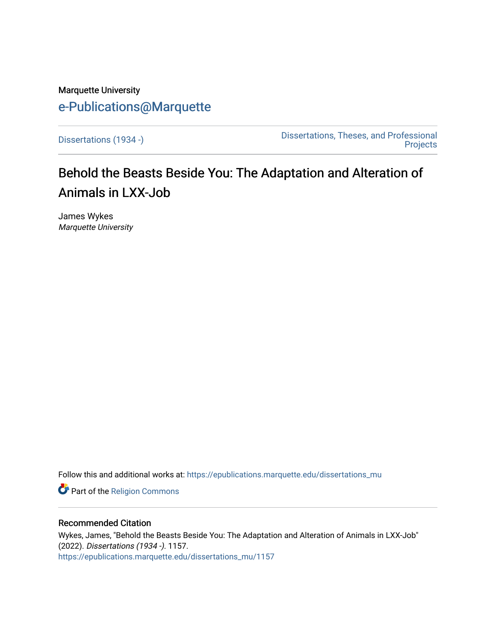## Marquette University [e-Publications@Marquette](https://epublications.marquette.edu/)

[Dissertations \(1934 -\)](https://epublications.marquette.edu/dissertations_mu) [Dissertations, Theses, and Professional](https://epublications.marquette.edu/diss_theses)  **Projects** 

# Behold the Beasts Beside You: The Adaptation and Alteration of Animals in LXX-Job

James Wykes Marquette University

Follow this and additional works at: [https://epublications.marquette.edu/dissertations\\_mu](https://epublications.marquette.edu/dissertations_mu?utm_source=epublications.marquette.edu%2Fdissertations_mu%2F1157&utm_medium=PDF&utm_campaign=PDFCoverPages)

Part of the [Religion Commons](http://network.bepress.com/hgg/discipline/538?utm_source=epublications.marquette.edu%2Fdissertations_mu%2F1157&utm_medium=PDF&utm_campaign=PDFCoverPages)

#### Recommended Citation

Wykes, James, "Behold the Beasts Beside You: The Adaptation and Alteration of Animals in LXX-Job" (2022). Dissertations (1934 -). 1157. [https://epublications.marquette.edu/dissertations\\_mu/1157](https://epublications.marquette.edu/dissertations_mu/1157?utm_source=epublications.marquette.edu%2Fdissertations_mu%2F1157&utm_medium=PDF&utm_campaign=PDFCoverPages)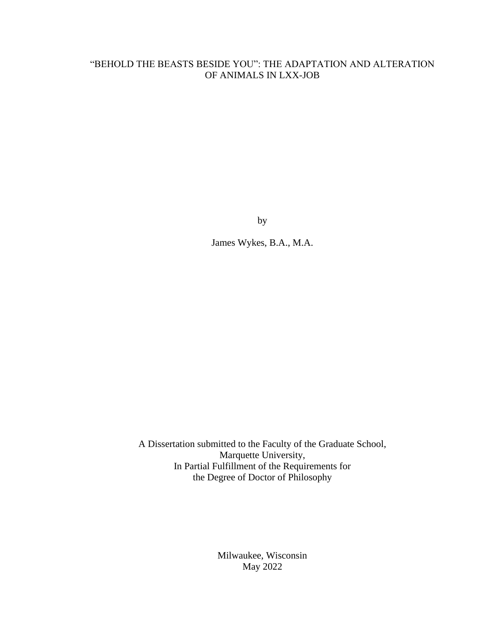### "BEHOLD THE BEASTS BESIDE YOU": THE ADAPTATION AND ALTERATION OF ANIMALS IN LXX-JOB

by

James Wykes, B.A., M.A.

A Dissertation submitted to the Faculty of the Graduate School, Marquette University, In Partial Fulfillment of the Requirements for the Degree of Doctor of Philosophy

> Milwaukee, Wisconsin May 2022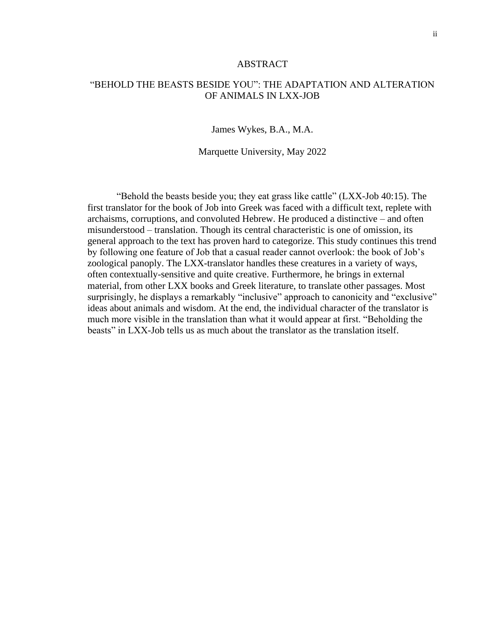#### ABSTRACT

#### "BEHOLD THE BEASTS BESIDE YOU": THE ADAPTATION AND ALTERATION OF ANIMALS IN LXX-JOB

James Wykes, B.A., M.A.

Marquette University, May 2022

"Behold the beasts beside you; they eat grass like cattle" (LXX-Job 40:15). The first translator for the book of Job into Greek was faced with a difficult text, replete with archaisms, corruptions, and convoluted Hebrew. He produced a distinctive – and often misunderstood – translation. Though its central characteristic is one of omission, its general approach to the text has proven hard to categorize. This study continues this trend by following one feature of Job that a casual reader cannot overlook: the book of Job's zoological panoply. The LXX-translator handles these creatures in a variety of ways, often contextually-sensitive and quite creative. Furthermore, he brings in external material, from other LXX books and Greek literature, to translate other passages. Most surprisingly, he displays a remarkably "inclusive" approach to canonicity and "exclusive" ideas about animals and wisdom. At the end, the individual character of the translator is much more visible in the translation than what it would appear at first. "Beholding the beasts" in LXX-Job tells us as much about the translator as the translation itself.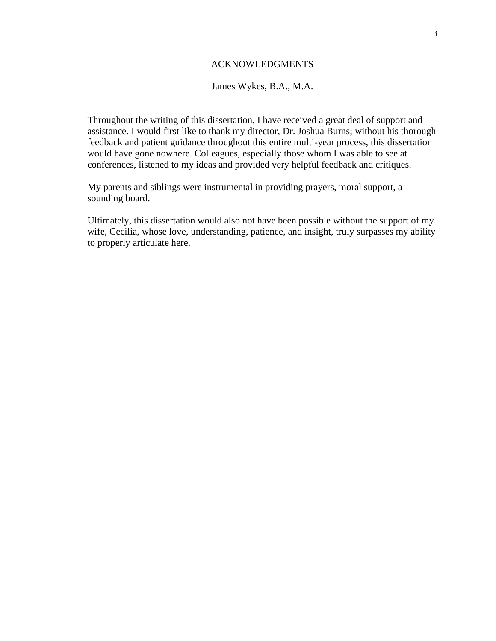#### ACKNOWLEDGMENTS

James Wykes, B.A., M.A.

Throughout the writing of this dissertation, I have received a great deal of support and assistance. I would first like to thank my director, Dr. Joshua Burns; without his thorough feedback and patient guidance throughout this entire multi-year process, this dissertation would have gone nowhere. Colleagues, especially those whom I was able to see at conferences, listened to my ideas and provided very helpful feedback and critiques.

My parents and siblings were instrumental in providing prayers, moral support, a sounding board.

Ultimately, this dissertation would also not have been possible without the support of my wife, Cecilia, whose love, understanding, patience, and insight, truly surpasses my ability to properly articulate here.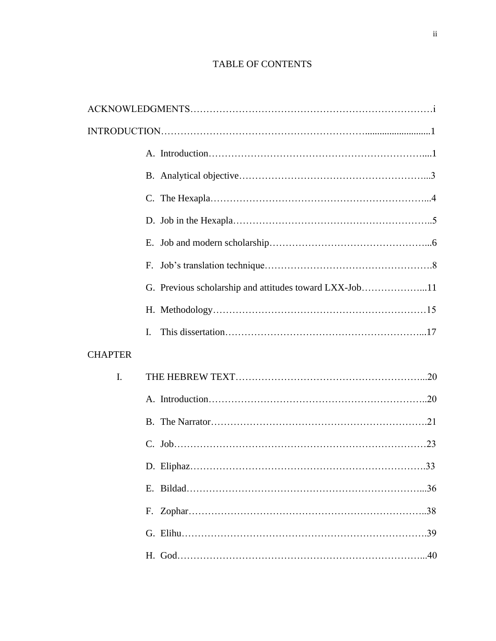## TABLE OF CONTENTS

|                | F.                                                     |
|----------------|--------------------------------------------------------|
|                | G. Previous scholarship and attitudes toward LXX-Job11 |
|                |                                                        |
|                | $\mathbf{I}$                                           |
| <b>CHAPTER</b> |                                                        |
| I.             |                                                        |
|                |                                                        |
|                |                                                        |
|                |                                                        |
|                | 33                                                     |
|                |                                                        |
|                |                                                        |
|                |                                                        |
|                |                                                        |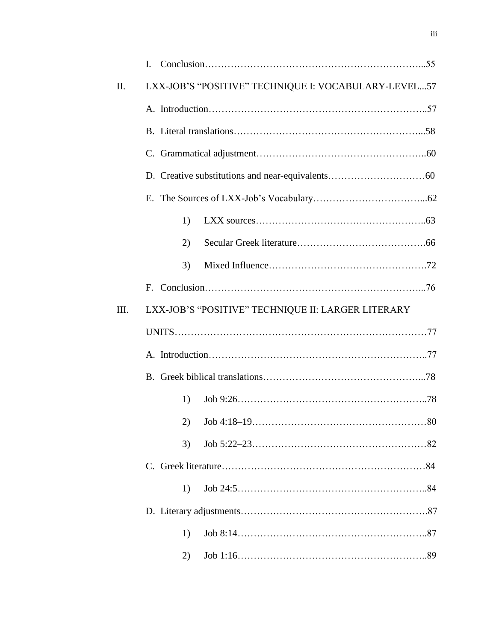| II.  | LXX-JOB'S "POSITIVE" TECHNIQUE I: VOCABULARY-LEVEL57 |  |
|------|------------------------------------------------------|--|
|      |                                                      |  |
|      |                                                      |  |
|      |                                                      |  |
|      |                                                      |  |
|      |                                                      |  |
|      | 1)                                                   |  |
|      | (2)                                                  |  |
|      | 3)                                                   |  |
|      |                                                      |  |
| III. | LXX-JOB'S "POSITIVE" TECHNIQUE II: LARGER LITERARY   |  |
|      |                                                      |  |
|      |                                                      |  |
|      |                                                      |  |
|      | 1)                                                   |  |
|      |                                                      |  |
|      | 3)                                                   |  |
|      |                                                      |  |
|      |                                                      |  |
|      | 1)                                                   |  |
|      |                                                      |  |
|      | 1)                                                   |  |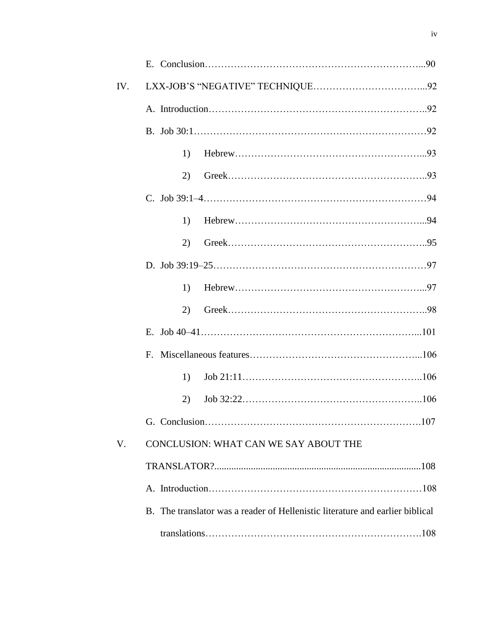| IV. |                                                                               |  |
|-----|-------------------------------------------------------------------------------|--|
|     |                                                                               |  |
|     |                                                                               |  |
|     | 1)                                                                            |  |
|     | 2)                                                                            |  |
|     |                                                                               |  |
|     | 1)                                                                            |  |
|     | 2)                                                                            |  |
|     |                                                                               |  |
|     | 1)                                                                            |  |
|     | 2)                                                                            |  |
|     |                                                                               |  |
|     |                                                                               |  |
|     | 1)                                                                            |  |
|     | 2)                                                                            |  |
|     |                                                                               |  |
| V.  | CONCLUSION: WHAT CAN WE SAY ABOUT THE                                         |  |
|     |                                                                               |  |
|     |                                                                               |  |
|     | B. The translator was a reader of Hellenistic literature and earlier biblical |  |
|     |                                                                               |  |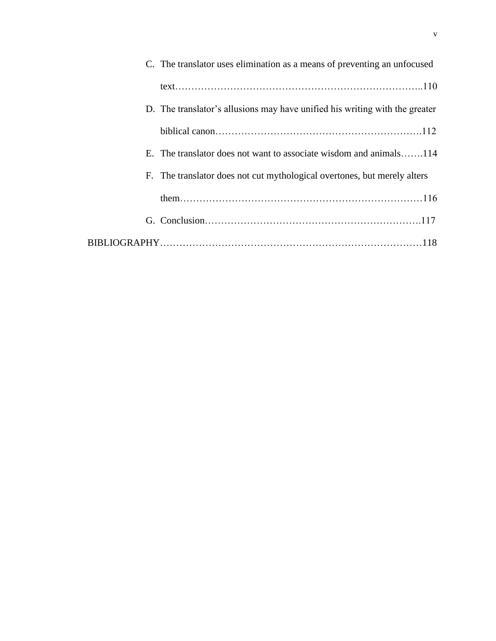| C. The translator uses elimination as a means of preventing an unfocused    |
|-----------------------------------------------------------------------------|
|                                                                             |
| D. The translator's allusions may have unified his writing with the greater |
|                                                                             |
| E. The translator does not want to associate wisdom and animals114          |
| F. The translator does not cut mythological overtones, but merely alters    |
|                                                                             |
|                                                                             |
|                                                                             |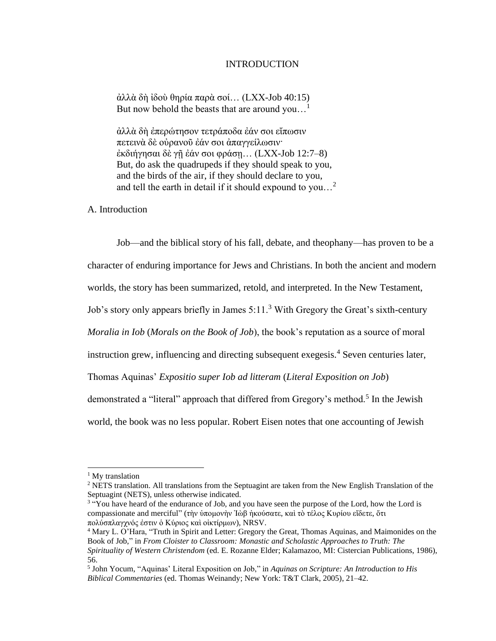#### INTRODUCTION

ἀλλὰ δὴ ἰδοὺ θηρία παρὰ σοί… (LXX-Job 40:15) But now behold the beasts that are around you...<sup>1</sup>

ἀλλὰ δὴ ἐπερώτησον τετράποδα ἐάν σοι εἴπωσιν πετεινὰ δὲ οὐρανοῦ ἐάν σοι ἀπαγγείλωσιν· ἐκδιήγησαι δὲ γῇ ἐάν σοι φράσῃ… (LXX-Job 12:7–8) But, do ask the quadrupeds if they should speak to you, and the birds of the air, if they should declare to you, and tell the earth in detail if it should expound to you…<sup>2</sup>

A. Introduction

Job—and the biblical story of his fall, debate, and theophany—has proven to be a character of enduring importance for Jews and Christians. In both the ancient and modern

worlds, the story has been summarized, retold, and interpreted. In the New Testament,

Job's story only appears briefly in James  $5:11.^3$  With Gregory the Great's sixth-century

*Moralia in Iob* (*Morals on the Book of Job*), the book's reputation as a source of moral

instruction grew, influencing and directing subsequent exegesis.<sup>4</sup> Seven centuries later,

Thomas Aquinas' *Expositio super Iob ad litteram* (*Literal Exposition on Job*)

demonstrated a "literal" approach that differed from Gregory's method.<sup>5</sup> In the Jewish

world, the book was no less popular. Robert Eisen notes that one accounting of Jewish

<sup>&</sup>lt;sup>1</sup> My translation

<sup>&</sup>lt;sup>2</sup> NETS translation. All translations from the Septuagint are taken from the New English Translation of the Septuagint (NETS), unless otherwise indicated.

<sup>&</sup>lt;sup>3</sup> "You have heard of the endurance of Job, and you have seen the purpose of the Lord, how the Lord is compassionate and merciful" (τὴν ὑπομονὴν Ἰὼβ ἠκούσατε, καὶ τὸ τέλος Κυρίου εἴδετε, ὅτι πολύσπλαγχνός ἐστιν ὁ Κύριος καὶ οἰκτίρμων), NRSV.

<sup>4</sup> Mary L. O'Hara, "Truth in Spirit and Letter: Gregory the Great, Thomas Aquinas, and Maimonides on the Book of Job," in *From Cloister to Classroom: Monastic and Scholastic Approaches to Truth: The Spirituality of Western Christendom* (ed. E. Rozanne Elder; Kalamazoo, MI: Cistercian Publications, 1986), 56.

<sup>5</sup> John Yocum, "Aquinas' Literal Exposition on Job," in *Aquinas on Scripture: An Introduction to His Biblical Commentaries* (ed. Thomas Weinandy; New York: T&T Clark, 2005), 21–42.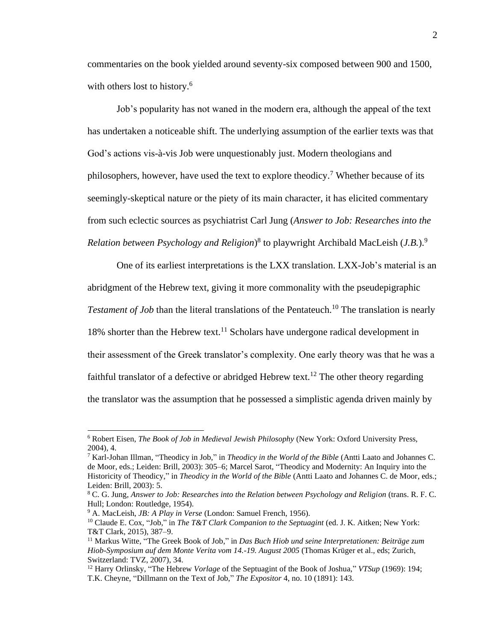commentaries on the book yielded around seventy-six composed between 900 and 1500, with others lost to history.<sup>6</sup>

Job's popularity has not waned in the modern era, although the appeal of the text has undertaken a noticeable shift. The underlying assumption of the earlier texts was that God's actions vis-à-vis Job were unquestionably just. Modern theologians and philosophers, however, have used the text to explore theodicy.<sup>7</sup> Whether because of its seemingly-skeptical nature or the piety of its main character, it has elicited commentary from such eclectic sources as psychiatrist Carl Jung (*Answer to Job: Researches into the*  Relation between Psychology and Religion)<sup>8</sup> to playwright Archibald MacLeish (*J.B.*).<sup>9</sup>

One of its earliest interpretations is the LXX translation. LXX-Job's material is an abridgment of the Hebrew text, giving it more commonality with the pseudepigraphic *Testament of Job* than the literal translations of the Pentateuch.<sup>10</sup> The translation is nearly 18% shorter than the Hebrew text.<sup>11</sup> Scholars have undergone radical development in their assessment of the Greek translator's complexity. One early theory was that he was a faithful translator of a defective or abridged Hebrew text.<sup>12</sup> The other theory regarding the translator was the assumption that he possessed a simplistic agenda driven mainly by

<sup>6</sup> Robert Eisen, *The Book of Job in Medieval Jewish Philosophy* (New York: Oxford University Press, 2004), 4.

<sup>7</sup> Karl-Johan Illman, "Theodicy in Job," in *Theodicy in the World of the Bible* (Antti Laato and Johannes C. de Moor, eds.; Leiden: Brill, 2003): 305–6; Marcel Sarot, "Theodicy and Modernity: An Inquiry into the Historicity of Theodicy," in *Theodicy in the World of the Bible* (Antti Laato and Johannes C. de Moor, eds.; Leiden: Brill, 2003): 5.

<sup>8</sup> C. G. Jung, *Answer to Job: Researches into the Relation between Psychology and Religion* (trans. R. F. C. Hull; London: Routledge, 1954).

<sup>9</sup> A. MacLeish, *JB: A Play in Verse* (London: Samuel French, 1956).

<sup>10</sup> Claude E. Cox, "Job," in *The T&T Clark Companion to the Septuagint* (ed. J. K. Aitken; New York: T&T Clark, 2015), 387–9.

<sup>11</sup> Markus Witte, "The Greek Book of Job," in *Das Buch Hiob und seine Interpretationen: Beiträge zum Hiob-Symposium auf dem Monte Verita vom 14.-19. August 2005* (Thomas Krüger et al., eds; Zurich, Switzerland: TVZ, 2007), 34.

<sup>12</sup> Harry Orlinsky, "The Hebrew *Vorlage* of the Septuagint of the Book of Joshua," *VTSup* (1969): 194; T.K. Cheyne, "Dillmann on the Text of Job," *The Expositor* 4, no. 10 (1891): 143.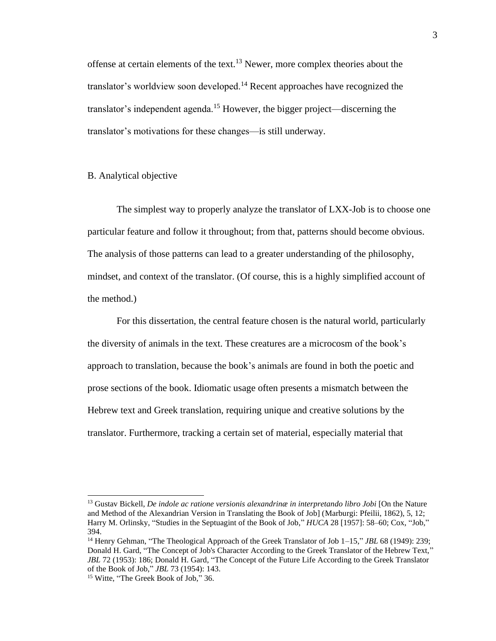offense at certain elements of the text.<sup>13</sup> Newer, more complex theories about the translator's worldview soon developed.<sup>14</sup> Recent approaches have recognized the translator's independent agenda.<sup>15</sup> However, the bigger project—discerning the translator's motivations for these changes—is still underway.

#### B. Analytical objective

The simplest way to properly analyze the translator of LXX-Job is to choose one particular feature and follow it throughout; from that, patterns should become obvious. The analysis of those patterns can lead to a greater understanding of the philosophy, mindset, and context of the translator. (Of course, this is a highly simplified account of the method.)

For this dissertation, the central feature chosen is the natural world, particularly the diversity of animals in the text. These creatures are a microcosm of the book's approach to translation, because the book's animals are found in both the poetic and prose sections of the book. Idiomatic usage often presents a mismatch between the Hebrew text and Greek translation, requiring unique and creative solutions by the translator. Furthermore, tracking a certain set of material, especially material that

<sup>13</sup> Gustav Bickell, *De indole ac ratione versionis alexandrinæ in interpretando libro Jobi* [On the Nature and Method of the Alexandrian Version in Translating the Book of Job] (Marburgi: Pfeilii, 1862), 5, 12; Harry M. Orlinsky, "Studies in the Septuagint of the Book of Job," *HUCA* 28 [1957]: 58–60; Cox, "Job," 394.

<sup>14</sup> Henry Gehman, "The Theological Approach of the Greek Translator of Job 1–15," *JBL* 68 (1949): 239; Donald H. Gard, "The Concept of Job's Character According to the Greek Translator of the Hebrew Text," *JBL* 72 (1953): 186; Donald H. Gard, "The Concept of the Future Life According to the Greek Translator of the Book of Job," *JBL* 73 (1954): 143.

<sup>&</sup>lt;sup>15</sup> Witte, "The Greek Book of Job," 36.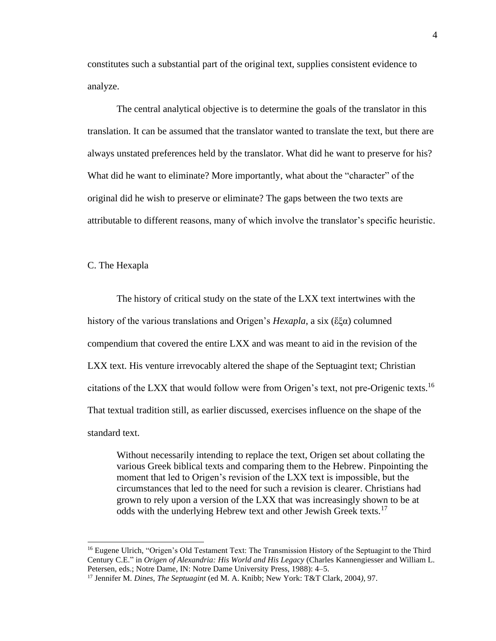constitutes such a substantial part of the original text, supplies consistent evidence to analyze.

The central analytical objective is to determine the goals of the translator in this translation. It can be assumed that the translator wanted to translate the text, but there are always unstated preferences held by the translator. What did he want to preserve for his? What did he want to eliminate? More importantly, what about the "character" of the original did he wish to preserve or eliminate? The gaps between the two texts are attributable to different reasons, many of which involve the translator's specific heuristic.

C. The Hexapla

The history of critical study on the state of the LXX text intertwines with the history of the various translations and Origen's *Hexapla*, a six (ἕξα) columned compendium that covered the entire LXX and was meant to aid in the revision of the LXX text. His venture irrevocably altered the shape of the Septuagint text; Christian citations of the LXX that would follow were from Origen's text, not pre-Origenic texts.<sup>16</sup> That textual tradition still, as earlier discussed, exercises influence on the shape of the standard text.

Without necessarily intending to replace the text, Origen set about collating the various Greek biblical texts and comparing them to the Hebrew. Pinpointing the moment that led to Origen's revision of the LXX text is impossible, but the circumstances that led to the need for such a revision is clearer. Christians had grown to rely upon a version of the LXX that was increasingly shown to be at odds with the underlying Hebrew text and other Jewish Greek texts.<sup>17</sup>

<sup>&</sup>lt;sup>16</sup> Eugene Ulrich, "Origen's Old Testament Text: The Transmission History of the Septuagint to the Third Century C.E." in *Origen of Alexandria: His World and His Legacy* (Charles Kannengiesser and William L. Petersen, eds.; Notre Dame, IN: Notre Dame University Press, 1988): 4–5.

<sup>17</sup> Jennifer M. *Dines*, *The Septuagint* (ed M. A. Knibb; New York: T&T Clark, 2004*),* 97.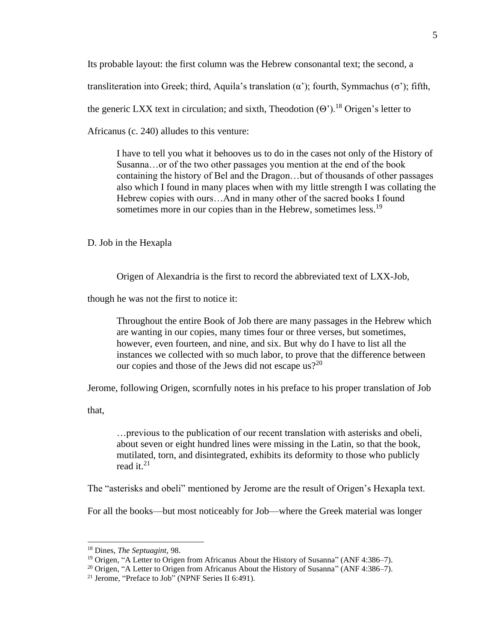Its probable layout: the first column was the Hebrew consonantal text; the second, a

transliteration into Greek; third, Aquila's translation (α'); fourth, Symmachus (σ'); fifth,

the generic LXX text in circulation; and sixth, Theodotion  $(\Theta')$ .<sup>18</sup> Origen's letter to

Africanus (c. 240) alludes to this venture:

I have to tell you what it behooves us to do in the cases not only of the History of Susanna…or of the two other passages you mention at the end of the book containing the history of Bel and the Dragon…but of thousands of other passages also which I found in many places when with my little strength I was collating the Hebrew copies with ours…And in many other of the sacred books I found sometimes more in our copies than in the Hebrew, sometimes less.<sup>19</sup>

D. Job in the Hexapla

Origen of Alexandria is the first to record the abbreviated text of LXX-Job,

though he was not the first to notice it:

Throughout the entire Book of Job there are many passages in the Hebrew which are wanting in our copies, many times four or three verses, but sometimes, however, even fourteen, and nine, and six. But why do I have to list all the instances we collected with so much labor, to prove that the difference between our copies and those of the Jews did not escape us?<sup>20</sup>

Jerome, following Origen, scornfully notes in his preface to his proper translation of Job

that,

…previous to the publication of our recent translation with asterisks and obeli, about seven or eight hundred lines were missing in the Latin, so that the book, mutilated, torn, and disintegrated, exhibits its deformity to those who publicly read it.<sup>21</sup>

The "asterisks and obeli" mentioned by Jerome are the result of Origen's Hexapla text.

For all the books—but most noticeably for Job—where the Greek material was longer

<sup>18</sup> Dines, *The Septuagint*, 98.

<sup>19</sup> Origen, "A Letter to Origen from Africanus About the History of Susanna" (ANF 4:386–7).

<sup>&</sup>lt;sup>20</sup> Origen, "A Letter to Origen from Africanus About the History of Susanna" (ANF 4:386–7).

<sup>&</sup>lt;sup>21</sup> Jerome, "Preface to Job" (NPNF Series II 6:491).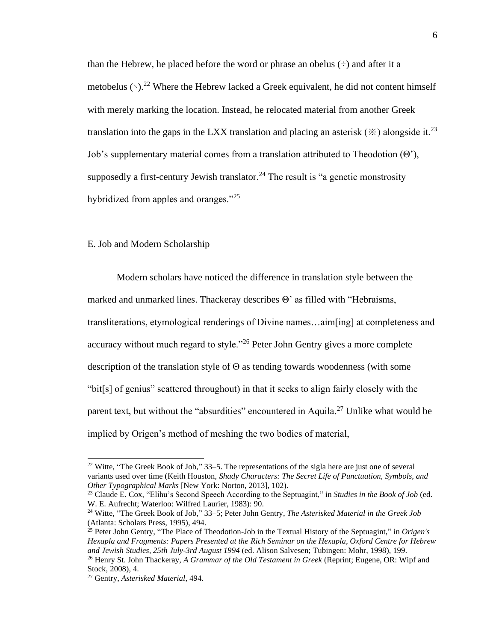than the Hebrew, he placed before the word or phrase an obelus  $(\div)$  and after it a metobelus  $(\cdot)$ .<sup>22</sup> Where the Hebrew lacked a Greek equivalent, he did not content himself with merely marking the location. Instead, he relocated material from another Greek translation into the gaps in the LXX translation and placing an asterisk  $(\cdot \times)$  alongside it.<sup>23</sup> Job's supplementary material comes from a translation attributed to Theodotion (Θ'), supposedly a first-century Jewish translator.<sup>24</sup> The result is "a genetic monstrosity hybridized from apples and oranges."<sup>25</sup>

#### E. Job and Modern Scholarship

Modern scholars have noticed the difference in translation style between the marked and unmarked lines. Thackeray describes Θ' as filled with "Hebraisms, transliterations, etymological renderings of Divine names…aim[ing] at completeness and accuracy without much regard to style."<sup>26</sup> Peter John Gentry gives a more complete description of the translation style of Θ as tending towards woodenness (with some "bit[s] of genius" scattered throughout) in that it seeks to align fairly closely with the parent text, but without the "absurdities" encountered in Aquila.<sup>27</sup> Unlike what would be implied by Origen's method of meshing the two bodies of material,

<sup>23</sup> Claude E. Cox, "Elihu's Second Speech According to the Septuagint," in *Studies in the Book of Job* (ed. W. E. Aufrecht; Waterloo: Wilfred Laurier, 1983): 90.

<sup>&</sup>lt;sup>22</sup> Witte, "The Greek Book of Job," 33–5. The representations of the sigla here are just one of several variants used over time (Keith Houston, *Shady Characters: The Secret Life of Punctuation, Symbols, and Other Typographical Marks* [New York: Norton, 2013], 102).

<sup>24</sup> Witte, "The Greek Book of Job," 33–5; Peter John Gentry, *The Asterisked Material in the Greek Job* (Atlanta: Scholars Press, 1995), 494.

<sup>25</sup> Peter John Gentry, "The Place of Theodotion-Job in the Textual History of the Septuagint," in *Origen's Hexapla and Fragments: Papers Presented at the Rich Seminar on the Hexapla, Oxford Centre for Hebrew and Jewish Studies, 25th July-3rd August 1994* (ed. Alison Salvesen; Tubingen: Mohr, 1998), 199.

<sup>26</sup> Henry St. John Thackeray, *A Grammar of the Old Testament in Greek* (Reprint; Eugene, OR: Wipf and Stock, 2008), 4.

<sup>27</sup> Gentry, *Asterisked Material*, 494.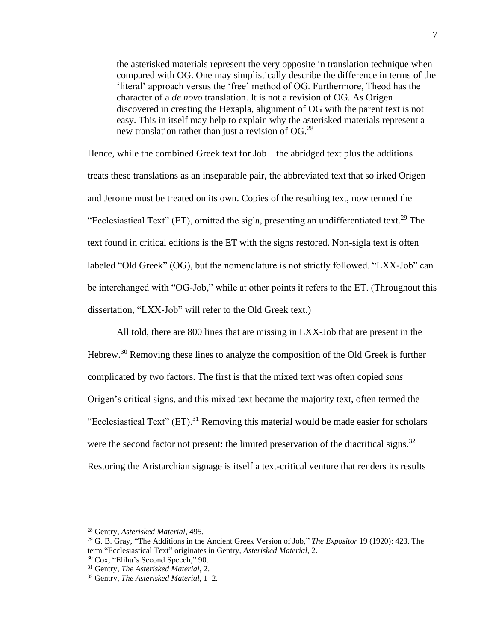the asterisked materials represent the very opposite in translation technique when compared with OG. One may simplistically describe the difference in terms of the 'literal' approach versus the 'free' method of OG. Furthermore, Theod has the character of a *de novo* translation. It is not a revision of OG. As Origen discovered in creating the Hexapla, alignment of OG with the parent text is not easy. This in itself may help to explain why the asterisked materials represent a new translation rather than just a revision of  $OG.<sup>28</sup>$ 

Hence, while the combined Greek text for Job – the abridged text plus the additions – treats these translations as an inseparable pair, the abbreviated text that so irked Origen and Jerome must be treated on its own. Copies of the resulting text, now termed the "Ecclesiastical Text" (ET), omitted the sigla, presenting an undifferentiated text.<sup>29</sup> The text found in critical editions is the ET with the signs restored. Non-sigla text is often labeled "Old Greek" (OG), but the nomenclature is not strictly followed. "LXX-Job" can be interchanged with "OG-Job," while at other points it refers to the ET. (Throughout this dissertation, "LXX-Job" will refer to the Old Greek text.)

All told, there are 800 lines that are missing in LXX-Job that are present in the Hebrew.<sup>30</sup> Removing these lines to analyze the composition of the Old Greek is further complicated by two factors. The first is that the mixed text was often copied *sans* Origen's critical signs, and this mixed text became the majority text, often termed the "Ecclesiastical Text"  $(ET)$ <sup>31</sup> Removing this material would be made easier for scholars were the second factor not present: the limited preservation of the diacritical signs.<sup>32</sup> Restoring the Aristarchian signage is itself a text-critical venture that renders its results

<sup>28</sup> Gentry, *Asterisked Material*, 495.

<sup>29</sup> G. B. Gray, "The Additions in the Ancient Greek Version of Job," *The Expositor* 19 (1920): 423. The term "Ecclesiastical Text" originates in Gentry, *Asterisked Material*, 2.

<sup>30</sup> Cox, "Elihu's Second Speech," 90.

<sup>31</sup> Gentry, *The Asterisked Material*, 2.

<sup>32</sup> Gentry, *The Asterisked Material*, 1–2.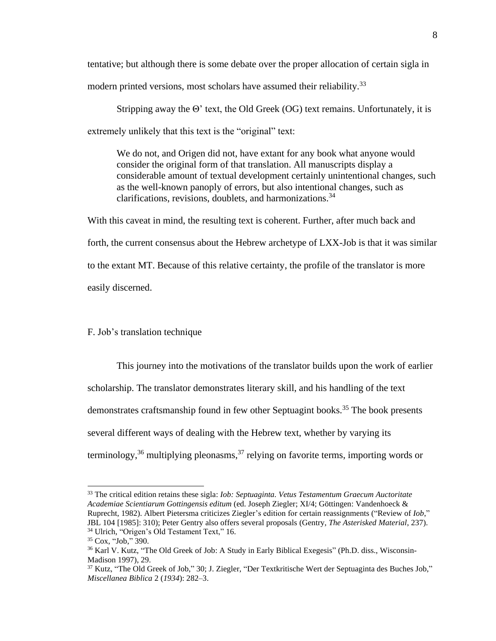tentative; but although there is some debate over the proper allocation of certain sigla in modern printed versions, most scholars have assumed their reliability.<sup>33</sup>

Stripping away the Θ' text, the Old Greek (OG) text remains. Unfortunately, it is extremely unlikely that this text is the "original" text:

We do not, and Origen did not, have extant for any book what anyone would consider the original form of that translation. All manuscripts display a considerable amount of textual development certainly unintentional changes, such as the well-known panoply of errors, but also intentional changes, such as clarifications, revisions, doublets, and harmonizations.<sup>34</sup>

With this caveat in mind, the resulting text is coherent. Further, after much back and forth, the current consensus about the Hebrew archetype of LXX-Job is that it was similar to the extant MT. Because of this relative certainty, the profile of the translator is more easily discerned.

#### F. Job's translation technique

This journey into the motivations of the translator builds upon the work of earlier scholarship. The translator demonstrates literary skill, and his handling of the text demonstrates craftsmanship found in few other Septuagint books.<sup>35</sup> The book presents several different ways of dealing with the Hebrew text, whether by varying its terminology,  $36$  multiplying pleonasms,  $37$  relying on favorite terms, importing words or

<sup>33</sup> The critical edition retains these sigla: *Iob: Septuaginta. Vetus Testamentum Graecum Auctoritate Academiae Scientiarum Gottingensis editum* (ed. Joseph Ziegler; XI/4; Göttingen: Vandenhoeck & Ruprecht, 1982). Albert Pietersma criticizes Ziegler's edition for certain reassignments ("Review of *Iob*," JBL 104 [1985]: 310); Peter Gentry also offers several proposals (Gentry, *The Asterisked Material*, 237). <sup>34</sup> Ulrich, "Origen's Old Testament Text," 16.

<sup>35</sup> Cox, "Job," 390.

<sup>&</sup>lt;sup>36</sup> Karl V. Kutz, "The Old Greek of Job: A Study in Early Biblical Exegesis" (Ph.D. diss., Wisconsin-Madison 1997), 29.

<sup>37</sup> Kutz, "The Old Greek of Job," 30; J. Ziegler, "Der Textkritische Wert der Septuaginta des Buches Job," *Miscellanea Biblica* 2 (*1934*): 282–3.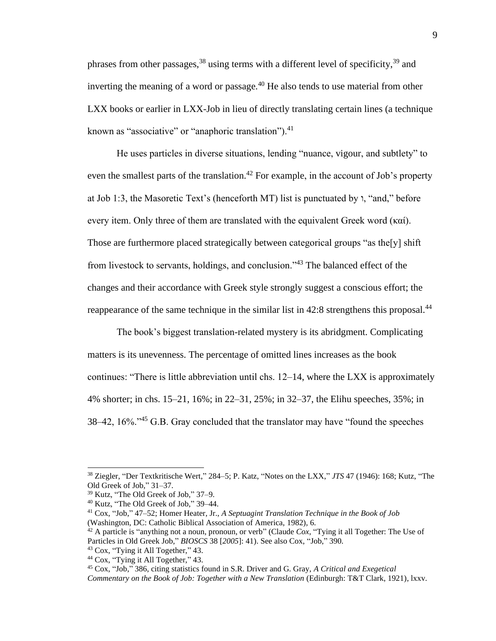phrases from other passages,  $38$  using terms with a different level of specificity,  $39$  and inverting the meaning of a word or passage.<sup>40</sup> He also tends to use material from other LXX books or earlier in LXX-Job in lieu of directly translating certain lines (a technique known as "associative" or "anaphoric translation"). $^{41}$ 

He uses particles in diverse situations, lending "nuance, vigour, and subtlety" to even the smallest parts of the translation.<sup>42</sup> For example, in the account of Job's property at Job 1:3, the Masoretic Text's (henceforth MT) list is punctuated by  $\lambda$ , "and," before every item. Only three of them are translated with the equivalent Greek word (καί). Those are furthermore placed strategically between categorical groups "as the[y] shift from livestock to servants, holdings, and conclusion."<sup>43</sup> The balanced effect of the changes and their accordance with Greek style strongly suggest a conscious effort; the reappearance of the same technique in the similar list in 42:8 strengthens this proposal.<sup>44</sup>

The book's biggest translation-related mystery is its abridgment. Complicating matters is its unevenness. The percentage of omitted lines increases as the book continues: "There is little abbreviation until chs. 12–14, where the LXX is approximately 4% shorter; in chs. 15–21, 16%; in 22–31, 25%; in 32–37, the Elihu speeches, 35%; in 38–42, 16%.<sup>45</sup> G.B. Gray concluded that the translator may have "found the speeches"

<sup>41</sup> Cox, "Job," 47–52; Homer Heater, Jr., *A Septuagint Translation Technique in the Book of Job* (Washington, DC: Catholic Biblical Association of America, 1982), 6.

<sup>38</sup> Ziegler, "Der Textkritische Wert," 284–5; P. Katz, "Notes on the LXX," *JTS* 47 (1946): 168; Kutz, "The Old Greek of Job," 31–37.

<sup>39</sup> Kutz, "The Old Greek of Job," 37–9.

<sup>40</sup> Kutz, "The Old Greek of Job," 39–44.

<sup>42</sup> A particle is "anything not a noun, pronoun, or verb" (Claude *Cox*, "Tying it all Together: The Use of Particles in Old Greek Job," *BIOSCS* 38 [*2005*]: 41). See also Cox, "Job," 390.

<sup>43</sup> Cox, "Tying it All Together," 43.

<sup>&</sup>lt;sup>44</sup> Cox, "Tying it All Together," 43.

<sup>45</sup> Cox, "Job," 386, citing statistics found in S.R. Driver and G. Gray, *A Critical and Exegetical Commentary on the Book of Job: Together with a New Translation* (Edinburgh: T&T Clark, 1921), lxxv.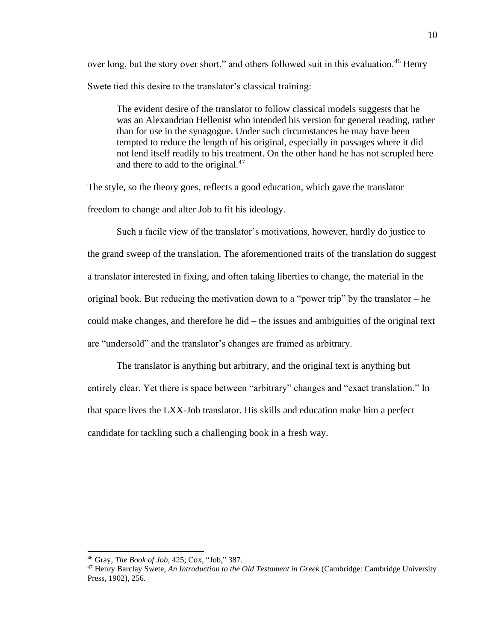over long, but the story over short," and others followed suit in this evaluation.<sup>46</sup> Henry Swete tied this desire to the translator's classical training:

The evident desire of the translator to follow classical models suggests that he was an Alexandrian Hellenist who intended his version for general reading, rather than for use in the synagogue. Under such circumstances he may have been tempted to reduce the length of his original, especially in passages where it did not lend itself readily to his treatment. On the other hand he has not scrupled here and there to add to the original.<sup>47</sup>

The style, so the theory goes, reflects a good education, which gave the translator freedom to change and alter Job to fit his ideology.

Such a facile view of the translator's motivations, however, hardly do justice to the grand sweep of the translation. The aforementioned traits of the translation do suggest a translator interested in fixing, and often taking liberties to change, the material in the original book. But reducing the motivation down to a "power trip" by the translator – he could make changes, and therefore he did – the issues and ambiguities of the original text are "undersold" and the translator's changes are framed as arbitrary.

The translator is anything but arbitrary, and the original text is anything but entirely clear. Yet there is space between "arbitrary" changes and "exact translation." In that space lives the LXX-Job translator. His skills and education make him a perfect candidate for tackling such a challenging book in a fresh way.

<sup>46</sup> Gray, *The Book of Job*, 425; Cox, "Job," 387.

<sup>47</sup> Henry Barclay Swete, *An Introduction to the Old Testament in Greek* (Cambridge: Cambridge University Press, 1902), 256.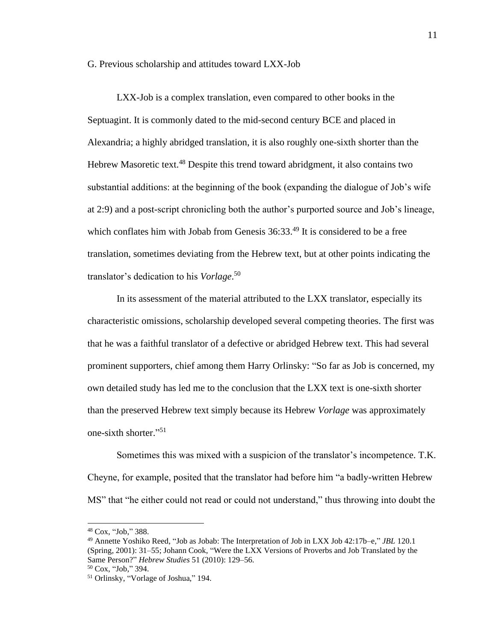#### G. Previous scholarship and attitudes toward LXX-Job

LXX-Job is a complex translation, even compared to other books in the Septuagint. It is commonly dated to the mid-second century BCE and placed in Alexandria; a highly abridged translation, it is also roughly one-sixth shorter than the Hebrew Masoretic text.<sup>48</sup> Despite this trend toward abridgment, it also contains two substantial additions: at the beginning of the book (expanding the dialogue of Job's wife at 2:9) and a post-script chronicling both the author's purported source and Job's lineage, which conflates him with Jobab from Genesis  $36:33.^{49}$  It is considered to be a free translation, sometimes deviating from the Hebrew text, but at other points indicating the translator's dedication to his *Vorlage*. 50

In its assessment of the material attributed to the LXX translator, especially its characteristic omissions, scholarship developed several competing theories. The first was that he was a faithful translator of a defective or abridged Hebrew text. This had several prominent supporters, chief among them Harry Orlinsky: "So far as Job is concerned, my own detailed study has led me to the conclusion that the LXX text is one-sixth shorter than the preserved Hebrew text simply because its Hebrew *Vorlage* was approximately one-sixth shorter." 51

Sometimes this was mixed with a suspicion of the translator's incompetence. T.K. Cheyne, for example, posited that the translator had before him "a badly-written Hebrew MS" that "he either could not read or could not understand," thus throwing into doubt the

<sup>48</sup> Cox, "Job," 388.

<sup>49</sup> Annette Yoshiko Reed, "Job as Jobab: The Interpretation of Job in LXX Job 42:17b–e," *JBL* 120.1 (Spring, 2001): 31–55; Johann Cook, "Were the LXX Versions of Proverbs and Job Translated by the Same Person?" *Hebrew Studies* 51 (2010): 129–56.

<sup>50</sup> Cox, "Job," 394.

<sup>51</sup> Orlinsky, "Vorlage of Joshua," 194.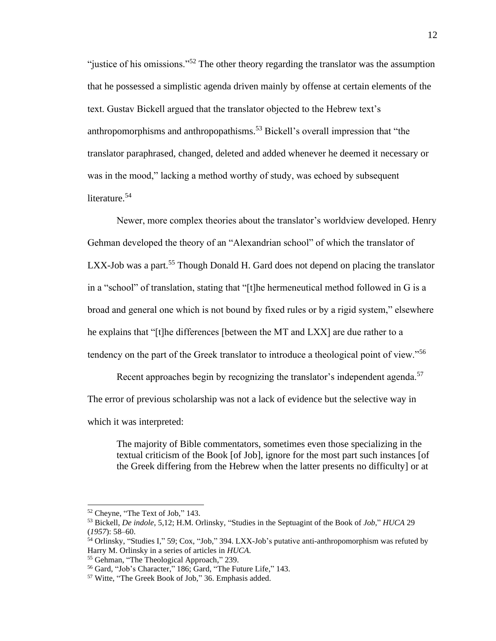"justice of his omissions."<sup>52</sup> The other theory regarding the translator was the assumption that he possessed a simplistic agenda driven mainly by offense at certain elements of the text. Gustav Bickell argued that the translator objected to the Hebrew text's anthropomorphisms and anthropopathisms.<sup>53</sup> Bickell's overall impression that "the translator paraphrased, changed, deleted and added whenever he deemed it necessary or was in the mood," lacking a method worthy of study, was echoed by subsequent literature.<sup>54</sup>

Newer, more complex theories about the translator's worldview developed. Henry Gehman developed the theory of an "Alexandrian school" of which the translator of LXX-Job was a part.<sup>55</sup> Though Donald H. Gard does not depend on placing the translator in a "school" of translation, stating that "[t]he hermeneutical method followed in G is a broad and general one which is not bound by fixed rules or by a rigid system," elsewhere he explains that "[t]he differences [between the MT and LXX] are due rather to a tendency on the part of the Greek translator to introduce a theological point of view."<sup>56</sup>

Recent approaches begin by recognizing the translator's independent agenda.<sup>57</sup> The error of previous scholarship was not a lack of evidence but the selective way in which it was interpreted:

The majority of Bible commentators, sometimes even those specializing in the textual criticism of the Book [of Job], ignore for the most part such instances [of the Greek differing from the Hebrew when the latter presents no difficulty] or at

<sup>52</sup> Cheyne, "The Text of Job," 143.

<sup>53</sup> Bickell, *De indole*, 5,12; H.M. Orlinsky, "Studies in the Septuagint of the Book of *Job*," *HUCA* 29 (*1957*): 58–60.

<sup>54</sup> Orlinsky, "Studies I," 59; Cox, "Job," 394. LXX-Job's putative anti-anthropomorphism was refuted by Harry M. Orlinsky in a series of articles in *HUCA*.

<sup>55</sup> Gehman, "The Theological Approach," 239.

<sup>56</sup> Gard, "Job's Character," 186; Gard, "The Future Life," 143.

<sup>57</sup> Witte, "The Greek Book of Job," 36. Emphasis added.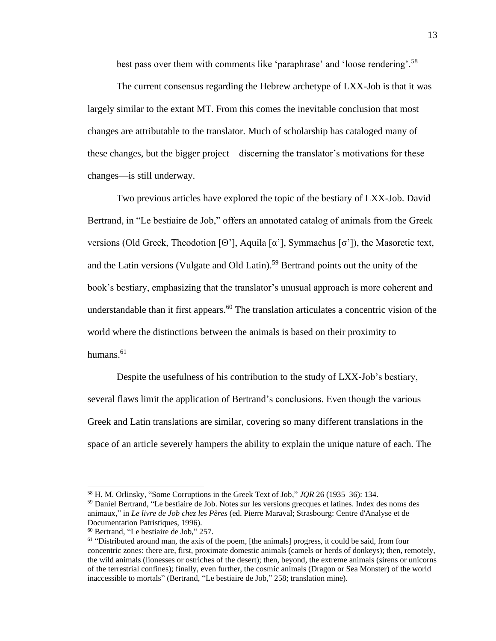best pass over them with comments like 'paraphrase' and 'loose rendering'.<sup>58</sup>

The current consensus regarding the Hebrew archetype of LXX-Job is that it was largely similar to the extant MT. From this comes the inevitable conclusion that most changes are attributable to the translator. Much of scholarship has cataloged many of these changes, but the bigger project—discerning the translator's motivations for these changes—is still underway.

Two previous articles have explored the topic of the bestiary of LXX-Job. David Bertrand, in "Le bestiaire de Job," offers an annotated catalog of animals from the Greek versions (Old Greek, Theodotion [Θ'], Aquila [α'], Symmachus [σ']), the Masoretic text, and the Latin versions (Vulgate and Old Latin).<sup>59</sup> Bertrand points out the unity of the book's bestiary, emphasizing that the translator's unusual approach is more coherent and understandable than it first appears.<sup>60</sup> The translation articulates a concentric vision of the world where the distinctions between the animals is based on their proximity to humans. $61$ 

Despite the usefulness of his contribution to the study of LXX-Job's bestiary, several flaws limit the application of Bertrand's conclusions. Even though the various Greek and Latin translations are similar, covering so many different translations in the space of an article severely hampers the ability to explain the unique nature of each. The

<sup>58</sup> H. M. Orlinsky*,* "Some Corruptions in the Greek Text of Job," *JQR* 26 (1935–36): 134.

<sup>59</sup> Daniel Bertrand, "Le bestiaire de Job. Notes sur les versions grecques et latines. Index des noms des animaux," in *Le livre de Job chez les Pères* (ed. Pierre Maraval; Strasbourg: Centre d'Analyse et de Documentation Patristiques, 1996).

<sup>60</sup> Bertrand, "Le bestiaire de Job," 257.

<sup>&</sup>lt;sup>61</sup> "Distributed around man, the axis of the poem, [the animals] progress, it could be said, from four concentric zones: there are, first, proximate domestic animals (camels or herds of donkeys); then, remotely, the wild animals (lionesses or ostriches of the desert); then, beyond, the extreme animals (sirens or unicorns of the terrestrial confines); finally, even further, the cosmic animals (Dragon or Sea Monster) of the world inaccessible to mortals" (Bertrand, "Le bestiaire de Job," 258; translation mine).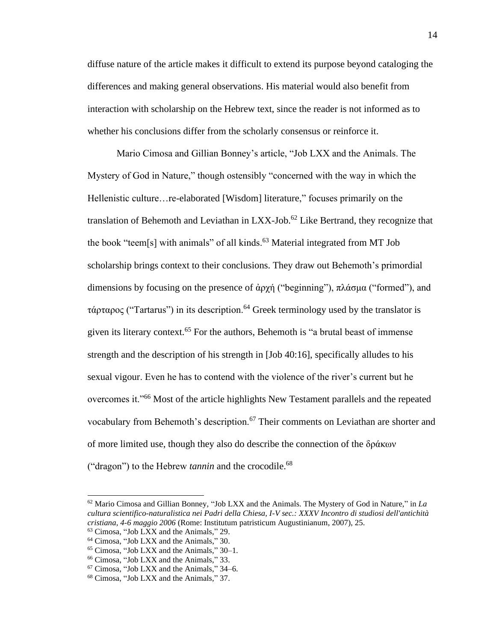diffuse nature of the article makes it difficult to extend its purpose beyond cataloging the differences and making general observations. His material would also benefit from interaction with scholarship on the Hebrew text, since the reader is not informed as to whether his conclusions differ from the scholarly consensus or reinforce it.

Mario Cimosa and Gillian Bonney's article, "Job LXX and the Animals. The Mystery of God in Nature," though ostensibly "concerned with the way in which the Hellenistic culture…re-elaborated [Wisdom] literature," focuses primarily on the translation of Behemoth and Leviathan in LXX-Job.<sup>62</sup> Like Bertrand, they recognize that the book "teem[s] with animals" of all kinds.<sup>63</sup> Material integrated from MT Job scholarship brings context to their conclusions. They draw out Behemoth's primordial dimensions by focusing on the presence of ἀρχή ("beginning"), πλάσμα ("formed"), and τάρταρος ("Tartarus") in its description.<sup>64</sup> Greek terminology used by the translator is given its literary context.<sup>65</sup> For the authors, Behemoth is "a brutal beast of immense strength and the description of his strength in [Job 40:16], specifically alludes to his sexual vigour. Even he has to contend with the violence of the river's current but he overcomes it."<sup>66</sup> Most of the article highlights New Testament parallels and the repeated vocabulary from Behemoth's description.<sup>67</sup> Their comments on Leviathan are shorter and of more limited use, though they also do describe the connection of the δράκων ("dragon") to the Hebrew *tannin* and the crocodile.<sup>68</sup>

<sup>62</sup> Mario Cimosa and Gillian Bonney, "Job LXX and the Animals. The Mystery of God in Nature," in *La cultura scientifico-naturalistica nei Padri della Chiesa, I-V sec.: XXXV Incontro di studiosi dell'antichità cristiana, 4-6 maggio 2006* (Rome: Institutum patristicum Augustinianum, 2007), 25.

<sup>63</sup> Cimosa, "Job LXX and the Animals," 29.

<sup>64</sup> Cimosa, "Job LXX and the Animals," 30.

<sup>65</sup> Cimosa, "Job LXX and the Animals," 30–1.

<sup>66</sup> Cimosa, "Job LXX and the Animals," 33.

<sup>67</sup> Cimosa, "Job LXX and the Animals," 34–6.

<sup>68</sup> Cimosa, "Job LXX and the Animals," 37.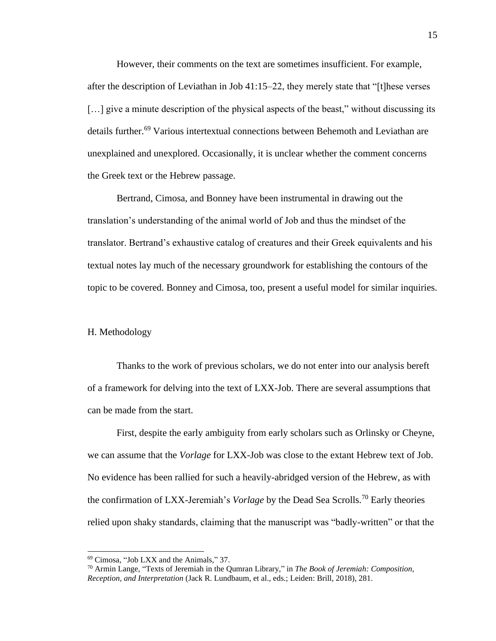However, their comments on the text are sometimes insufficient. For example, after the description of Leviathan in Job 41:15–22, they merely state that "[t]hese verses [...] give a minute description of the physical aspects of the beast," without discussing its details further.<sup>69</sup> Various intertextual connections between Behemoth and Leviathan are unexplained and unexplored. Occasionally, it is unclear whether the comment concerns the Greek text or the Hebrew passage.

Bertrand, Cimosa, and Bonney have been instrumental in drawing out the translation's understanding of the animal world of Job and thus the mindset of the translator. Bertrand's exhaustive catalog of creatures and their Greek equivalents and his textual notes lay much of the necessary groundwork for establishing the contours of the topic to be covered. Bonney and Cimosa, too, present a useful model for similar inquiries.

#### H. Methodology

Thanks to the work of previous scholars, we do not enter into our analysis bereft of a framework for delving into the text of LXX-Job. There are several assumptions that can be made from the start.

First, despite the early ambiguity from early scholars such as Orlinsky or Cheyne, we can assume that the *Vorlage* for LXX-Job was close to the extant Hebrew text of Job. No evidence has been rallied for such a heavily-abridged version of the Hebrew, as with the confirmation of LXX-Jeremiah's *Vorlage* by the Dead Sea Scrolls.<sup>70</sup> Early theories relied upon shaky standards, claiming that the manuscript was "badly-written" or that the

<sup>69</sup> Cimosa, "Job LXX and the Animals," 37.

<sup>70</sup> Armin Lange, "Texts of Jeremiah in the Qumran Library," in *The Book of Jeremiah: Composition, Reception, and Interpretation* (Jack R. Lundbaum, et al., eds.; Leiden: Brill, 2018), 281.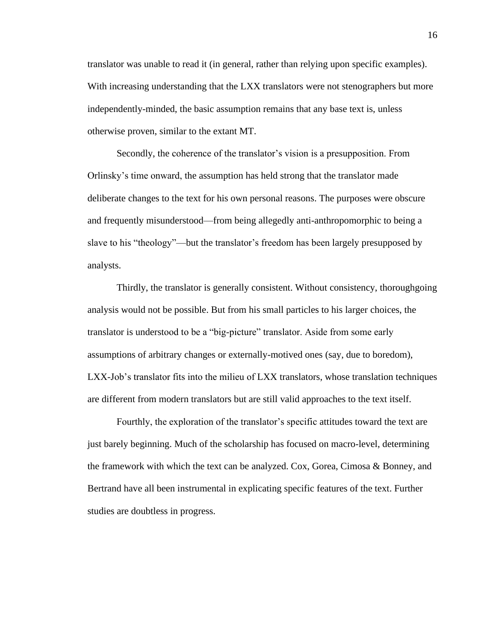translator was unable to read it (in general, rather than relying upon specific examples). With increasing understanding that the LXX translators were not stenographers but more independently-minded, the basic assumption remains that any base text is, unless otherwise proven, similar to the extant MT.

Secondly, the coherence of the translator's vision is a presupposition. From Orlinsky's time onward, the assumption has held strong that the translator made deliberate changes to the text for his own personal reasons. The purposes were obscure and frequently misunderstood—from being allegedly anti-anthropomorphic to being a slave to his "theology"—but the translator's freedom has been largely presupposed by analysts.

Thirdly, the translator is generally consistent. Without consistency, thoroughgoing analysis would not be possible. But from his small particles to his larger choices, the translator is understood to be a "big-picture" translator. Aside from some early assumptions of arbitrary changes or externally-motived ones (say, due to boredom), LXX-Job's translator fits into the milieu of LXX translators, whose translation techniques are different from modern translators but are still valid approaches to the text itself.

Fourthly, the exploration of the translator's specific attitudes toward the text are just barely beginning. Much of the scholarship has focused on macro-level, determining the framework with which the text can be analyzed. Cox, Gorea, Cimosa & Bonney, and Bertrand have all been instrumental in explicating specific features of the text. Further studies are doubtless in progress.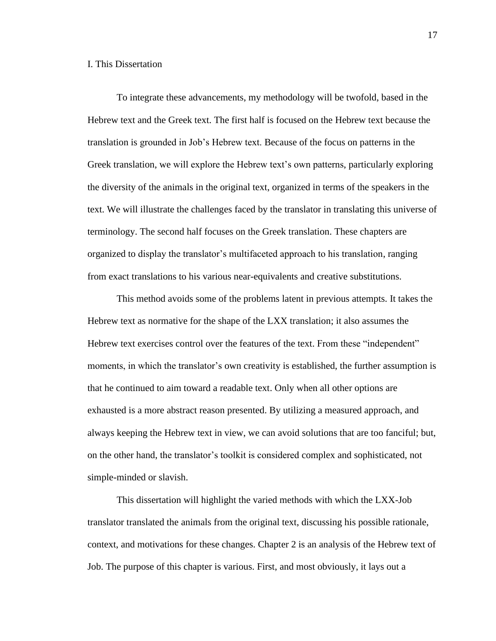#### I. This Dissertation

To integrate these advancements, my methodology will be twofold, based in the Hebrew text and the Greek text. The first half is focused on the Hebrew text because the translation is grounded in Job's Hebrew text. Because of the focus on patterns in the Greek translation, we will explore the Hebrew text's own patterns, particularly exploring the diversity of the animals in the original text, organized in terms of the speakers in the text. We will illustrate the challenges faced by the translator in translating this universe of terminology. The second half focuses on the Greek translation. These chapters are organized to display the translator's multifaceted approach to his translation, ranging from exact translations to his various near-equivalents and creative substitutions.

This method avoids some of the problems latent in previous attempts. It takes the Hebrew text as normative for the shape of the LXX translation; it also assumes the Hebrew text exercises control over the features of the text. From these "independent" moments, in which the translator's own creativity is established, the further assumption is that he continued to aim toward a readable text. Only when all other options are exhausted is a more abstract reason presented. By utilizing a measured approach, and always keeping the Hebrew text in view, we can avoid solutions that are too fanciful; but, on the other hand, the translator's toolkit is considered complex and sophisticated, not simple-minded or slavish.

This dissertation will highlight the varied methods with which the LXX-Job translator translated the animals from the original text, discussing his possible rationale, context, and motivations for these changes. Chapter 2 is an analysis of the Hebrew text of Job. The purpose of this chapter is various. First, and most obviously, it lays out a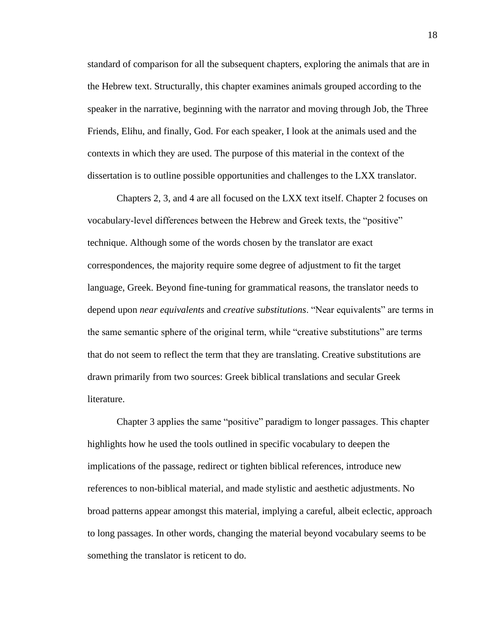standard of comparison for all the subsequent chapters, exploring the animals that are in the Hebrew text. Structurally, this chapter examines animals grouped according to the speaker in the narrative, beginning with the narrator and moving through Job, the Three Friends, Elihu, and finally, God. For each speaker, I look at the animals used and the contexts in which they are used. The purpose of this material in the context of the dissertation is to outline possible opportunities and challenges to the LXX translator.

Chapters 2, 3, and 4 are all focused on the LXX text itself. Chapter 2 focuses on vocabulary-level differences between the Hebrew and Greek texts, the "positive" technique. Although some of the words chosen by the translator are exact correspondences, the majority require some degree of adjustment to fit the target language, Greek. Beyond fine-tuning for grammatical reasons, the translator needs to depend upon *near equivalents* and *creative substitutions*. "Near equivalents" are terms in the same semantic sphere of the original term, while "creative substitutions" are terms that do not seem to reflect the term that they are translating. Creative substitutions are drawn primarily from two sources: Greek biblical translations and secular Greek literature.

Chapter 3 applies the same "positive" paradigm to longer passages. This chapter highlights how he used the tools outlined in specific vocabulary to deepen the implications of the passage, redirect or tighten biblical references, introduce new references to non-biblical material, and made stylistic and aesthetic adjustments. No broad patterns appear amongst this material, implying a careful, albeit eclectic, approach to long passages. In other words, changing the material beyond vocabulary seems to be something the translator is reticent to do.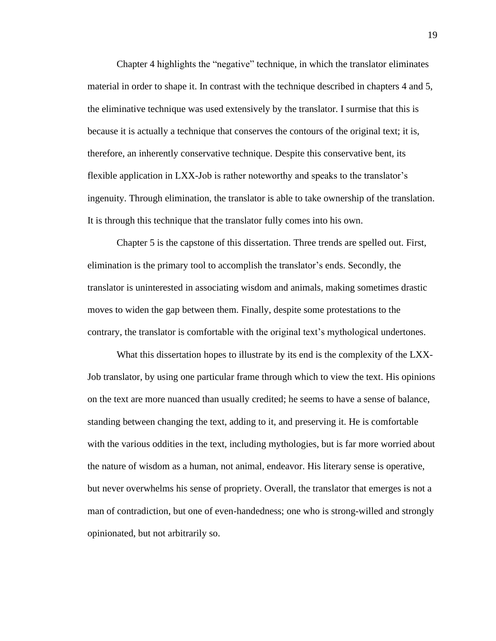Chapter 4 highlights the "negative" technique, in which the translator eliminates material in order to shape it. In contrast with the technique described in chapters 4 and 5, the eliminative technique was used extensively by the translator. I surmise that this is because it is actually a technique that conserves the contours of the original text; it is, therefore, an inherently conservative technique. Despite this conservative bent, its flexible application in LXX-Job is rather noteworthy and speaks to the translator's ingenuity. Through elimination, the translator is able to take ownership of the translation. It is through this technique that the translator fully comes into his own.

Chapter 5 is the capstone of this dissertation. Three trends are spelled out. First, elimination is the primary tool to accomplish the translator's ends. Secondly, the translator is uninterested in associating wisdom and animals, making sometimes drastic moves to widen the gap between them. Finally, despite some protestations to the contrary, the translator is comfortable with the original text's mythological undertones.

What this dissertation hopes to illustrate by its end is the complexity of the LXX-Job translator, by using one particular frame through which to view the text. His opinions on the text are more nuanced than usually credited; he seems to have a sense of balance, standing between changing the text, adding to it, and preserving it. He is comfortable with the various oddities in the text, including mythologies, but is far more worried about the nature of wisdom as a human, not animal, endeavor. His literary sense is operative, but never overwhelms his sense of propriety. Overall, the translator that emerges is not a man of contradiction, but one of even-handedness; one who is strong-willed and strongly opinionated, but not arbitrarily so.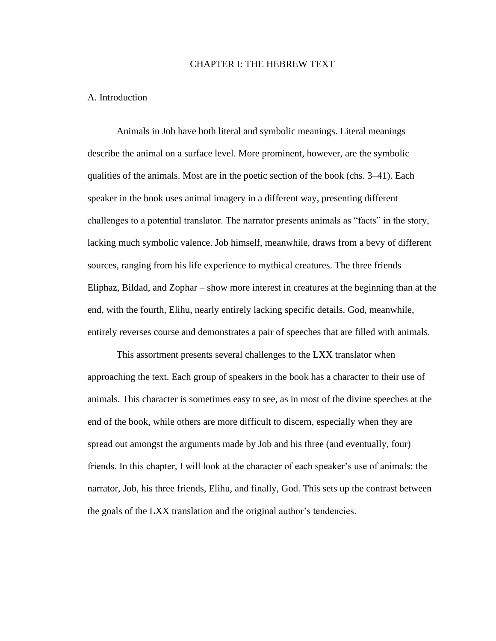#### CHAPTER I: THE HEBREW TEXT

#### A. Introduction

Animals in Job have both literal and symbolic meanings. Literal meanings describe the animal on a surface level. More prominent, however, are the symbolic qualities of the animals. Most are in the poetic section of the book (chs. 3–41). Each speaker in the book uses animal imagery in a different way, presenting different challenges to a potential translator. The narrator presents animals as "facts" in the story, lacking much symbolic valence. Job himself, meanwhile, draws from a bevy of different sources, ranging from his life experience to mythical creatures. The three friends – Eliphaz, Bildad, and Zophar – show more interest in creatures at the beginning than at the end, with the fourth, Elihu, nearly entirely lacking specific details. God, meanwhile, entirely reverses course and demonstrates a pair of speeches that are filled with animals.

This assortment presents several challenges to the LXX translator when approaching the text. Each group of speakers in the book has a character to their use of animals. This character is sometimes easy to see, as in most of the divine speeches at the end of the book, while others are more difficult to discern, especially when they are spread out amongst the arguments made by Job and his three (and eventually, four) friends. In this chapter, I will look at the character of each speaker's use of animals: the narrator, Job, his three friends, Elihu, and finally, God. This sets up the contrast between the goals of the LXX translation and the original author's tendencies.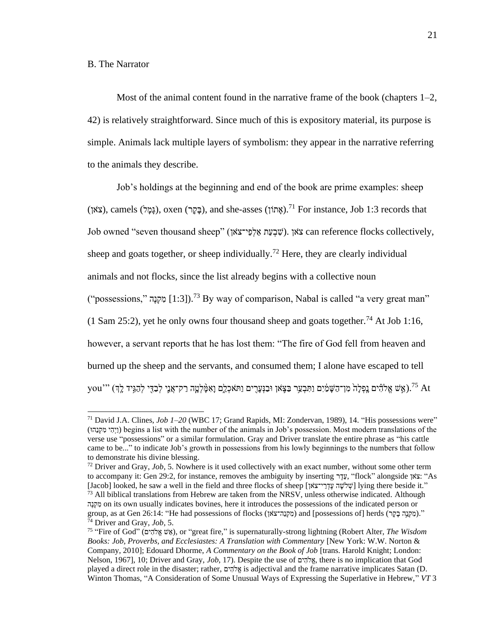#### B. The Narrator

Most of the animal content found in the narrative frame of the book (chapters  $1-2$ , 42) is relatively straightforward. Since much of this is expository material, its purpose is simple. Animals lack multiple layers of symbolism: they appear in the narrative referring to the animals they describe.

Job's holdings at the beginning and end of the book are prime examples: sheep  $t$ (צָּאָן), oxen (בָּקֶר), and she-asses (אֲמוֹן).<sup>71</sup> For instance, Job 1:3 records that Job owned "seven thousand sheep" (שִׁבְעָת אֲלִפָּי־צֹאן). צֹאן can reference flocks collectively, sheep and goats together, or sheep individually.<sup>72</sup> Here, they are clearly individual animals and not flocks, since the list already begins with a collective noun ("possessions," הקנה [1:3]).<sup>73</sup> By way of comparison, Nabal is called "a very great man" (1 Sam 25:2), yet he only owns four thousand sheep and goats together.<sup>74</sup> At Job 1:16, however, a servant reports that he has lost them: "The fire of God fell from heaven and burned up the sheep and the servants, and consumed them; I alone have escaped to tell you''' (אֵשׁ אֱלֹהֶ֫יִם נַַפְלַהֹ מִן־הַשַּׁמַ֫יִם וַתִּבְעֵר בַּצֵּאׁן וּבַנִּעֲרִים וַתֹּאכְלֵם וַאִמַּ֫לְטֵה רַק־אֲנֵי לְבַדֵּי לְהַגִּיִד לֵךְ ), "you

<sup>71</sup> David J.A. Clines, *Job 1–20* (WBC 17; Grand Rapids, MI: Zondervan, 1989), 14. "His possessions were" (וְיָהִי מִקְנָהוּ) begins a list with the number of the animals in Job's possession. Most modern translations of the verse use "possessions" or a similar formulation. Gray and Driver translate the entire phrase as "his cattle came to be..." to indicate Job's growth in possessions from his lowly beginnings to the numbers that follow to demonstrate his divine blessing.

<sup>72</sup> Driver and Gray, *Job*, 5. Nowhere is it used collectively with an exact number, without some other term to accompany it: Gen 29:2, for instance, removes the ambiguity by inserting יְעֵדְ, "flock" alongside אֹצוֹ "As [Jacob] looked, he saw a well in the field and three flocks of sheep [אָילְשָׁה עֲדָרִי־צֹאן] lying there beside it."  $^{73}$  All biblical translations from Hebrew are taken from the NRSV, unless otherwise indicated. Although הֶנ ְק ִׁמ on its own usually indicates bovines, here it introduces the possessions of the indicated person or group, as at Gen 26:14: "He had possessions of flocks (מִקְנָה־צֹאן) and [possessions of] herds (מִקְנֵה בָּקֵר)." <sup>74</sup> Driver and Gray, *Job*, 5.

<sup>75</sup> "Fire of God" (ים ִׁלהֱֹא ש ֵא(, or "great fire," is supernaturally-strong lightning (Robert Alter, *The Wisdom Books: Job, Proverbs, and Ecclesiastes: A Translation with Commentary* [New York: W.W. Norton & Company, 2010]; Edouard Dhorme, *A Commentary on the Book of Job* [trans. Harold Knight; London: Nelson, 1967], 10; Driver and Gray, *Job*, 17). Despite the use of ים ִׁלהֱֹא, there is no implication that God played a direct role in the disaster; rather, אֲלֹהֶים is adjectival and the frame narrative implicates Satan (D. Winton Thomas, "A Consideration of Some Unusual Ways of Expressing the Superlative in Hebrew," *VT* 3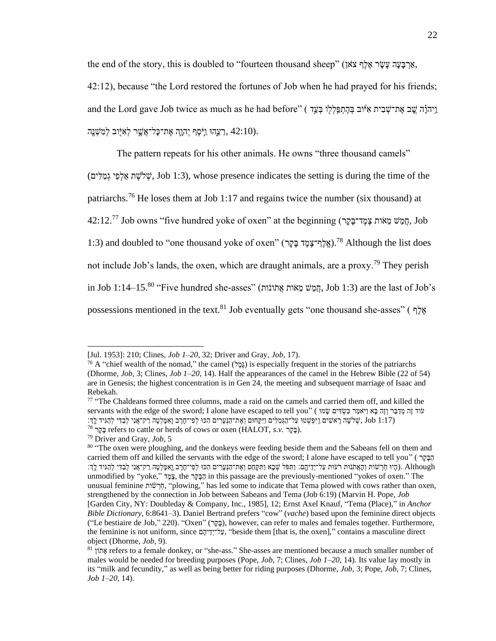,אַרְבַּעַה עַשִׂר אֶלֶף צֹאוֹ) "fourteen thousand sheep" (אַלְף צֹאוֹ, א

42:12), because "the Lord restored the fortunes of Job when he had prayed for his friends; and the Lord gave Job twice as much as he had before" ( בְּעֵק הָהְפַּלְלוּ בְּעֵד ) "before" (בְּעֵק אִיּוֹב רֵ וַ יִּהְוָה אֶת־כַּל־אֲשֵׁר לְאִיִּּוּב לְמִשְׁנֵה, 42:10).

The pattern repeats for his other animals. He owns "three thousand camels"

(ים ִׁל ַמ ְג יֵפְל ַא ת ֶלשֹ ְש, Job 1:3), whose presence indicates the setting is during the time of the

patriarchs.<sup>76</sup> He loses them at Job 1:17 and regains twice the number (six thousand) at

 $42:12.^{77}$  Job owns "five hundred yoke of oxen" at the beginning (חֲמֵשׁ מֵאֹות  $\,$  Job  $\,$ 

1:3) and doubled to "one thousand yoke of oxen" (אֱלֶף־צֶמֶֽד בָּקֵר).<sup>78</sup> Although the list does

not include Job's lands, the oxen, which are draught animals, are a proxy.<sup>79</sup> They perish

in Job  $1:14-15$ .80 "Five hundred she-asses" (הַמֲשׁ מֵאוֹת אֲתֹונֹוֹת, Job 1:3) are the last of Job's

possessions mentioned in the text.<sup>81</sup> Job eventually gets "one thousand she-asses" ( אֲלֶף )

<sup>[</sup>Jul. 1953]: 210; Clines, *Job 1–20*, 32; Driver and Gray, *Job*, 17).

<sup>&</sup>lt;sup>76</sup> A "chief wealth of the nomad," the camel ((ε) (ερε) is especially frequent in the stories of the patriarchs (Dhorme, *Job*, 3; Clines, *Job 1–20*, 14). Half the appearances of the camel in the Hebrew Bible (22 of 54) are in Genesis; the highest concentration is in Gen 24, the meeting and subsequent marriage of Isaac and Rebekah.

<sup>&</sup>lt;sup>77</sup> "The Chaldeans formed three columns, made a raid on the camels and carried them off, and killed the עֹוד זֶה מְדַבֵּר וְזֶה בָּא וַיֹּאמַר כַּשְׂדִּים שָׂמוּ ) "you" (שִׁאמַר כַּשְׂדִּים שָׂמוּ ) אוֹט servants with the edge of the sword; I alone have escaped to tell you נְיִיִּה (1:17 Job ,שְׁלֹשֶׁה רָאשִׁים וַיִּפְשָׁטוּ עַל־הַגְמַלִּים וַיִּקְחוּם וְאֶת־הַנְעֲרִים הָכּוּ לִפְי־חָרֶב וַאִמַּלְטָה רַק־אֲנִי לְבַדִּי לְהָגִּיד לַהְ

<sup>78</sup> רָּקָּב refers to cattle or herds of cows or oxen (HALOT, *s.v.* רָּקָּב(.

<sup>79</sup> Driver and Gray, *Job*, 5

<sup>&</sup>lt;sup>80</sup> "The oxen were ploughing, and the donkeys were feeding beside them and the Sabeans fell on them and carried them off and killed the servants with the edge of the sword; I alone have escaped to tell you" ( רָּקָּבַה וָהָל יִשְׁבָּת הָיִם הָעִּרְ לְהָיִדְ הָהָעֹות הַאֲתֹּות רֹעֹות עַל־יִדֲיהֶם: וַתִּפֹּל שָׁבָא וַתִּקַחֲם וְאֶת־הַנִּעֲרִים הָכּוּ לְפִי־חַרֶב וַאָּמִלְטָה רַק־אֲנִי לְבַדִּי לְהַגִּיד לַדְּוֹ unmodified by "yoke," ד ֶמֶצ, the רָּקָּבַה in this passage are the previously-mentioned "yokes of oxen." The unusual feminine הָהָל וֹהָל (plowing," has led some to indicate that Tema plowed with cows rather than oxen, strengthened by the connection in Job between Sabeans and Tema (Job 6:19) (Marvin H. Pope, *Job* [Garden City, NY: Doubleday & Company, Inc., 1985], 12; Ernst Axel Knauf, "Tema (Place)," in *Anchor Bible Dictionary*, 6:8641–3). Daniel Bertrand prefers "cow" (*vache*) based upon the feminine direct objects ("Le bestiaire de Job," 220). "Oxen" (בְּקֶר), however, can refer to males and females together. Furthermore, the feminine is not uniform, since עֲל־יִדְיהָם "beside them [that is, the oxen]," contains a masculine direct object (Dhorme, *Job*, 9).

<sup>&</sup>lt;sup>81</sup> ו<sup>81</sup> ויה refers to a female donkey, or "she-ass." She-asses are mentioned because a much smaller number of males would be needed for breeding purposes (Pope, *Job*, 7; Clines, *Job 1–20*, 14). Its value lay mostly in its "milk and fecundity," as well as being better for riding purposes (Dhorme, *Job*, 3; Pope, *Job*, 7; Clines, *Job 1–20*, 14).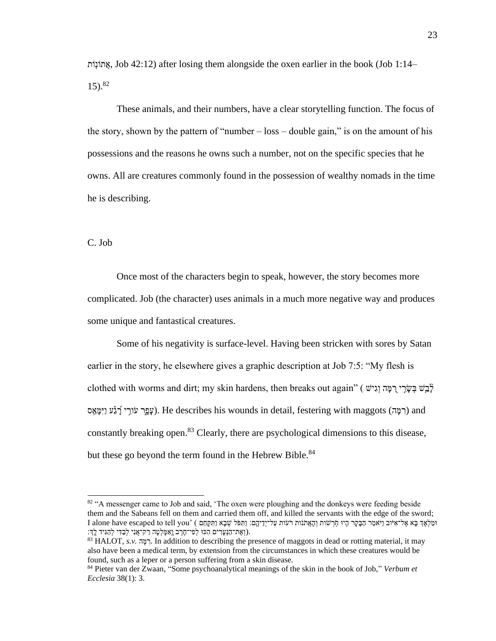ותֹ ָֽונֹתֲא, Job 42:12) after losing them alongside the oxen earlier in the book (Job 1:14–  $15)$ .<sup>82</sup>

These animals, and their numbers, have a clear storytelling function. The focus of the story, shown by the pattern of "number – loss – double gain," is on the amount of his possessions and the reasons he owns such a number, not on the specific species that he owns. All are creatures commonly found in the possession of wealthy nomads in the time he is describing.

C. Job

Once most of the characters begin to speak, however, the story becomes more complicated. Job (the character) uses animals in a much more negative way and produces some unique and fantastical creatures.

Some of his negativity is surface-level. Having been stricken with sores by Satan earlier in the story, he elsewhere gives a graphic description at Job 7:5: "My flesh is  $\epsilon$ elothed with worms and dirt; my skin hardens, then breaks out again" (בְּשֵׁ בְשָׂרֵי רָמֵּה וְגִישׁ  $\tilde{z}$ רְאֲם). He describes his wounds in detail, festering with maggots (רְמֵה) and constantly breaking open.<sup>83</sup> Clearly, there are psychological dimensions to this disease, but these go beyond the term found in the Hebrew Bible.<sup>84</sup>

<sup>&</sup>lt;sup>82</sup> "A messenger came to Job and said, 'The oxen were ploughing and the donkeys were feeding beside them and the Sabeans fell on them and carried them off, and killed the servants with the edge of the sword; ּומַ לְאָּ ְך בָּא אֶ ל־אִׁ יֹוב וַיֹאמַ ר הַבָּקָּר הָּיּו חָֹֽ רְ שֹות וְ הָּאֲתֹנֹות רֹעֹות עַל־יְדֵ יהֶָֽ ם׃ וַתִׁ פֹל שְ בָּא וַתִׁ קָּחֵם ) 'you tell to escaped have alone I .(וְאֶת־הַנְּעֲרִים הָכּוּ לְפִי־חַרֶב וַאָמַּלְטַה רַק־אֲנִי לְבַדִּי לְהַגִּיד לַךְ:

 $83$  HALOT, *s.v.*  $\frac{1}{2}$ ,  $\frac{1}{2}$ , In addition to describing the presence of maggots in dead or rotting material, it may also have been a medical term, by extension from the circumstances in which these creatures would be found, such as a leper or a person suffering from a skin disease.

<sup>84</sup> Pieter van der Zwaan, "Some psychoanalytical meanings of the skin in the book of Job," *Verbum et Ecclesia* 38(1): 3.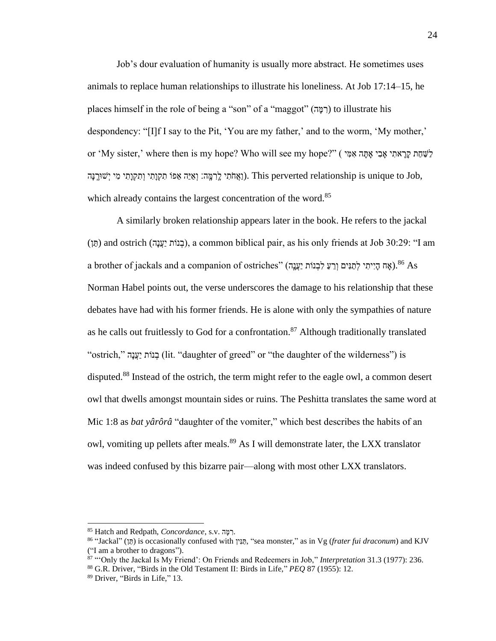Job's dour evaluation of humanity is usually more abstract. He sometimes uses animals to replace human relationships to illustrate his loneliness. At Job 17:14–15, he places himself in the role of being a "son" of a "maggot" (רְמֵּה) to illustrate his despondency: "[I]f I say to the Pit, 'You are my father,' and to the worm, 'My mother,' or 'My sister,' where then is my hope? Who will see my hope?" ("אֲחַת קַרָאתִי אָבִי אָתָּה אִמִּי ) ן,J. This perverted relationship is unique to Job ווּ יִשְׁהֵ הַ הַקְוְתִּי וְתִקְוָתִּי מִי יְשׁוּרֵ֣ נִ which already contains the largest concentration of the word.<sup>85</sup>

A similarly broken relationship appears later in the book. He refers to the jackal (תָּן) and ostrich (בְּנוֹת יַעֲנָה), a common biblical pair, as his only friends at Job 30:29: "I am a brother of jackals and a companion of ostriches" (אָה הַיִיתִי לְחַנִּים וְרֵעֲ לִבְנוֹת יַעֲנָה).  $^{86}$ As Norman Habel points out, the verse underscores the damage to his relationship that these debates have had with his former friends. He is alone with only the sympathies of nature as he calls out fruitlessly to God for a confrontation.<sup>87</sup> Although traditionally translated "ostrich," הָּנֲעַי ותֹנ ְב) lit. "daughter of greed" or "the daughter of the wilderness") is disputed.<sup>88</sup> Instead of the ostrich, the term might refer to the eagle owl, a common desert owl that dwells amongst mountain sides or ruins. The Peshitta translates the same word at Mic 1:8 as *bat yârôrâ* "daughter of the vomiter," which best describes the habits of an owl, vomiting up pellets after meals.<sup>89</sup> As I will demonstrate later, the LXX translator was indeed confused by this bizarre pair—along with most other LXX translators.

 $85$  Hatch and Redpath, *Concordance*, s.v. .

<sup>&</sup>lt;sup>86</sup> "Jackal" (תּוֹן) is occasionally confused with יְחֵנִּין, "sea monster," as in Vg (*frater fui draconum*) and KJV ("I am a brother to dragons").

<sup>87</sup> "'Only the Jackal Is My Friend': On Friends and Redeemers in Job," *Interpretation* 31.3 (1977): 236.

<sup>88</sup> G.R. Driver, "Birds in the Old Testament II: Birds in Life," *PEQ* 87 (1955): 12.

<sup>89</sup> Driver, "Birds in Life," 13.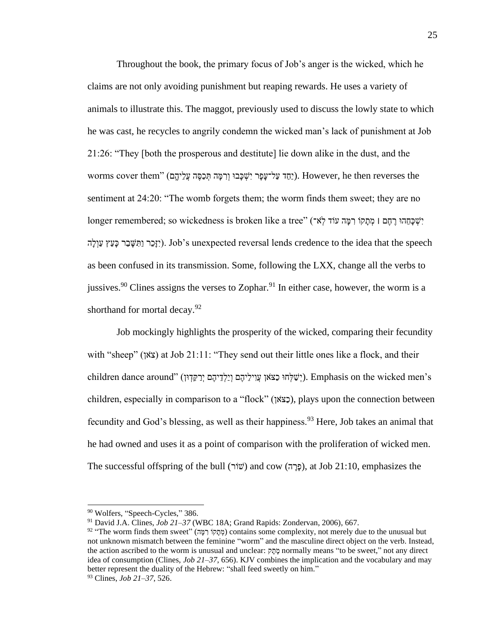Throughout the book, the primary focus of Job's anger is the wicked, which he claims are not only avoiding punishment but reaping rewards. He uses a variety of animals to illustrate this. The maggot, previously used to discuss the lowly state to which he was cast, he recycles to angrily condemn the wicked man's lack of punishment at Job 21:26: "They [both the prosperous and destitute] lie down alike in the dust, and the vorms cover them" (יַחַד עַל־עָּפָר יִשְׁכָּבוּ וְרִמָּה תְּכַסֶּה עֲלֵיהֶם). However, he then reverses the sentiment at 24:20: "The womb forgets them; the worm finds them sweet; they are no יִשְׁכָּחֲהוּ רֶחֶם | מְתַקוֹ רְמֵּה עוֹד לְאֹ־) "longer remembered; so wickedness is broken like a tree יִזָּכֵר וַתִּשָּׁבֵר כָּעֵץ עַוְלָה). Job's unexpected reversal lends credence to the idea that the speech as been confused in its transmission. Some, following the LXX, change all the verbs to jussives.<sup>90</sup> Clines assigns the verses to Zophar.<sup>91</sup> In either case, however, the worm is a shorthand for mortal decay.  $92$ 

Job mockingly highlights the prosperity of the wicked, comparing their fecundity with "sheep" (צֹאֹן) at Job 21:11: "They send out their little ones like a flock, and their children dance around" (יְשֵׁלְחוּ כָצֹאן עֲוִילֵיהֶם וְיַלְדֵיהֶם יְרַקֵּדְוּן). Emphasis on the wicked men's children, especially in comparison to a "flock" (כְצֹאוֹ), plays upon the connection between fecundity and God's blessing, as well as their happiness.  $93$  Here, Job takes an animal that he had owned and uses it as a point of comparison with the proliferation of wicked men. The successful offspring of the bull (פְרָה) and cow (פְרַה), at Job 21:10, emphasizes the

<sup>90</sup> Wolfers, "Speech-Cycles," 386.

<sup>91</sup> David J.A. Clines, *Job 21–37* (WBC 18A; Grand Rapids: Zondervan, 2006), 667.

 $92$  "The worm finds them sweet" (מְתָקוֹ רְמָה) contains some complexity, not merely due to the unusual but not unknown mismatch between the feminine "worm" and the masculine direct object on the verb. Instead, the action ascribed to the worm is unusual and unclear: מֲתָק normally means "to be sweet," not any direct idea of consumption (Clines, *Job 21–37*, 656). KJV combines the implication and the vocabulary and may better represent the duality of the Hebrew: "shall feed sweetly on him."

<sup>93</sup> Clines, *Job 21–37*, 526.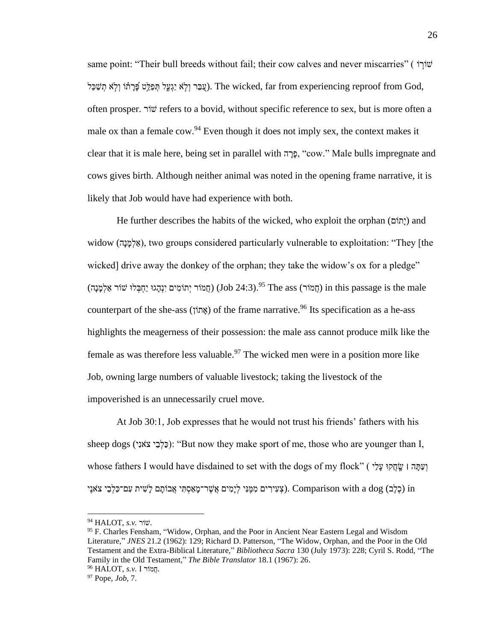same point: "Their bull breeds without fail; their cow calves and never miscarries" ( וֹשׁוֹרָוֹ עָבָּר וְלָא יַגְעֵל תִּפָּלֵּט פַֿרַתֹּוֹ וְלָֹא תִשָּׁכָּל). The wicked, far from experiencing reproof from God, often prosper. ורֹש refers to a bovid, without specific reference to sex, but is more often a male ox than a female cow.  $94$  Even though it does not imply sex, the context makes it clear that it is male here, being set in parallel with הָּנָה, "cow." Male bulls impregnate and cows gives birth. Although neither animal was noted in the opening frame narrative, it is likely that Job would have had experience with both.

He further describes the habits of the wicked, who exploit the orphan (וֹתוֹם) and widow (אֲלְמַנָה), two groups considered particularly vulnerable to exploitation: "They [the wicked] drive away the donkey of the orphan; they take the widow's ox for a pledge" הַמֹּוֹר יִתוֹמִים יִנְהָגוּ יַחִבְּלוּ שׁוֹר אַלְמַנָּה) (Job 24:3).<sup>95</sup> The ass (חֲמוֹר אַלְמַנָּה) in this passage is the male counterpart of the she-ass (וֹאתוֹן) of the frame narrative.<sup>96</sup> Its specification as a he-ass highlights the meagerness of their possession: the male ass cannot produce milk like the female as was therefore less valuable.<sup>97</sup> The wicked men were in a position more like Job, owning large numbers of valuable livestock; taking the livestock of the impoverished is an unnecessarily cruel move.

At Job 30:1, Job expresses that he would not trust his friends' fathers with his sheep dogs (יְכֵּלְבֵי צֹאנִי): "But now they make sport of me, those who are younger than I, whose fathers I would have disdained to set with the dogs of my flock" ( יַעֲתֲה וּ שֵׂחֲקוּ עֲלֵי יצְ יִיִּ יְם מְמֵּנִי לְיָמִים אֲשֶׁר־מֲאֵסָתִּי אֲבוֹתָם לְשִׁית עִם־כַּלְבֵי צֹאנֵי ) in (כֵלֶב) in

<sup>94</sup> HALOT, *s.v.* ורֹש.

<sup>95</sup> F. Charles Fensham, "Widow, Orphan, and the Poor in Ancient Near Eastern Legal and Wisdom Literature," *JNES* 21.2 (1962): 129; Richard D. Patterson, "The Widow, Orphan, and the Poor in the Old Testament and the Extra-Biblical Literature," *Bibliotheca Sacra* 130 (July 1973): 228; Cyril S. Rodd, "The Family in the Old Testament," *The Bible Translator* 18.1 (1967): 26. <sup>96</sup> HALOT, *s.v.* I ורֹמֲח.

<sup>97</sup> Pope, *Job*, 7.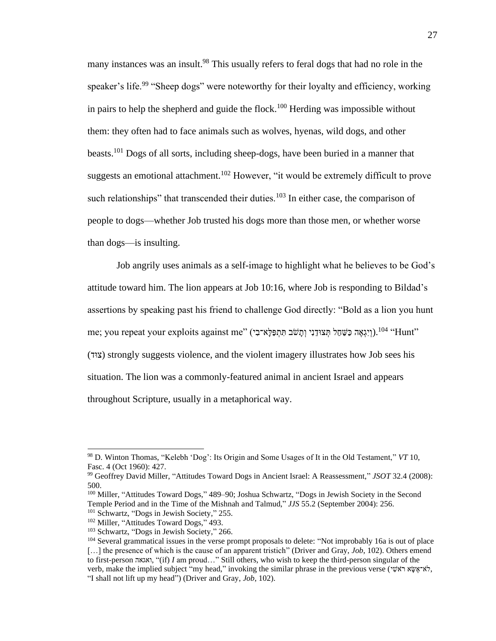many instances was an insult.<sup>98</sup> This usually refers to feral dogs that had no role in the speaker's life.<sup>99</sup> "Sheep dogs" were noteworthy for their loyalty and efficiency, working in pairs to help the shepherd and guide the flock.<sup>100</sup> Herding was impossible without them: they often had to face animals such as wolves, hyenas, wild dogs, and other beasts.<sup>101</sup> Dogs of all sorts, including sheep-dogs, have been buried in a manner that suggests an emotional attachment.<sup>102</sup> However, "it would be extremely difficult to prove such relationships" that transcended their duties.<sup>103</sup> In either case, the comparison of people to dogs—whether Job trusted his dogs more than those men, or whether worse than dogs—is insulting.

Job angrily uses animals as a self-image to highlight what he believes to be God's attitude toward him. The lion appears at Job 10:16, where Job is responding to Bildad's assertions by speaking past his friend to challenge God directly: "Bold as a lion you hunt me; you repeat your exploits against me" (וְיָגְאֶה כַּשֶׁחַל תְּצוּדֵנִי וְתַשֹׁב תִּתְפַּלָּא־בִי). <sup>104</sup> "Hunt" (ודּצ (strongly suggests violence, and the violent imagery illustrates how Job sees his situation. The lion was a commonly-featured animal in ancient Israel and appears throughout Scripture, usually in a metaphorical way.

<sup>98</sup> D. Winton Thomas, "Kelebh 'Dog': Its Origin and Some Usages of It in the Old Testament," *VT* 10, Fasc. 4 (Oct 1960): 427.

<sup>99</sup> Geoffrey David Miller, "Attitudes Toward Dogs in Ancient Israel: A Reassessment," *JSOT* 32.4 (2008): 500.

<sup>100</sup> Miller, "Attitudes Toward Dogs," 489–90; Joshua Schwartz, "Dogs in Jewish Society in the Second Temple Period and in the Time of the Mishnah and Talmud," *JJS* 55.2 (September 2004): 256.

<sup>&</sup>lt;sup>101</sup> Schwartz, "Dogs in Jewish Society," 255.

<sup>&</sup>lt;sup>102</sup> Miller, "Attitudes Toward Dogs," 493.

<sup>103</sup> Schwartz, "Dogs in Jewish Society," 266.

<sup>&</sup>lt;sup>104</sup> Several grammatical issues in the verse prompt proposals to delete: "Not improbably 16a is out of place [...] the presence of which is the cause of an apparent tristich" (Driver and Gray, *Job*, 102). Others emend to first-person ואגאה,)" if) *I* am proud…" Still others, who wish to keep the third-person singular of the verb, make the implied subject "my head," invoking the similar phrase in the previous verse (יא־אַשָּט א לאָ "I shall not lift up my head") (Driver and Gray, *Job*, 102).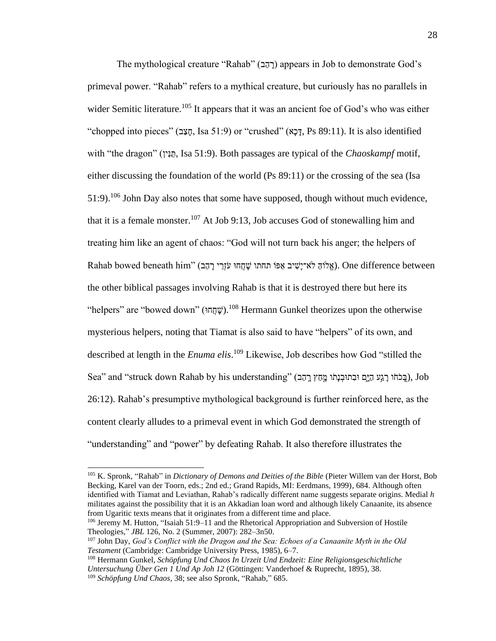The mythological creature "Rahab" (בְהֵב) appears in Job to demonstrate God's primeval power. "Rahab" refers to a mythical creature, but curiously has no parallels in wider Semitic literature.<sup>105</sup> It appears that it was an ancient foe of God's who was either "chopped into pieces" (דַּצָּב, Isa 51:9) or "crushed" (דַּכָּא, Ps 89:11). It is also identified with "the dragon" (הוין, Isa 51:9). Both passages are typical of the *Chaoskampf* motif, either discussing the foundation of the world (Ps 89:11) or the crossing of the sea (Isa  $51:9$ .<sup>106</sup> John Day also notes that some have supposed, though without much evidence, that it is a female monster.<sup>107</sup> At Job 9:13, Job accuses God of stonewalling him and treating him like an agent of chaos: "God will not turn back his anger; the helpers of Rahab bowed beneath him" (אֱלֹוּהַ לֹא־יָּשִׁיב אַפּוֹ תחתו שַׁחֲחוּ עֹזְרֵי רָהָב). One difference between the other biblical passages involving Rahab is that it is destroyed there but here its "helpers" are "bowed down" (שְׁחֲחוּ).<sup>108</sup> Hermann Gunkel theorizes upon the otherwise mysterious helpers, noting that Tiamat is also said to have "helpers" of its own, and described at length in the *Enuma elis*. <sup>109</sup> Likewise, Job describes how God "stilled the Sea" and "struck down Rahab by his understanding" (בָּכֹחֹו רַגֵּע הַיָּם וּבְתוּבְנָתו מֵחַץ רַהָב), Job 26:12). Rahab's presumptive mythological background is further reinforced here, as the content clearly alludes to a primeval event in which God demonstrated the strength of "understanding" and "power" by defeating Rahab. It also therefore illustrates the

<sup>105</sup> K. Spronk, "Rahab" in *Dictionary of Demons and Deities of the Bible* (Pieter Willem van der Horst, Bob Becking, Karel van der Toorn, eds.; 2nd ed.; Grand Rapids, MI: Eerdmans, 1999), 684. Although often identified with Tiamat and Leviathan, Rahab's radically different name suggests separate origins. Medial *h* militates against the possibility that it is an Akkadian loan word and although likely Canaanite, its absence from Ugaritic texts means that it originates from a different time and place.

<sup>&</sup>lt;sup>106</sup> Jeremy M. Hutton, "Isaiah 51:9–11 and the Rhetorical Appropriation and Subversion of Hostile Theologies," *JBL* 126, No. 2 (Summer, 2007): 282–3n50.

<sup>107</sup> John Day, *God's Conflict with the Dragon and the Sea: Echoes of a Canaanite Myth in the Old Testament* (Cambridge: Cambridge University Press, 1985), 6–7.

<sup>108</sup> Hermann Gunkel, *Schöpfung Und Chaos In Urzeit Und Endzeit: Eine Religionsgeschichtliche Untersuchung Über Gen 1 Und Ap Joh 12* (Göttingen: Vanderhoef & Ruprecht, 1895), 38. <sup>109</sup> *Schöpfung Und Chaos*, 38; see also Spronk, "Rahab," 685.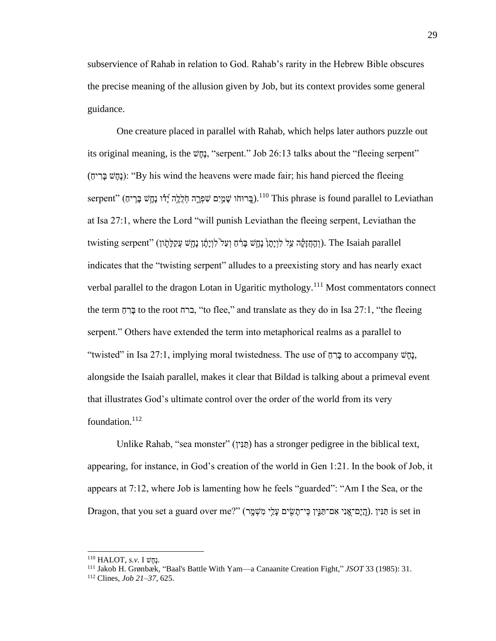subservience of Rahab in relation to God. Rahab's rarity in the Hebrew Bible obscures the precise meaning of the allusion given by Job, but its context provides some general guidance.

One creature placed in parallel with Rahab, which helps later authors puzzle out its original meaning, is the שָּחָּנ," serpent." Job 26:13 talks about the "fleeing serpent" (נַחֲשׁ בַּרִיה): "By his wind the heavens were made fair; his hand pierced the fleeing serpent" (בְּרוּחֹו שָׁמַיִם שִׁפְּרֶה חְלֵלֵה יָדוֹ נָחָשׁ בָּרִיּם).<sup>110</sup> This phrase is found parallel to Leviathan at Isa 27:1, where the Lord "will punish Leviathan the fleeing serpent, Leviathan the twisting serpent" (וְהַחֲזָּקָה עֵל לְוָיַתוֹ בַּרָּחָ וְעַל<sup>יֹ</sup>לְוְיָתֵּ֫ה נָתָשׁ עֲקַלָּתִׂון). The Isaiah parallel indicates that the "twisting serpent" alludes to a preexisting story and has nearly exact verbal parallel to the dragon Lotan in Ugaritic mythology.<sup>111</sup> Most commentators connect the term ברח, "to flee," and translate as they do in Isa 27:1, "the fleeing serpent." Others have extended the term into metaphorical realms as a parallel to "twisted" in Isa 27:1, implying moral twistedness. The use of בְּרָם to accompany בָּחֲשׁ alongside the Isaiah parallel, makes it clear that Bildad is talking about a primeval event that illustrates God's ultimate control over the order of the world from its very foundation. $^{112}$ 

Unlike Rahab, "sea monster" (חֲנִין) has a stronger pedigree in the biblical text, appearing, for instance, in God's creation of the world in Gen 1:21. In the book of Job, it appears at 7:12, where Job is lamenting how he feels "guarded": "Am I the Sea, or the Dragon, that you set a guard over me?" (מַיֲם־אֲנִי אִם־תַּנִּין כִּי־תַשִׂים עָּלֵי מִשְׁמֵּך). הַיָּם־אֵנוּ is set in

<sup>110</sup> HALOT, *s.v.* I שָּחָּנ.

<sup>111</sup> Jakob H. Grønbæk, "Baal's Battle With Yam—a Canaanite Creation Fight," *JSOT* 33 (1985): 31.

<sup>112</sup> Clines, *Job 21–37*, 625.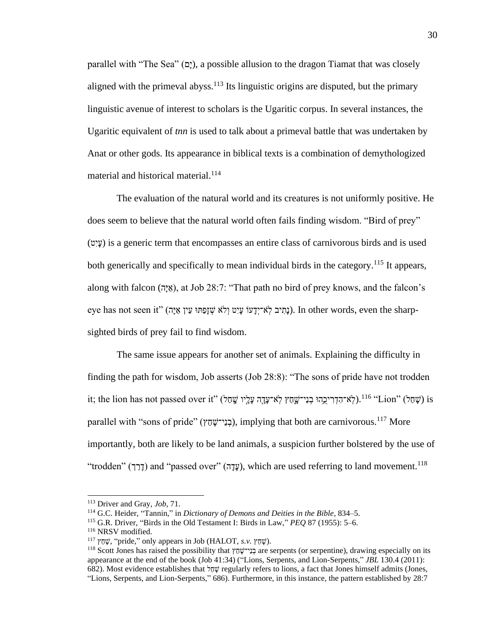parallel with "The Sea" (כַּם), a possible allusion to the dragon Tiamat that was closely aligned with the primeval abyss.<sup>113</sup> Its linguistic origins are disputed, but the primary linguistic avenue of interest to scholars is the Ugaritic corpus. In several instances, the Ugaritic equivalent of *tnn* is used to talk about a primeval battle that was undertaken by Anat or other gods. Its appearance in biblical texts is a combination of demythologized material and historical material.<sup>114</sup>

The evaluation of the natural world and its creatures is not uniformly positive. He does seem to believe that the natural world often fails finding wisdom. "Bird of prey" (עֵיָט) is a generic term that encompasses an entire class of carnivorous birds and is used both generically and specifically to mean individual birds in the category.<sup>115</sup> It appears, along with falcon (אֵיָה), at Job 28:7: "That path no bird of prey knows, and the falcon's eye has not seen it" (בְּתִיב לְאֹ־יְדָעוֹ עָּיִט וְלֹא שְׁזָּפַתּוּ עֵין אַיָּה). In other words, even the sharp-<br>sighted birds of prey fail to find wisdom.

The same issue appears for another set of animals. Explaining the difficulty in finding the path for wisdom, Job asserts (Job 28:8): "The sons of pride have not trodden it; the lion has not passed over it" (אָהַל) "עָהַל) וואָר הִדְרִיכֵהוּ בְנֵי־שֶׁחַץ לְאֹ־עָּדָה עָלֵיו שֶׁחַל parallel with "sons of pride" (בְנֵי־שֶׁתַץ), implying that both are carnivorous.<sup>117</sup> More importantly, both are likely to be land animals, a suspicion further bolstered by the use of "trodden" (דְּבַר) and "passed over" (עֲדָה), which are used referring to land movement.<sup>118</sup>

<sup>113</sup> Driver and Gray, *Job*, 71.

<sup>114</sup> G.C. Heider, "Tannin," in *Dictionary of Demons and Deities in the Bible*, 834–5.

<sup>115</sup> G.R. Driver, "Birds in the Old Testament I: Birds in Law," *PEQ* 87 (1955): 5–6.

<sup>116</sup> NRSV modified.

<sup>&</sup>lt;sup>117</sup> שֶׁחָץ, "pride," only appears in Job (HALOT, *s.v.*  $\psi$ שָׂם,

<sup>&</sup>lt;sup>118</sup> Scott Jones has raised the possibility that  $\tau$ ְבָּי־שֶׁנָּץ are serpents (or serpentine), drawing especially on its appearance at the end of the book (Job 41:34) ("Lions, Serpents, and Lion-Serpents," *JBL* 130.4 (2011): 682). Most evidence establishes that  $\frac{1}{2}$  regularly refers to lions, a fact that Jones himself admits (Jones, "Lions, Serpents, and Lion-Serpents," 686). Furthermore, in this instance, the pattern established by 28:7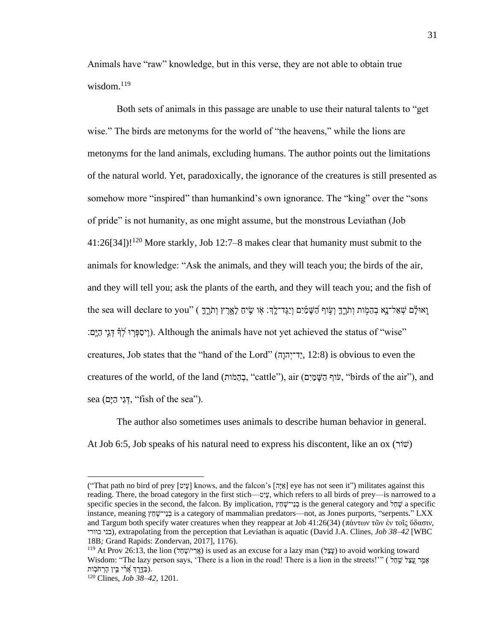Animals have "raw" knowledge, but in this verse, they are not able to obtain true wisdom.<sup>119</sup>

Both sets of animals in this passage are unable to use their natural talents to "get wise." The birds are metonyms for the world of "the heavens," while the lions are metonyms for the land animals, excluding humans. The author points out the limitations of the natural world. Yet, paradoxically, the ignorance of the creatures is still presented as somehow more "inspired" than humankind's own ignorance. The "king" over the "sons of pride" is not humanity, as one might assume, but the monstrous Leviathan (Job  $41:26[34]$ !<sup>120</sup> More starkly, Job 12:7–8 makes clear that humanity must submit to the animals for knowledge: "Ask the animals, and they will teach you; the birds of the air, and they will tell you; ask the plants of the earth, and they will teach you; and the fish of the sea will declare to you" ( וְתֹרֶךָ וְעִוּף הַשָּׁמַ֫יִם וְיַגֶּד־לֵךְּ׃ אֶו שֶׂיחַ לַאֲרֵץ וְתֹרֶךָ "וֹ דְּגֵי הַיָּם). Although the animals have not yet achieved the status of "wise". creatures, Job states that the "hand of the Lord" (הָּהוְד־יַי, 12:8 (is obvious to even the creatures of the world, of the land (ותֹמֵה ְב," cattle"), air (םִׁי ַמ ָּשַה וףֹע," birds of the air"), and  $s$ ea (דְּגֵי הַיָּם, "fish of the sea").

The author also sometimes uses animals to describe human behavior in general. At Job 6:5, Job speaks of his natural need to express his discontent, like an ox (ורֹש (

<sup>(&</sup>quot;That path no bird of prey [עֵיָּט | knows, and the falcon's [אֱהָּה eye has not seen it") militates against this reading. There, the broad category in the first stich— טִׁיָּע, which refers to all birds of prey—is narrowed to a specific species in the second, the falcon. By implication,  $\gamma \overline{w} \overline{w}$  is the general category and  $\gamma \overline{w}$  a specific instance, meaning  $\epsilon$ ָבְנִי־שֶׁחָץ is a category of mammalian predators—not, as Jones purports, "serpents." LXX and Targum both specify water creatures when they reappear at Job 41:26(34) (πάντων τῶν ἐν τοῖς ὕδασιν, כוורי בני(, extrapolating from the perception that Leviathan is aquatic (David J.A. Clines, *Job 38–42* [WBC 18B*;* Grand Rapids: Zondervan, 2017], 1176).

<sup>&</sup>lt;sup>119</sup> At Prov 26:13, the lion (אֲד<sup>ָא</sup> (אֲד<sup>ָא</sup>) is used as an excuse for a lazy man ( $\frac{1}{2}$ ) to avoid working toward Wisdom: "The lazy person says, 'There is a lion in the road! There is a lion in the streets!"" ( אֲמֶר עֲצָל שָׁחַל .(בַדָּ ֵ֑רֶ ְך אֲָ֝ רִִׁ֗ י בֵֵ֣ין הָּרְ חֹבָֹֽ ות

<sup>120</sup> Clines, *Job 38–42*, 1201.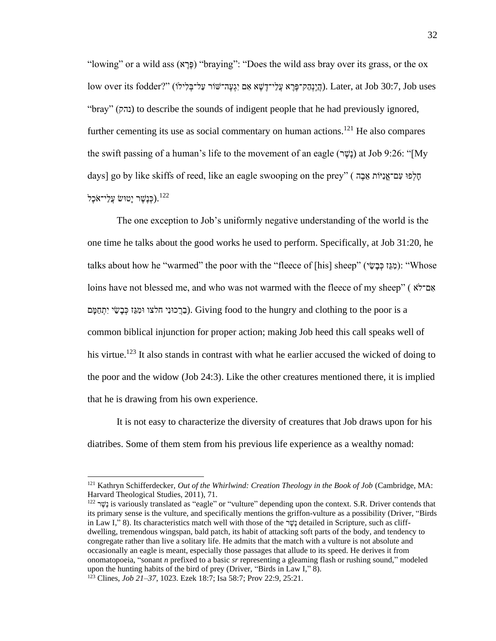"lowing" or a wild ass (א  $\epsilon$ לֵךְ (פָּרָא) "braying": "Does the wild ass bray over its grass, or the ox  $l$ ow over its fodder?" (הֵיִנְהַק־פֶּרֶא עֲלֵי־דֶשֶׁא אִם יִיְגְעֶה־שׁוֹר עַל־בִלְילוֹ). Later, at Job 30:7, Job uses "bray" (נהק) to describe the sounds of indigent people that he had previously ignored, further cementing its use as social commentary on human actions.<sup>121</sup> He also compares the swift passing of a human's life to the movement of an eagle (נָשֶׁר) at Job 9:26: "[My days] go by like skiffs of reed, like an eagle swooping on the prey" ( הלפוּ עָם־אֲנִיּוֹת אֶבֶה כְּנֵשֶׁר יַטוּשׂ עֲלֵי־אֹכֶל). $^{122}$ 

The one exception to Job's uniformly negative understanding of the world is the one time he talks about the good works he used to perform. Specifically, at Job 31:20, he talks about how he "warmed" the poor with the "fleece of [his] sheep" (יִמְגֶּז כְּבָשֵׂי): "Whose loins have not blessed me, and who was not warmed with the fleece of my sheep" ( אָם־לֹא בְּרֵכְוּנֵי חַלְצוּ וּמִגֶּז כְּבִשֵׁי יִתְחַמּם). Giving food to the hungry and clothing to the poor is a common biblical injunction for proper action; making Job heed this call speaks well of his virtue.<sup>123</sup> It also stands in contrast with what he earlier accused the wicked of doing to the poor and the widow (Job 24:3). Like the other creatures mentioned there, it is implied that he is drawing from his own experience.

It is not easy to characterize the diversity of creatures that Job draws upon for his diatribes. Some of them stem from his previous life experience as a wealthy nomad:

<sup>121</sup> Kathryn Schifferdecker, *Out of the Whirlwind: Creation Theology in the Book of Job* (Cambridge, MA: Harvard Theological Studies, 2011), 71.

 $^{122}$  נֵשֶׁר is variously translated as "eagle" or "vulture" depending upon the context. S.R. Driver contends that its primary sense is the vulture, and specifically mentions the griffon-vulture as a possibility (Driver, "Birds in Law I," 8). Its characteristics match well with those of the  $\nu$ ישׁב detailed in Scripture, such as cliffdwelling, tremendous wingspan, bald patch, its habit of attacking soft parts of the body, and tendency to congregate rather than live a solitary life. He admits that the match with a vulture is not absolute and occasionally an eagle is meant, especially those passages that allude to its speed. He derives it from onomatopoeia, "sonant *n* prefixed to a basic *sr* representing a gleaming flash or rushing sound," modeled upon the hunting habits of the bird of prey (Driver, "Birds in Law I," 8).

<sup>123</sup> Clines, *Job 21–37*, 1023. Ezek 18:7; Isa 58:7; Prov 22:9, 25:21.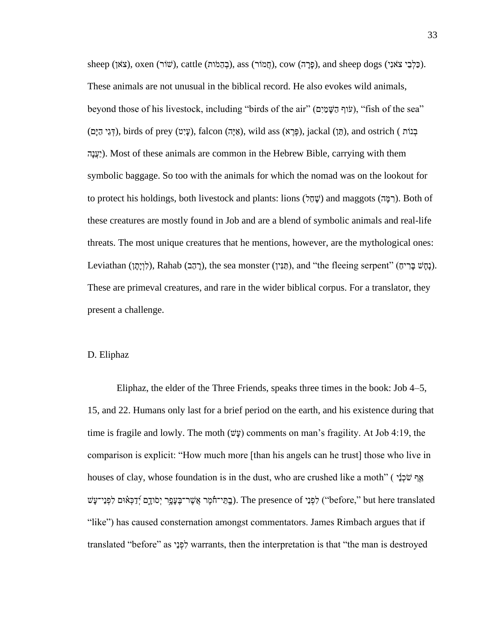sheep (כַּלְבֵי צֹאנִי), oxen (שֹוֹר), cattle (בְהָמֹות), cow (חֲמֹוּר), and sheep dogs (כַּלְבֵי צֹאנִי). These animals are not unusual in the biblical record. He also evokes wild animals, beyond those of his livestock, including "birds of the air" (עִוּף הַשָּׁמַיִם), "fish of the sea" (תַּגֶי הַיָּם), iackal (תֵּיְ), iackal (תֵּיְה), and ostrich (בְּגֵי הַיָּם), falcon (בְּעֵי אוֹ $\rho$ ), iackal (תַּגִי הַיָּם), and ostrich (בְּגֵי הַיָּם) יָצְנָה(. Most of these animals are common in the Hebrew Bible, carrying with them symbolic baggage. So too with the animals for which the nomad was on the lookout for to protect his holdings, both livestock and plants: lions (שְׁחַל) and maggots (הַמָּה). Both of these creatures are mostly found in Job and are a blend of symbolic animals and real-life threats. The most unique creatures that he mentions, however, are the mythological ones: Leviathan (רָהָבּ), Rahab (רָהָבּ), the sea monster (תַּתִּין), and "the fleeing serpent" (רָחֵטּ). These are primeval creatures, and rare in the wider biblical corpus. For a translator, they present a challenge.

#### D. Eliphaz

Eliphaz, the elder of the Three Friends, speaks three times in the book: Job 4–5, 15, and 22. Humans only last for a brief period on the earth, and his existence during that time is fragile and lowly. The moth  $(\psi \psi)$  comments on man's fragility. At Job 4:19, the comparison is explicit: "How much more [than his angels can he trust] those who live in houses of clay, whose foundation is in the dust, who are crushed like a moth" ( אֲף שֹׁכָנ יֹבְמֵי־חֹמֶר אֲשֶׁר־בֶעָפֶר יְסֹודָם יְדַכְאוּם לִפְנֵי־עָשׁ ("before," but here translated") לִפְנֵי בָּוֹ $\frac{1}{2}$ ). The presence of לְפְנֵי־עָּשׁ "like") has caused consternation amongst commentators. James Rimbach argues that if translated "before" as  $\forall$ פְנֵי warrants, then the interpretation is that "the man is destroyed"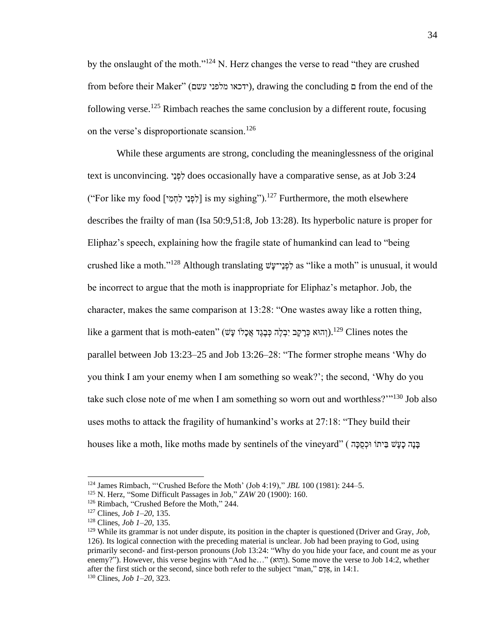by the onslaught of the moth."<sup>124</sup> N. Herz changes the verse to read "they are crushed from before their Maker" (ידכאו מלפני עשם), drawing the concluding ם from the end of the following verse.<sup>125</sup> Rimbach reaches the same conclusion by a different route, focusing on the verse's disproportionate scansion.<sup>126</sup>

While these arguments are strong, concluding the meaninglessness of the original text is unconvincing. לְפָּנֵי does occasionally have a comparative sense, as at Job 3:24 ("For like my food [יֹפְנֵי לַחְמִי ] is my sighing").<sup>127</sup> Furthermore, the moth elsewhere describes the frailty of man (Isa 50:9,51:8, Job 13:28). Its hyperbolic nature is proper for Eliphaz's speech, explaining how the fragile state of humankind can lead to "being crushed like a moth."<sup>128</sup> Although translating לְפָנֵי־עָשׁ as "like a moth" is unusual, it would be incorrect to argue that the moth is inappropriate for Eliphaz's metaphor. Job, the character, makes the same comparison at 13:28: "One wastes away like a rotten thing, like a garment that is moth-eaten" (וְהוּא כְּרָקֶב יִבְלֶה כְּבָגֶד אֲכָלוֹ עָּשׁ).<sup>129</sup> Clines notes the parallel between Job 13:23–25 and Job 13:26–28: "The former strophe means 'Why do you think I am your enemy when I am something so weak?'; the second, 'Why do you take such close note of me when I am something so worn out and worthless?"<sup>130</sup> Job also uses moths to attack the fragility of humankind's works at 27:18: "They build their houses like a moth, like moths made by sentinels of the vineyard" (בְּנָה כָעָשׁ בֵּיתוֹ וּכִסְכָּה ,

<sup>124</sup> James Rimbach, "'Crushed Before the Moth' (Job 4:19)," *JBL* 100 (1981): 244–5.

<sup>125</sup> N. Herz, "Some Difficult Passages in Job," *ZAW* 20 (1900): 160.

<sup>126</sup> Rimbach, "Crushed Before the Moth," 244.

<sup>127</sup> Clines, *Job 1–20*, 135.

<sup>128</sup> Clines, *Job 1–20*, 135.

<sup>129</sup> While its grammar is not under dispute, its position in the chapter is questioned (Driver and Gray, *Job*, 126). Its logical connection with the preceding material is unclear. Job had been praying to God, using primarily second- and first-person pronouns (Job 13:24: "Why do you hide your face, and count me as your enemy?"). However, this verse begins with "And he..." (וְהוּא). Some move the verse to Job 14:2, whether after the first stich or the second, since both refer to the subject "man," אֲדָם, in 14:1. <sup>130</sup> Clines, *Job 1–20*, 323.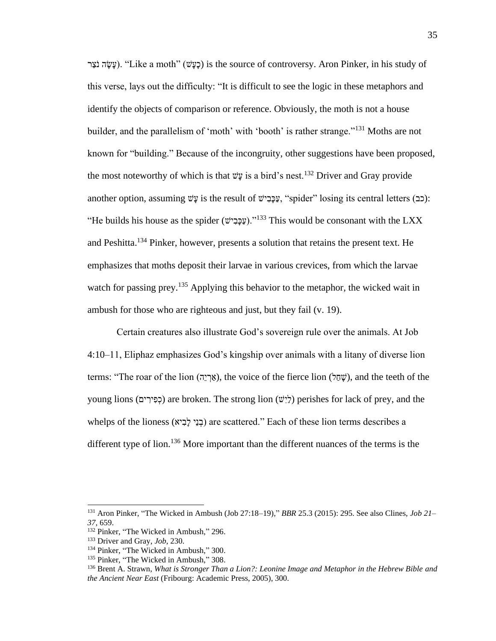רַצֹּעָה נֹצֵר). "Like a moth" (כעיש) is the source of controversy. Aron Pinker, in his study of this verse, lays out the difficulty: "It is difficult to see the logic in these metaphors and identify the objects of comparison or reference. Obviously, the moth is not a house builder, and the parallelism of 'moth' with 'booth' is rather strange."<sup>131</sup> Moths are not known for "building." Because of the incongruity, other suggestions have been proposed, the most noteworthy of which is that שָּע is a bird's nest.<sup>132</sup> Driver and Gray provide another option, assuming *עֹצֶ* is the result of  $\psi$ יָפֶּבָל, "spider" losing its central letters (כב): "He builds his house as the spider (עֲכָּבִישׁ)."<sup>133</sup> This would be consonant with the LXX and Peshitta.<sup>134</sup> Pinker, however, presents a solution that retains the present text. He emphasizes that moths deposit their larvae in various crevices, from which the larvae watch for passing prey.<sup>135</sup> Applying this behavior to the metaphor, the wicked wait in ambush for those who are righteous and just, but they fail (v. 19).

Certain creatures also illustrate God's sovereign rule over the animals. At Job 4:10–11, Eliphaz emphasizes God's kingship over animals with a litany of diverse lion terms: "The roar of the lion (אֲרְיֶה), the voice of the fierce lion (שָׁחֲל), and the teeth of the young lions (כְפִירִים) are broken. The strong lion (לֵישׁ) perishes for lack of prey, and the whelps of the lioness (בְנֵי לְבִיא) are scattered." Each of these lion terms describes a different type of lion.<sup>136</sup> More important than the different nuances of the terms is the

<sup>131</sup> Aron Pinker, "The Wicked in Ambush (Job 27:18–19)," *BBR* 25.3 (2015): 295. See also Clines, *Job 21– 37*, 659.

<sup>&</sup>lt;sup>132</sup> Pinker, "The Wicked in Ambush," 296.

<sup>133</sup> Driver and Gray, *Job*, 230.

<sup>&</sup>lt;sup>134</sup> Pinker, "The Wicked in Ambush," 300.

<sup>&</sup>lt;sup>135</sup> Pinker, "The Wicked in Ambush," 308.

<sup>136</sup> Brent A. Strawn, *What is Stronger Than a Lion?: Leonine Image and Metaphor in the Hebrew Bible and the Ancient Near East* (Fribourg: Academic Press, 2005), 300.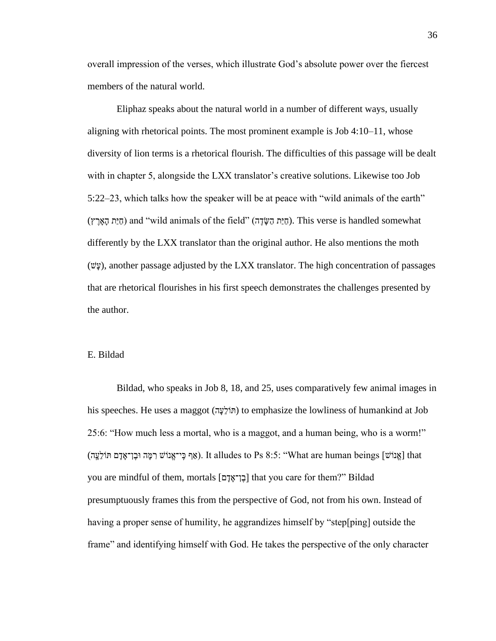overall impression of the verses, which illustrate God's absolute power over the fiercest members of the natural world.

Eliphaz speaks about the natural world in a number of different ways, usually aligning with rhetorical points. The most prominent example is Job 4:10–11, whose diversity of lion terms is a rhetorical flourish. The difficulties of this passage will be dealt with in chapter 5, alongside the LXX translator's creative solutions. Likewise too Job 5:22–23, which talks how the speaker will be at peace with "wild animals of the earth" הַיָּת הָאָרֶץ) and "wild animals of the field" (חַיַּת הַשֶּׂדֶה). This verse is handled somewhat differently by the LXX translator than the original author. He also mentions the moth  $(v\ddot{v})$ , another passage adjusted by the LXX translator. The high concentration of passages that are rhetorical flourishes in his first speech demonstrates the challenges presented by the author.

## E. Bildad

Bildad, who speaks in Job 8, 18, and 25, uses comparatively few animal images in his speeches. He uses a maggot (תּוֹלָעֲה) to emphasize the lowliness of humankind at Job 25:6: "How much less a mortal, who is a maggot, and a human being, who is a worm!" (אֵף כֵּי־אֱנוֹשׁ רִמֶּה וּבֵן־אַדָּם תּוֹלֵעֲה). It alludes to Ps 8:5: "What are human beings [אֲנוֹשׁ דָּ הַ you are mindful of them, mortals [בן־אדם] that you care for them?" Bildad presumptuously frames this from the perspective of God, not from his own. Instead of having a proper sense of humility, he aggrandizes himself by "step[ping] outside the frame" and identifying himself with God. He takes the perspective of the only character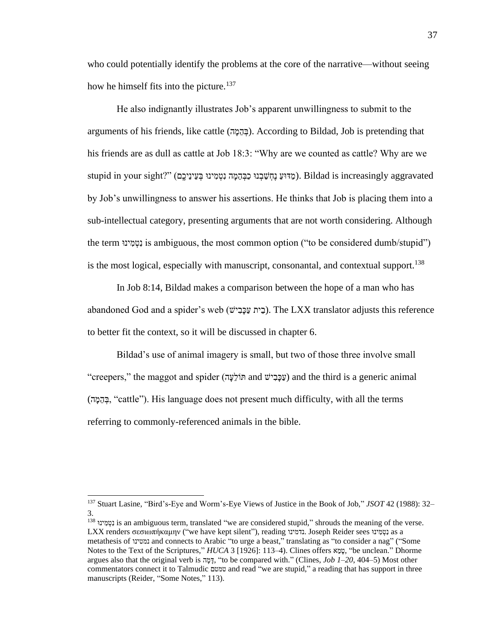who could potentially identify the problems at the core of the narrative—without seeing how he himself fits into the picture.<sup>137</sup>

He also indignantly illustrates Job's apparent unwillingness to submit to the arguments of his friends, like cattle (בְּהֶמֵה). According to Bildad, Job is pretending that his friends are as dull as cattle at Job 18:3: "Why are we counted as cattle? Why are we stupid in your sight?" (מַדּוּעַ נֵחְשֵׁבְנוּ כַבְּהֶמָּה נִטְמְינוּ בְעֵינֵיכֶם). Bildad is increasingly aggravated by Job's unwillingness to answer his assertions. He thinks that Job is placing them into a sub-intellectual category, presenting arguments that are not worth considering. Although the term נִוּטְמִינוּ is ambiguous, the most common option ("to be considered dumb/stupid") is the most logical, especially with manuscript, consonantal, and contextual support.<sup>138</sup>

In Job 8:14, Bildad makes a comparison between the hope of a man who has abandoned God and a spider's web (בֵית עַכָּבִישׁ). The LXX translator adjusts this reference to better fit the context, so it will be discussed in chapter 6.

Bildad's use of animal imagery is small, but two of those three involve small "creepers," the maggot and spider (עַכָּבִישׁ and  $y$ וֹלֵעָה) and the third is a generic animal (ה ָּמֵה ְב," cattle"). His language does not present much difficulty, with all the terms referring to commonly-referenced animals in the bible.

<sup>137</sup> Stuart Lasine, "Bird's-Eye and Worm's-Eye Views of Justice in the Book of Job," *JSOT* 42 (1988): 32– 3.

<sup>138</sup> וּינ ִׁמ ְטִׁנ is an ambiguous term, translated "we are considered stupid," shrouds the meaning of the verse. LXX renders σεσιωπήκαμην ("we have kept silent"), reading נדמינו. Joseph Reider sees וּינ ִׁמ ְטִׁנ as a metathesis of נמטינו and connects to Arabic "to urge a beast," translating as "to consider a nag" ("Some Notes to the Text of the Scriptures," *HUCA* 3 [1926]: 113–4). Clines offers א ֵמ ָּט," be unclean." Dhorme argues also that the original verb is הָמָה, "to be compared with." (Clines, *Job 1–20*, 404–5) Most other commentators connect it to Talmudic טמטם and read "we are stupid," a reading that has support in three manuscripts (Reider, "Some Notes," 113).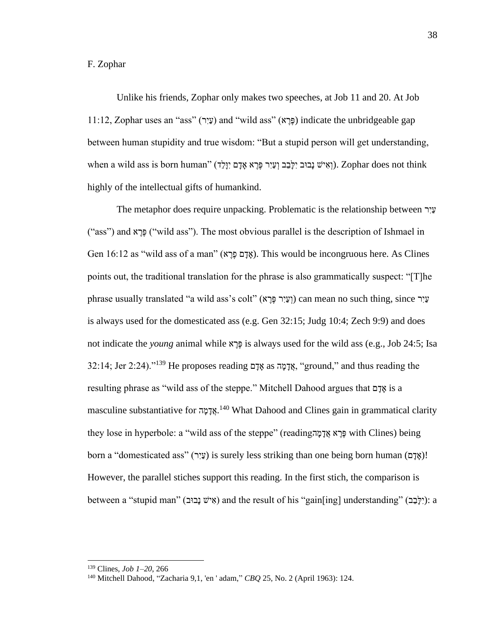# F. Zophar

Unlike his friends, Zophar only makes two speeches, at Job 11 and 20. At Job 11:12, Zophar uses an "ass" (עֵיִר) and "wild ass" (פֵּרֵא) indicate the unbridgeable gap between human stupidity and true wisdom: "But a stupid person will get understanding,  $\kappa$ וְ יִוּלֵד). Zophar does not think .(וְאִישׁ נַבוּב יִלָּבֶב וְעַיִר פֶּרֶא אָדָּם יִוַּלֵד). Tophar does not think highly of the intellectual gifts of humankind.

The metaphor does require unpacking. Problematic is the relationship between רִׁיַע ("ass") and א הָיָא ("wild ass"). The most obvious parallel is the description of Ishmael in Gen 16:12 as "wild ass of a man" (אָדָם כֶּרֶא). This would be incongruous here. As Clines points out, the traditional translation for the phrase is also grammatically suspect: "[T]he phrase usually translated "a wild ass's colt" (וְעֵיִר פֵּרֵא) can mean no such thing, since עֵיר is always used for the domesticated ass (e.g. Gen 32:15; Judg 10:4; Zech 9:9) and does not indicate the *young* animal while א ֶרֶפ is always used for the wild ass (e.g., Job 24:5; Isa  $32:14$ ; Jer 2:24)."<sup>139</sup> He proposes reading  $\alpha$  as  $\alpha$ דמה as  $\alpha$ יי ground," and thus reading the resulting phrase as "wild ass of the steppe." Mitchell Dahood argues that ם ָּד ָּא is a masculine substantiative for אֲדָּמָה<sup>140</sup> What Dahood and Clines gain in grammatical clarity they lose in hyperbole: a "wild ass of the steppe" (readingה ָּמ ָּדֲא א ֶרֶפ with Clines) being born a "domesticated ass" (יציר) is surely less striking than one being born human (אדם)! However, the parallel stiches support this reading. In the first stich, the comparison is between a "stupid man" (אִישׁ נַבוּב) and the result of his "gain[ing] understanding" (יַלְבָּב): a

<sup>139</sup> Clines, *Job 1–20*, 266

<sup>140</sup> Mitchell Dahood, "Zacharia 9,1, 'en ' adam," *CBQ* 25, No. 2 (April 1963): 124.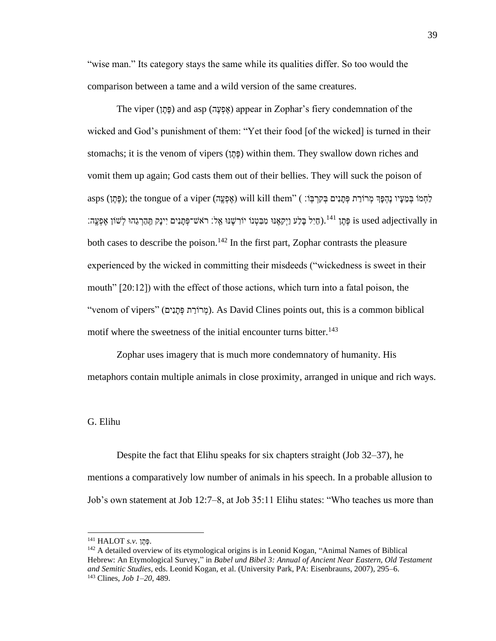"wise man." Its category stays the same while its qualities differ. So too would the comparison between a tame and a wild version of the same creatures.

The viper (פֶּתֵן) and asp (אֶפְעֲה) appear in Zophar's fiery condemnation of the wicked and God's punishment of them: "Yet their food [of the wicked] is turned in their stomachs; it is the venom of vipers (פְּחֵן) within them. They swallow down riches and vomit them up again; God casts them out of their bellies. They will suck the poison of לַחְמֹוּ בִּמְעֵיו נֶהְפָּךְ מְרוֹרַת פְּתַּנִים בְּקִרְבָּוֹ: ) will kill them" ( פֶתֶּוּ בְּמֵעָּיו נֶהְפָּך מְרוֹרַת פְתַּנִים בְּקַרְבָּוֹ: ) will kill them" ("פְתֵוּ בְּמֵעֵּיו נָהְפָּך מִרוֹרַת פִתְּנִים בְּקַרְבָּו is used adjectivally in פֶּתֵן <sup>141</sup>.(חַיִּל בַּלַע וַיִּקְאֶנּוּ מִבְּטְנוֹ יוֹרְשֶׁנּוּ אֱל: רֹאש־פְּתַנִים יִינַק תַּהַרְגֵהוּ לְשׁוֹן אֶפְעֱה: both cases to describe the poison.<sup>142</sup> In the first part, Zophar contrasts the pleasure experienced by the wicked in committing their misdeeds ("wickedness is sweet in their mouth" [20:12]) with the effect of those actions, which turn into a fatal poison, the "venom of vipers" (מְרוֹרַת פְּתַנִים). As David Clines points out, this is a common biblical motif where the sweetness of the initial encounter turns bitter.<sup>143</sup>

Zophar uses imagery that is much more condemnatory of humanity. His metaphors contain multiple animals in close proximity, arranged in unique and rich ways.

#### G. Elihu

Despite the fact that Elihu speaks for six chapters straight (Job 32–37), he mentions a comparatively low number of animals in his speech. In a probable allusion to Job's own statement at Job 12:7–8, at Job 35:11 Elihu states: "Who teaches us more than

<sup>.</sup>פֶתֶ ן *.v.s* HALOT <sup>141</sup>

<sup>&</sup>lt;sup>142</sup> A detailed overview of its etymological origins is in Leonid Kogan, "Animal Names of Biblical Hebrew: An Etymological Survey," in *Babel und Bibel 3: Annual of Ancient Near Eastern, Old Testament and Semitic Studies*, eds. Leonid Kogan, et al. (University Park, PA: Eisenbrauns, 2007), 295–6. <sup>143</sup> Clines, *Job 1–20*, 489.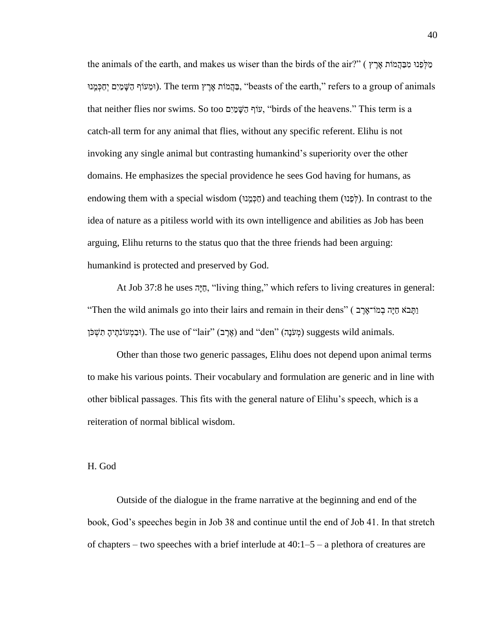the animals of the earth, and makes us wiser than the birds of the air?" ( אֲרֵץ יָא וּמִכְּהֲמוֹת אֲרֵץ וּמֵעּוֹת אֵרֵץ The term הַמָּמֹות אַרֶץ). The term הַמֹּוֹת אֵרֶץ ('beasts of the earth,'' refers to a group of animals that neither flies nor swims. So too עוֹף הַשֵּׁמַיִם, "birds of the heavens." This term is a catch-all term for any animal that flies, without any specific referent. Elihu is not invoking any single animal but contrasting humankind's superiority over the other domains. He emphasizes the special providence he sees God having for humans, as endowing them with a special wisdom (וֹכָּמֲנוּ) and teaching them (לְפָנוּ). In contrast to the idea of nature as a pitiless world with its own intelligence and abilities as Job has been arguing, Elihu returns to the status quo that the three friends had been arguing: humankind is protected and preserved by God.

At Job 37:8 he uses הָּיַח," living thing," which refers to living creatures in general: "Then the wild animals go into their lairs and remain in their dens" ( בְּחֹבָא הָיה בְּמוֹ־אֹרֶב וּבְמְעוֹנֹתֶיהָ תִשְׁכֹּן). The use of "lair" (אֶרֶב) and "den" (מְעֹנָה) suggests wild animals.

Other than those two generic passages, Elihu does not depend upon animal terms to make his various points. Their vocabulary and formulation are generic and in line with other biblical passages. This fits with the general nature of Elihu's speech, which is a reiteration of normal biblical wisdom.

#### H. God

Outside of the dialogue in the frame narrative at the beginning and end of the book, God's speeches begin in Job 38 and continue until the end of Job 41. In that stretch of chapters – two speeches with a brief interlude at  $40:1-5$  – a plethora of creatures are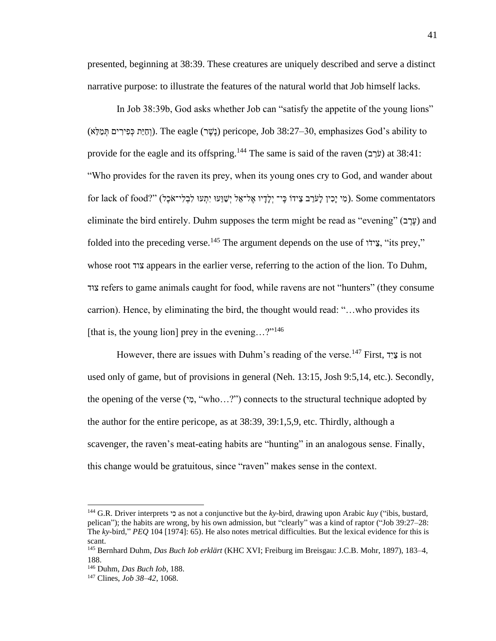presented, beginning at 38:39. These creatures are uniquely described and serve a distinct narrative purpose: to illustrate the features of the natural world that Job himself lacks.

In Job 38:39b, God asks whether Job can "satisfy the appetite of the young lions" וֹתֵיַת כִּפִּירִים תְּמֵלֵא) pericope, Job 38:27–30, emphasizes God's ability to provide for the eagle and its offspring.<sup>144</sup> The same is said of the raven (עֹרָב) at 38:41: "Who provides for the raven its prey, when its young ones cry to God, and wander about  $\alpha$ וֹ יָּכֵּי יָלְנִי ב אֲידוֹ כֵּי־ יְלָדֵּיו אֱל־אֶל יְשָׁוֵעוּ יְתְעוּ לְבְלִי־אֹכֶל). Some commentators eliminate the bird entirely. Duhm supposes the term might be read as "evening" (עֶרֶב ) and folded into the preceding verse.<sup>145</sup> The argument depends on the use of וֹידֵצ," its prey," whose root צוד appears in the earlier verse, referring to the action of the lion. To Duhm, ודּצ refers to game animals caught for food, while ravens are not "hunters" (they consume carrion). Hence, by eliminating the bird, the thought would read: "…who provides its [that is, the young lion] prey in the evening...?"<sup>146</sup>

However, there are issues with Duhm's reading of the verse.<sup>147</sup> First, דִׁיַצ is not used only of game, but of provisions in general (Neh. 13:15, Josh 9:5,14, etc.). Secondly, the opening of the verse ( $\gamma$ , "who...?") connects to the structural technique adopted by the author for the entire pericope, as at 38:39, 39:1,5,9, etc. Thirdly, although a scavenger, the raven's meat-eating habits are "hunting" in an analogous sense. Finally, this change would be gratuitous, since "raven" makes sense in the context.

<sup>144</sup> G.R. Driver interprets י ִׁכ as not a conjunctive but the *ky-*bird, drawing upon Arabic *kuy* ("ibis, bustard, pelican"); the habits are wrong, by his own admission, but "clearly" was a kind of raptor ("Job 39:27–28: The *ky*-bird," *PEQ* 104 [1974]: 65). He also notes metrical difficulties. But the lexical evidence for this is scant.

<sup>145</sup> Bernhard Duhm, *Das Buch Iob erklärt* (KHC XVI; Freiburg im Breisgau: J.C.B. Mohr, 1897), 183–4, 188.

<sup>146</sup> Duhm, *Das Buch Iob*, 188.

<sup>147</sup> Clines, *Job 38–42*, 1068.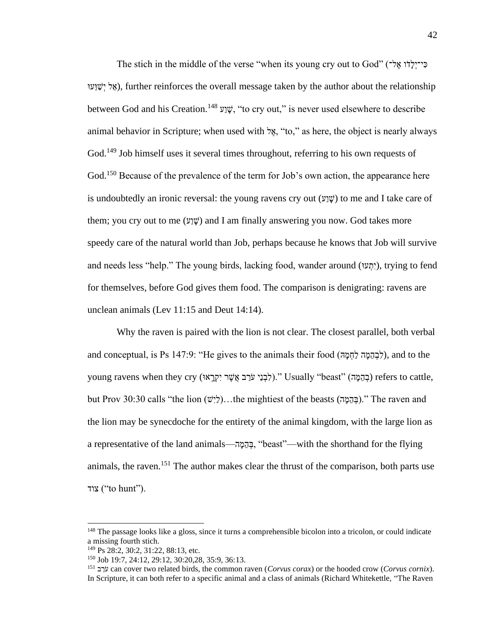The stich in the middle of the verse "when its young cry out to God" (לֹדוֹ אֱלֹי יִי אָל יִשָּׁוַעוּ), further reinforces the overall message taken by the author about the relationship between God and his Creation.<sup>148</sup> עֲוֹע<sup>048</sup>, "to cry out," is never used elsewhere to describe animal behavior in Scripture; when used with 'אֱל, "to," as here, the object is nearly always God.<sup>149</sup> Job himself uses it several times throughout, referring to his own requests of God.<sup>150</sup> Because of the prevalence of the term for Job's own action, the appearance here is undoubtedly an ironic reversal: the young ravens cry out  $(\mathcal{V}, \mathcal{V})$  to me and I take care of them; you cry out to me  $(y\psi)$  and I am finally answering you now. God takes more speedy care of the natural world than Job, perhaps because he knows that Job will survive and needs less "help." The young birds, lacking food, wander around (יְתִעוּ), trying to fend for themselves, before God gives them food. The comparison is denigrating: ravens are unclean animals (Lev 11:15 and Deut 14:14).

Why the raven is paired with the lion is not clear. The closest parallel, both verbal and conceptual, is Ps 147:9: "He gives to the animals their food (לְבְהֶמֵה  $\gamma$ ), and to the young ravens when they cry (בְרֵאֵי עֹרֵב אֲשֶׁר יִקְרֵאוּ) "Usually "beast" (בְהֶמֵּה) refers to cattle, but Prov 30:30 calls "the lion ( $\forall$ לִיש)...the mightiest of the beasts (בְּהֵמָה)." The raven and the lion may be synecdoche for the entirety of the animal kingdom, with the large lion as a representative of the land animals—הֲהֲמָה, "beast"—with the shorthand for the flying animals, the raven.<sup>151</sup> The author makes clear the thrust of the comparison, both parts use צוד $^{\prime\prime}$ to hunt").

<sup>&</sup>lt;sup>148</sup> The passage looks like a gloss, since it turns a comprehensible bicolon into a tricolon, or could indicate a missing fourth stich.

<sup>&</sup>lt;sup>149</sup> Ps 28:2, 30:2, 31:22, 88:13, etc.

<sup>150</sup> Job 19:7, 24:12, 29:12, 30:20,28, 35:9, 36:13.

<sup>151</sup> ב ֵרֹע can cover two related birds, the common raven (*Corvus corax*) or the hooded crow (*Corvus cornix*). In Scripture, it can both refer to a specific animal and a class of animals (Richard Whitekettle, "The Raven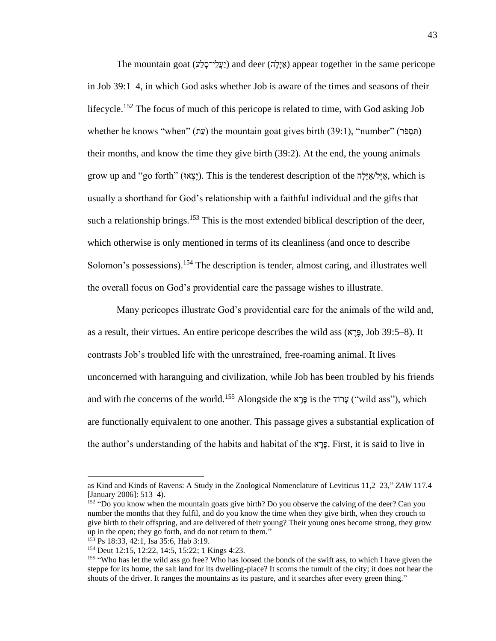The mountain goat (אֲיָלָי־סָלָע) and deer (אֵילָה) appear together in the same pericope in Job 39:1–4, in which God asks whether Job is aware of the times and seasons of their lifecycle.<sup>152</sup> The focus of much of this pericope is related to time, with God asking Job whether he knows "when" (עֲת) the mountain goat gives birth (39:1), "number" (הִסְפֹּר) their months, and know the time they give birth (39:2). At the end, the young animals grow up and "go forth" (וּא ְצָּי(. This is the tenderest description of the הָּלָּי ַא/לָּי ַא, which is usually a shorthand for God's relationship with a faithful individual and the gifts that such a relationship brings.<sup>153</sup> This is the most extended biblical description of the deer, which otherwise is only mentioned in terms of its cleanliness (and once to describe Solomon's possessions).<sup>154</sup> The description is tender, almost caring, and illustrates well the overall focus on God's providential care the passage wishes to illustrate.

Many pericopes illustrate God's providential care for the animals of the wild and, as a result, their virtues. An entire pericope describes the wild ass  $(\mathbb{R}, \mathbb{R})$ , Job 39:5–8). It contrasts Job's troubled life with the unrestrained, free-roaming animal. It lives unconcerned with haranguing and civilization, while Job has been troubled by his friends and with the concerns of the world.<sup>155</sup> Alongside the נְכֵא is the עֲרוֹד ("wild ass"), which are functionally equivalent to one another. This passage gives a substantial explication of the author's understanding of the habits and habitat of the א ֶרֶפ. First, it is said to live in

as Kind and Kinds of Ravens: A Study in the Zoological Nomenclature of Leviticus 11,2–23," *ZAW* 117.4 [January 2006]: 513–4).

<sup>&</sup>lt;sup>152</sup> "Do you know when the mountain goats give birth? Do you observe the calving of the deer? Can you number the months that they fulfil, and do you know the time when they give birth, when they crouch to give birth to their offspring, and are delivered of their young? Their young ones become strong, they grow up in the open; they go forth, and do not return to them."

<sup>153</sup> Ps 18:33, 42:1, Isa 35:6, Hab 3:19.

<sup>154</sup> Deut 12:15, 12:22, 14:5, 15:22; 1 Kings 4:23.

<sup>&</sup>lt;sup>155</sup> "Who has let the wild ass go free? Who has loosed the bonds of the swift ass, to which I have given the steppe for its home, the salt land for its dwelling-place? It scorns the tumult of the city; it does not hear the shouts of the driver. It ranges the mountains as its pasture, and it searches after every green thing."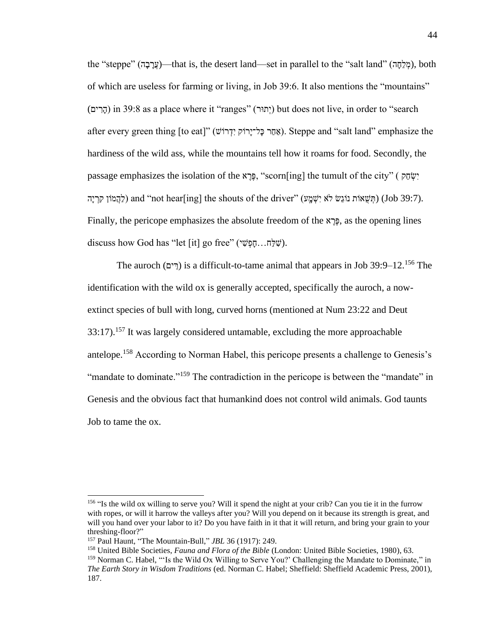the "steppe" (מִלְחָה) that is, the desert land—set in parallel to the "salt land" (מִלְחָה), both of which are useless for farming or living, in Job 39:6. It also mentions the "mountains" (ים ִׁרָּה (in 39:8 as a place where it "ranges" (ורּתְי (but does not live, in order to "search after every green thing [to eat]" (אֲחֵר כַּל־יַרוֹק יִדְרוֹשׁ ). Steppe and "salt land" emphasize the hardiness of the wild ass, while the mountains tell how it roams for food. Secondly, the passage emphasizes the isolation of the יְשָׂהַק, "scorn[ing] the tumult of the city" ( יָשׂהַק מֹהָ (תִּשְׁאוֹת נוֹגֵשׁ לֹא יִשְׁמֵע) (Job 39:7). (Tob 39:7) הַשְּׁאוֹת נוֹגֵשׁ לֹא יִשְׁמֵע) (Job 39:7). Finally, the pericope emphasizes the absolute freedom of the א ֶרֶפ, as the opening lines discuss how God has "let [it] go free" (ישָׁלָה...חַפְשָׁי).

The auroch (רֵים) is a difficult-to-tame animal that appears in Job 39:9–12.<sup>156</sup> The identification with the wild ox is generally accepted, specifically the auroch, a nowextinct species of bull with long, curved horns (mentioned at Num 23:22 and Deut  $33:17$ ).<sup>157</sup> It was largely considered untamable, excluding the more approachable antelope.<sup>158</sup> According to Norman Habel, this pericope presents a challenge to Genesis's "mandate to dominate."<sup>159</sup> The contradiction in the pericope is between the "mandate" in Genesis and the obvious fact that humankind does not control wild animals. God taunts Job to tame the ox.

<sup>&</sup>lt;sup>156</sup> "Is the wild ox willing to serve you? Will it spend the night at your crib? Can you tie it in the furrow with ropes, or will it harrow the valleys after you? Will you depend on it because its strength is great, and will you hand over your labor to it? Do you have faith in it that it will return, and bring your grain to your threshing-floor?"

<sup>157</sup> Paul Haunt, "The Mountain-Bull," *JBL* 36 (1917): 249.

<sup>158</sup> United Bible Societies, *Fauna and Flora of the Bible* (London: United Bible Societies, 1980), 63.

<sup>159</sup> Norman C. Habel, "'Is the Wild Ox Willing to Serve You?' Challenging the Mandate to Dominate," in *The Earth Story in Wisdom Traditions* (ed. Norman C. Habel; Sheffield: Sheffield Academic Press, 2001), 187.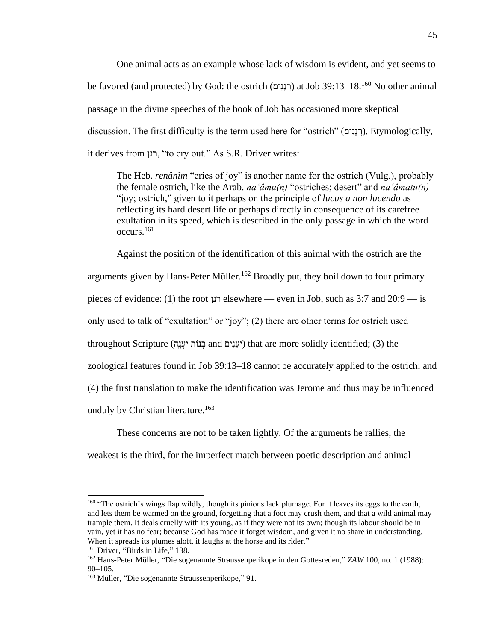One animal acts as an example whose lack of wisdom is evident, and yet seems to be favored (and protected) by God: the ostrich (רְנַנִּים) at Job 39:13–18.<sup>160</sup> No other animal passage in the divine speeches of the book of Job has occasioned more skeptical discussion. The first difficulty is the term used here for "ostrich" (יםִׁנָּנ ְר(. Etymologically, it derives from רנן," to cry out." As S.R. Driver writes:

The Heb. *renânîm* "cries of joy" is another name for the ostrich (Vulg.), probably the female ostrich, like the Arab. *na'âmu(n)* "ostriches; desert" and *na'âmatu(n)* "joy; ostrich," given to it perhaps on the principle of *lucus a non lucendo* as reflecting its hard desert life or perhaps directly in consequence of its carefree exultation in its speed, which is described in the only passage in which the word occurs.<sup>161</sup>

Against the position of the identification of this animal with the ostrich are the arguments given by Hans-Peter Müller.<sup>162</sup> Broadly put, they boil down to four primary pieces of evidence: (1) the root רנן elsewhere — even in Job, such as 3:7 and 20:9 — is only used to talk of "exultation" or "joy"; (2) there are other terms for ostrich used throughout Scripture (יעֲנִים and יעֲנָים) that are more solidly identified; (3) the zoological features found in Job 39:13–18 cannot be accurately applied to the ostrich; and (4) the first translation to make the identification was Jerome and thus may be influenced unduly by Christian literature.<sup>163</sup>

These concerns are not to be taken lightly. Of the arguments he rallies, the weakest is the third, for the imperfect match between poetic description and animal

<sup>&</sup>lt;sup>160</sup> "The ostrich's wings flap wildly, though its pinions lack plumage. For it leaves its eggs to the earth, and lets them be warmed on the ground, forgetting that a foot may crush them, and that a wild animal may trample them. It deals cruelly with its young, as if they were not its own; though its labour should be in vain, yet it has no fear; because God has made it forget wisdom, and given it no share in understanding. When it spreads its plumes aloft, it laughs at the horse and its rider."

<sup>&</sup>lt;sup>161</sup> Driver, "Birds in Life," 138.

<sup>162</sup> Hans-Peter Müller, "Die sogenannte Straussenperikope in den Gottesreden," *ZAW* 100, no. 1 (1988): 90–105.

<sup>&</sup>lt;sup>163</sup> Müller, "Die sogenannte Straussenperikope," 91.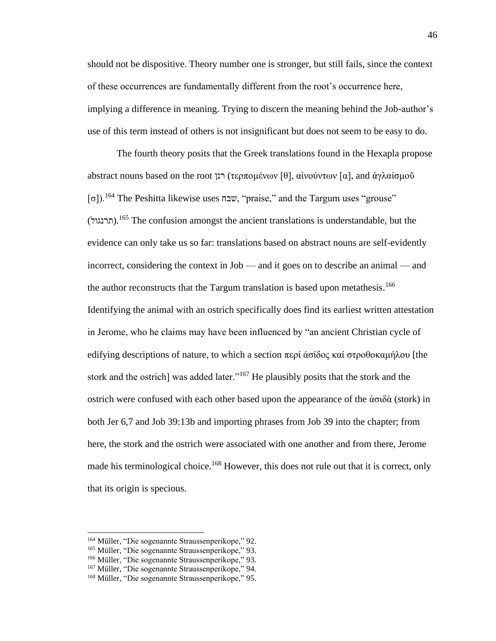should not be dispositive. Theory number one is stronger, but still fails, since the context of these occurrences are fundamentally different from the root's occurrence here, implying a difference in meaning. Trying to discern the meaning behind the Job-author's use of this term instead of others is not insignificant but does not seem to be easy to do.

The fourth theory posits that the Greek translations found in the Hexapla propose abstract nouns based on the root רנן) τερπομένων [θ], αἰνούντων [α], and άγλαίσμοῦ  $\lceil \sigma \rceil$ ).<sup>164</sup> The Peshitta likewise uses  $w$ , "praise," and the Targum uses "grouse" (תרנגול).<sup>165</sup> The confusion amongst the ancient translations is understandable, but the evidence can only take us so far: translations based on abstract nouns are self-evidently incorrect, considering the context in Job — and it goes on to describe an animal — and the author reconstructs that the Targum translation is based upon metathesis.<sup>166</sup> Identifying the animal with an ostrich specifically does find its earliest written attestation in Jerome, who he claims may have been influenced by "an ancient Christian cycle of edifying descriptions of nature, to which a section περί άσίδος καί στροθοκαμήλου [the stork and the ostrich] was added later."<sup>167</sup> He plausibly posits that the stork and the ostrich were confused with each other based upon the appearance of the ἀσιδὰ (stork) in both Jer 6,7 and Job 39:13b and importing phrases from Job 39 into the chapter; from here, the stork and the ostrich were associated with one another and from there, Jerome made his terminological choice.<sup>168</sup> However, this does not rule out that it is correct, only that its origin is specious.

<sup>164</sup> Müller, "Die sogenannte Straussenperikope," 92.

<sup>165</sup> Müller, "Die sogenannte Straussenperikope," 93.

<sup>166</sup> Müller, "Die sogenannte Straussenperikope," 93.

<sup>&</sup>lt;sup>167</sup> Müller, "Die sogenannte Straussenperikope," 94.

<sup>168</sup> Müller, "Die sogenannte Straussenperikope," 95.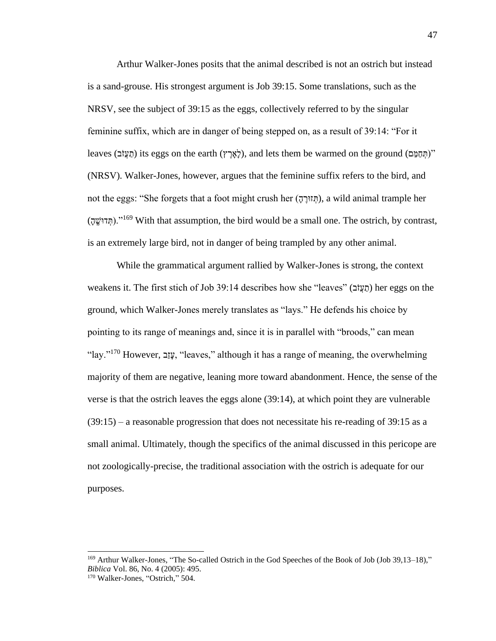Arthur Walker-Jones posits that the animal described is not an ostrich but instead is a sand-grouse. His strongest argument is Job 39:15. Some translations, such as the NRSV, see the subject of 39:15 as the eggs, collectively referred to by the singular feminine suffix, which are in danger of being stepped on, as a result of 39:14: "For it leaves (תַעֲזֹב) its eggs on the earth (לְאֵרֵץ), and lets them be warmed on the ground (תַעֲזֹב)" (NRSV). Walker-Jones, however, argues that the feminine suffix refers to the bird, and not the eggs: "She forgets that a foot might crush her ( ָּה ֶורּז ְת(, a wild animal trample her (תְּדוֹשֵׁה)."<sup>169</sup> With that assumption, the bird would be a small one. The ostrich, by contrast, is an extremely large bird, not in danger of being trampled by any other animal.

While the grammatical argument rallied by Walker-Jones is strong, the context weakens it. The first stich of Job 39:14 describes how she "leaves" (בֹזֲע ַת (her eggs on the ground, which Walker-Jones merely translates as "lays." He defends his choice by pointing to its range of meanings and, since it is in parallel with "broods," can mean "lay."<sup>170</sup> However, <u>יו</u>ב, "leaves," although it has a range of meaning, the overwhelming majority of them are negative, leaning more toward abandonment. Hence, the sense of the verse is that the ostrich leaves the eggs alone (39:14), at which point they are vulnerable  $(39:15)$  – a reasonable progression that does not necessitate his re-reading of 39:15 as a small animal. Ultimately, though the specifics of the animal discussed in this pericope are not zoologically-precise, the traditional association with the ostrich is adequate for our purposes.

<sup>169</sup> Arthur Walker-Jones, "The So-called Ostrich in the God Speeches of the Book of Job (Job 39,13–18)," *Biblica* Vol. 86, No. 4 (2005): 495.

<sup>170</sup> Walker-Jones, "Ostrich," 504.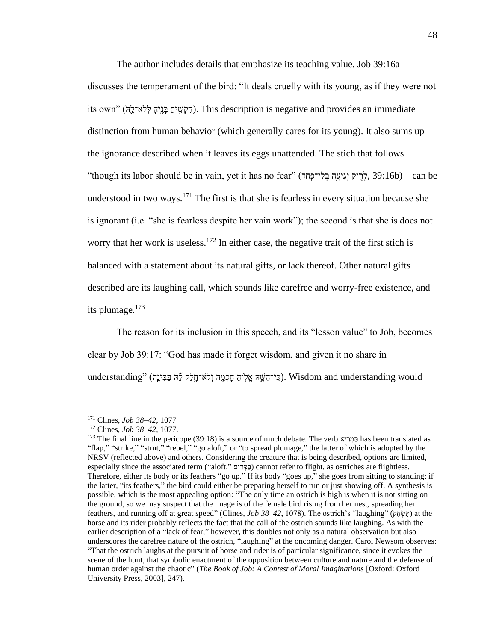The author includes details that emphasize its teaching value. Job 39:16a discusses the temperament of the bird: "It deals cruelly with its young, as if they were not its own" (הִקְשִׁים בָּנֶיהָ לְלֹא־לֶה). This description is negative and provides an immediate distinction from human behavior (which generally cares for its young). It also sums up the ignorance described when it leaves its eggs unattended. The stich that follows – "though its labor should be in vain, yet it has no fear" (דְיִיק יְגִיעֱהּ בְּלִי־פָּחֲד), 39:16b) – can be understood in two ways.<sup>171</sup> The first is that she is fearless in every situation because she is ignorant (i.e. "she is fearless despite her vain work"); the second is that she is does not worry that her work is useless.<sup>172</sup> In either case, the negative trait of the first stich is balanced with a statement about its natural gifts, or lack thereof. Other natural gifts described are its laughing call, which sounds like carefree and worry-free existence, and its plumage. $173$ 

The reason for its inclusion in this speech, and its "lesson value" to Job, becomes clear by Job 39:17: "God has made it forget wisdom, and given it no share in understanding" (כֵּי־הָשָּׁהּ אֱלְוּהַ חָכְמֱה וְלֹא־חֲלִק לָּהּ בַּבִּינֵה). Wisdom and understanding would

<sup>171</sup> Clines, *Job 38–42*, 1077

<sup>172</sup> Clines, *Job 38–42*, 1077.

<sup>173</sup> The final line in the pericope (39:18) is a source of much debate. The verb המריא has been translated as "flap," "strike," "strut," "rebel," "go aloft," or "to spread plumage," the latter of which is adopted by the NRSV (reflected above) and others. Considering the creature that is being described, options are limited, especially since the associated term ("aloft," בַּמֵּרוֹם) cannot refer to flight, as ostriches are flightless. Therefore, either its body or its feathers "go up." If its body "goes up," she goes from sitting to standing; if the latter, "its feathers," the bird could either be preparing herself to run or just showing off. A synthesis is possible, which is the most appealing option: "The only time an ostrich is high is when it is not sitting on the ground, so we may suspect that the image is of the female bird rising from her nest, spreading her feathers, and running off at great speed" (Clines, *Job 38–42*, 1078). The ostrich's "laughing" (קַחָּשֶׂהָ) at the horse and its rider probably reflects the fact that the call of the ostrich sounds like laughing. As with the earlier description of a "lack of fear," however, this doubles not only as a natural observation but also underscores the carefree nature of the ostrich, "laughing" at the oncoming danger. Carol Newsom observes: "That the ostrich laughs at the pursuit of horse and rider is of particular significance, since it evokes the scene of the hunt, that symbolic enactment of the opposition between culture and nature and the defense of human order against the chaotic" (*The Book of Job: A Contest of Moral Imaginations* [Oxford: Oxford University Press, 2003], 247).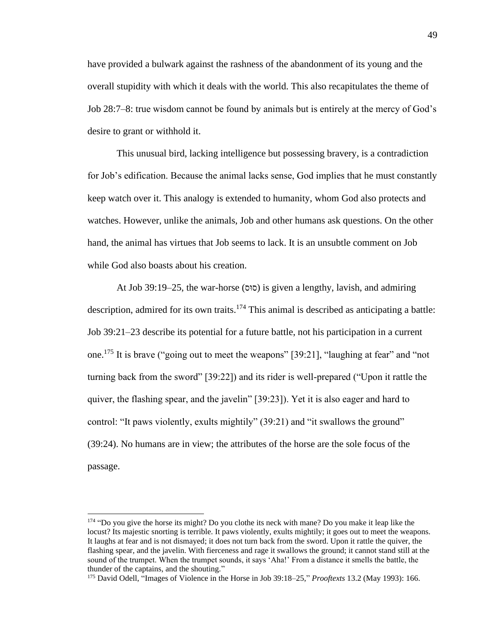have provided a bulwark against the rashness of the abandonment of its young and the overall stupidity with which it deals with the world. This also recapitulates the theme of Job 28:7–8: true wisdom cannot be found by animals but is entirely at the mercy of God's desire to grant or withhold it.

This unusual bird, lacking intelligence but possessing bravery, is a contradiction for Job's edification. Because the animal lacks sense, God implies that he must constantly keep watch over it. This analogy is extended to humanity, whom God also protects and watches. However, unlike the animals, Job and other humans ask questions. On the other hand, the animal has virtues that Job seems to lack. It is an unsubtle comment on Job while God also boasts about his creation.

At Job 39:19–25, the war-horse (סוּס) is given a lengthy, lavish, and admiring description, admired for its own traits.<sup>174</sup> This animal is described as anticipating a battle: Job 39:21–23 describe its potential for a future battle, not his participation in a current one.<sup>175</sup> It is brave ("going out to meet the weapons" [39:21], "laughing at fear" and "not turning back from the sword" [39:22]) and its rider is well-prepared ("Upon it rattle the quiver, the flashing spear, and the javelin" [39:23]). Yet it is also eager and hard to control: "It paws violently, exults mightily" (39:21) and "it swallows the ground" (39:24). No humans are in view; the attributes of the horse are the sole focus of the passage.

<sup>&</sup>lt;sup>174</sup> "Do you give the horse its might? Do you clothe its neck with mane? Do you make it leap like the locust? Its majestic snorting is terrible. It paws violently, exults mightily; it goes out to meet the weapons. It laughs at fear and is not dismayed; it does not turn back from the sword. Upon it rattle the quiver, the flashing spear, and the javelin. With fierceness and rage it swallows the ground; it cannot stand still at the sound of the trumpet. When the trumpet sounds, it says 'Aha!' From a distance it smells the battle, the thunder of the captains, and the shouting."

<sup>175</sup> David Odell, "Images of Violence in the Horse in Job 39:18–25," *Prooftexts* 13.2 (May 1993): 166.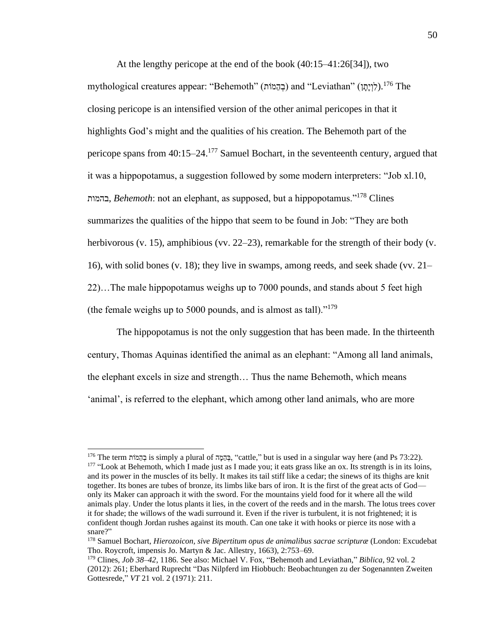At the lengthy pericope at the end of the book (40:15–41:26[34]), two mythological creatures appear: "Behemoth" (בְהֶמוֹת) and "Leviathan" (לְוְיָתֵן).<sup>176</sup> The closing pericope is an intensified version of the other animal pericopes in that it highlights God's might and the qualities of his creation. The Behemoth part of the pericope spans from  $40:15-24$ <sup>177</sup> Samuel Bochart, in the seventeenth century, argued that it was a hippopotamus, a suggestion followed by some modern interpreters: "Job xl.10, בהמות, *Behemoth*: not an elephant, as supposed, but a hippopotamus."<sup>178</sup> Clines summarizes the qualities of the hippo that seem to be found in Job: "They are both herbivorous (v. 15), amphibious (vv. 22–23), remarkable for the strength of their body (v. 16), with solid bones (v. 18); they live in swamps, among reeds, and seek shade (vv. 21– 22)…The male hippopotamus weighs up to 7000 pounds, and stands about 5 feet high (the female weighs up to 5000 pounds, and is almost as tall). $1^{179}$ 

The hippopotamus is not the only suggestion that has been made. In the thirteenth century, Thomas Aquinas identified the animal as an elephant: "Among all land animals, the elephant excels in size and strength… Thus the name Behemoth, which means 'animal', is referred to the elephant, which among other land animals, who are more

<sup>176</sup> The term ותֹמֵה ְב is simply a plural of ה ָּמֵה ְב," cattle," but is used in a singular way here (and Ps 73:22). <sup>177</sup> "Look at Behemoth, which I made just as I made you; it eats grass like an ox. Its strength is in its loins, and its power in the muscles of its belly. It makes its tail stiff like a cedar; the sinews of its thighs are knit together. Its bones are tubes of bronze, its limbs like bars of iron. It is the first of the great acts of God only its Maker can approach it with the sword. For the mountains yield food for it where all the wild animals play. Under the lotus plants it lies, in the covert of the reeds and in the marsh. The lotus trees cover it for shade; the willows of the wadi surround it. Even if the river is turbulent, it is not frightened; it is confident though Jordan rushes against its mouth. Can one take it with hooks or pierce its nose with a snare?"

<sup>178</sup> Samuel Bochart, *Hierozoicon, sive Bipertitum opus de animalibus sacrae scripturæ* (London: Excudebat Tho. Roycroft, impensis Jo. Martyn & Jac. Allestry, 1663), 2:753–69.

<sup>179</sup> Clines, *Job 38–42*, 1186. See also: Michael V. Fox, "Behemoth and Leviathan," *Biblica*, 92 vol. 2 (2012): 261; Eberhard Ruprecht "Das Nilpferd im Hiobbuch: Beobachtungen zu der Sogenannten Zweiten Gottesrede," *VT* 21 vol. 2 (1971): 211.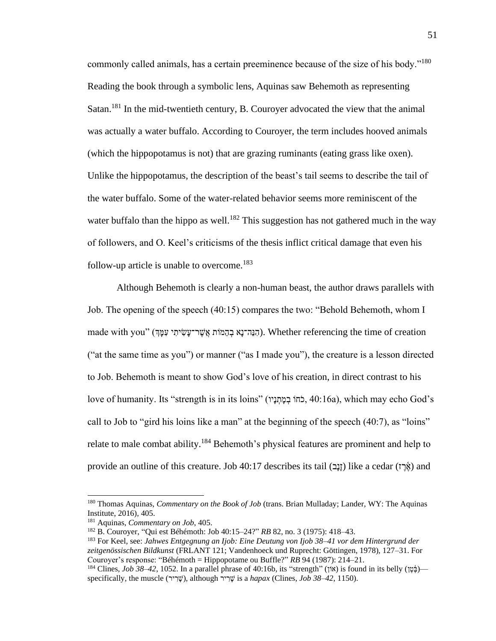commonly called animals, has a certain preeminence because of the size of his body."<sup>180</sup> Reading the book through a symbolic lens, Aquinas saw Behemoth as representing Satan.<sup>181</sup> In the mid-twentieth century, B. Courover advocated the view that the animal was actually a water buffalo. According to Couroyer, the term includes hooved animals (which the hippopotamus is not) that are grazing ruminants (eating grass like oxen). Unlike the hippopotamus, the description of the beast's tail seems to describe the tail of the water buffalo. Some of the water-related behavior seems more reminiscent of the water buffalo than the hippo as well.<sup>182</sup> This suggestion has not gathered much in the way of followers, and O. Keel's criticisms of the thesis inflict critical damage that even his follow-up article is unable to overcome.<sup>183</sup>

Although Behemoth is clearly a non-human beast, the author draws parallels with Job. The opening of the speech (40:15) compares the two: "Behold Behemoth, whom I made with you" (הָנֵה־נָא בְהֵמֹות אֲשֶׁר־עַּשָׂיתִי עִמֲךְּ). Whether referencing the time of creation ("at the same time as you") or manner ("as I made you"), the creature is a lesson directed to Job. Behemoth is meant to show God's love of his creation, in direct contrast to his love of humanity. Its "strength is in its loins" (כֹחוֹ בְמַתְנֵיו, 40:16a), which may echo God's call to Job to "gird his loins like a man" at the beginning of the speech (40:7), as "loins" relate to male combat ability.<sup>184</sup> Behemoth's physical features are prominent and help to provide an outline of this creature. Job 40:17 describes its tail (וַנֵּב) like a cedar (אֶׂרֶז) and

<sup>180</sup> Thomas Aquinas, *Commentary on the Book of Job* (trans. Brian Mulladay; Lander, WY: The Aquinas Institute, 2016), 405.

<sup>181</sup> Aquinas, *Commentary on Job*, 405.

<sup>182</sup> B. Couroyer, "Qui est Béhémoth: Job 40:15–24?" *RB* 82, no. 3 (1975): 418–43.

<sup>183</sup> For Keel, see: *Jahwes Entgegnung an Ijob: Eine Deutung von Ijob 38–41 vor dem Hintergrund der zeitgenössischen Bildkunst* (FRLANT 121; Vandenhoeck und Ruprecht: Göttingen, 1978), 127–31. For Couroyer's response: "Béhémoth = Hippopotame ou Buffle?" *RB* 94 (1987): 214–21.

<sup>&</sup>lt;sup>184</sup> Clines, *Job 38–42*, 1052. In a parallel phrase of 40:16b, its "strength" (וֹאוֹ) is found in its belly (וֹא specifically, the muscle (יֹשֶׁרִיר), although  $\ddot{\psi}$  is a *hapax* (Clines, *Job 38–42*, 1150).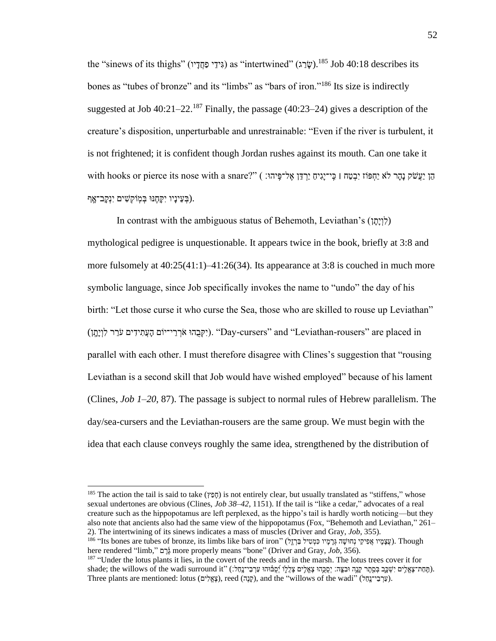the "sinews of its thighs" (גִידֵי פַחֲדַיו) as "intertwined" (שָׂבָג).<sup>185</sup> Job 40:18 describes its bones as "tubes of bronze" and its "limbs" as "bars of iron."<sup>186</sup> Its size is indirectly suggested at Job  $40:21-22$ <sup>187</sup> Finally, the passage (40:23-24) gives a description of the creature's disposition, unperturbable and unrestrainable: "Even if the river is turbulent, it is not frightened; it is confident though Jordan rushes against its mouth. Can one take it הֵן יַעֲשׂק נָהָר לֹא יַחְפּוֹז יִבְטַח | כִּי־יָגִיהַ יַרְדֵּן אֶל־פִּיהוּ: ) ("sith hooks or pierce its nose with a snare בְעֵינָיו יִקְחֶנּוּ בְּמְוֹקְשִׁים יִנְקָב־אָ**ף).** 

In contrast with the ambiguous status of Behemoth, Leviathan's (לוַיָּתַן) mythological pedigree is unquestionable. It appears twice in the book, briefly at 3:8 and more fulsomely at  $40:25(41:1)$ –41:26(34). Its appearance at 3:8 is couched in much more symbolic language, since Job specifically invokes the name to "undo" the day of his birth: "Let those curse it who curse the Sea, those who are skilled to rouse up Leviathan" וֹחֵ (יִקְּבָהוּ אֹרְרֵי־יֹוֹם הָעֲתִידִים עֹרֵר לִוְיָהָן). "Day-cursers" and "Leviathan-rousers" are placed in parallel with each other. I must therefore disagree with Clines's suggestion that "rousing Leviathan is a second skill that Job would have wished employed" because of his lament (Clines, *Job 1–20*, 87). The passage is subject to normal rules of Hebrew parallelism. The day/sea-cursers and the Leviathan-rousers are the same group. We must begin with the idea that each clause conveys roughly the same idea, strengthened by the distribution of

<sup>&</sup>lt;sup>185</sup> The action the tail is said to take (חַפָּץ) is not entirely clear, but usually translated as "stiffens," whose sexual undertones are obvious (Clines, *Job 38–42*, 1151). If the tail is "like a cedar," advocates of a real creature such as the hippopotamus are left perplexed, as the hippo's tail is hardly worth noticing—but they also note that ancients also had the same view of the hippopotamus (Fox, "Behemoth and Leviathan," 261– 2). The intertwining of its sinews indicates a mass of muscles (Driver and Gray, *Job*, 355).

עֲצָמָיו אֲפִיקֵי נְחוּשָׁה גְּרָמָיו כִּמְטִיל בַּרְזֶל). Though יונעשָמָי הוּ הַמְטִיל (עֲצָמָיו אֲפִיקֵי נִ here rendered "limb," הֲרָם more properly means "bone" (Driver and Gray, *Job*, 356).

<sup>&</sup>lt;sup>187</sup> "Under the lotus plants it lies, in the covert of the reeds and in the marsh. The lotus trees cover it for shade; the willows of the wadi surround it" (בְּחַת־צָאֱלִים יִשְׁבֵּב בְּסֶתֶר קָנֶה וּבִצֶּה: יְסֻכֶּהוּ צָאֱלִים צָאֱלִִים צִֽאֲלֵֽוּ וֹיָ Three plants are mentioned: lotus (קֶנֶה), reed (קֶנֶה), and the "willows of the wadi" (עֲרְבִי־נָקל).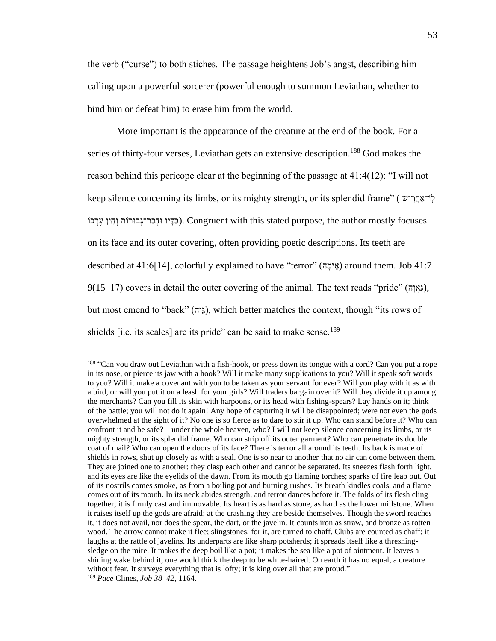the verb ("curse") to both stiches. The passage heightens Job's angst, describing him calling upon a powerful sorcerer (powerful enough to summon Leviathan, whether to bind him or defeat him) to erase him from the world.

More important is the appearance of the creature at the end of the book. For a series of thirty-four verses, Leviathan gets an extensive description.<sup>188</sup> God makes the reason behind this pericope clear at the beginning of the passage at 41:4(12): "I will not keep silence concerning its limbs, or its mighty strength, or its splendid frame" (  $\gamma$ רֹאַחֲרִישׁ נַדָּיו וּדְבַר־גְבוּרוֹת וְחִין עֶרְכָּוֹ . Congruent with this stated purpose, the author mostly focuses on its face and its outer covering, often providing poetic descriptions. Its teeth are described at 41:6[14], colorfully explained to have "terror" (אֵימַה) around them. Job 41:7–  $9(15–17)$  covers in detail the outer covering of the animal. The text reads "pride" (גַּאֲיָה), but most emend to "back" (גוֹה), which better matches the context, though "its rows of shields  $[i.e.$  its scales] are its pride" can be said to make sense.<sup>189</sup>

<sup>&</sup>lt;sup>188</sup> "Can you draw out Leviathan with a fish-hook, or press down its tongue with a cord? Can you put a rope in its nose, or pierce its jaw with a hook? Will it make many supplications to you? Will it speak soft words to you? Will it make a covenant with you to be taken as your servant for ever? Will you play with it as with a bird, or will you put it on a leash for your girls? Will traders bargain over it? Will they divide it up among the merchants? Can you fill its skin with harpoons, or its head with fishing-spears? Lay hands on it; think of the battle; you will not do it again! Any hope of capturing it will be disappointed; were not even the gods overwhelmed at the sight of it? No one is so fierce as to dare to stir it up. Who can stand before it? Who can confront it and be safe?—under the whole heaven, who? I will not keep silence concerning its limbs, or its mighty strength, or its splendid frame. Who can strip off its outer garment? Who can penetrate its double coat of mail? Who can open the doors of its face? There is terror all around its teeth. Its back is made of shields in rows, shut up closely as with a seal. One is so near to another that no air can come between them. They are joined one to another; they clasp each other and cannot be separated. Its sneezes flash forth light, and its eyes are like the eyelids of the dawn. From its mouth go flaming torches; sparks of fire leap out. Out of its nostrils comes smoke, as from a boiling pot and burning rushes. Its breath kindles coals, and a flame comes out of its mouth. In its neck abides strength, and terror dances before it. The folds of its flesh cling together; it is firmly cast and immovable. Its heart is as hard as stone, as hard as the lower millstone. When it raises itself up the gods are afraid; at the crashing they are beside themselves. Though the sword reaches it, it does not avail, nor does the spear, the dart, or the javelin. It counts iron as straw, and bronze as rotten wood. The arrow cannot make it flee; slingstones, for it, are turned to chaff. Clubs are counted as chaff; it laughs at the rattle of javelins. Its underparts are like sharp potsherds; it spreads itself like a threshingsledge on the mire. It makes the deep boil like a pot; it makes the sea like a pot of ointment. It leaves a shining wake behind it; one would think the deep to be white-haired. On earth it has no equal, a creature without fear. It surveys everything that is lofty; it is king over all that are proud." <sup>189</sup> *Pace* Clines, *Job 38–42*, 1164.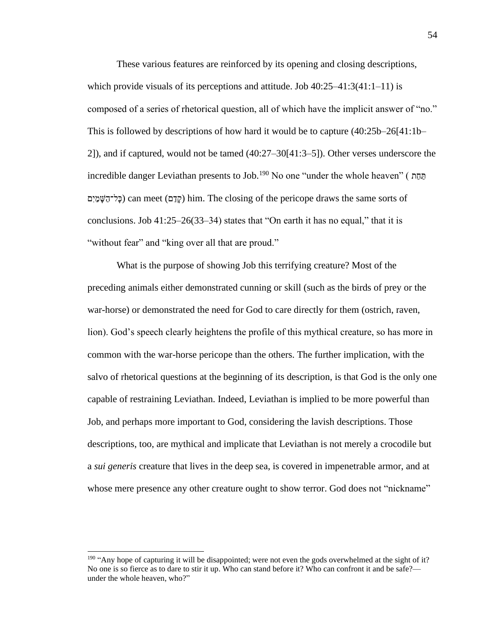These various features are reinforced by its opening and closing descriptions, which provide visuals of its perceptions and attitude. Job  $40:25-41:3(41:1-11)$  is composed of a series of rhetorical question, all of which have the implicit answer of "no." This is followed by descriptions of how hard it would be to capture (40:25b–26[41:1b– 2]), and if captured, would not be tamed (40:27–30[41:3–5]). Other verses underscore the incredible danger Leviathan presents to Job.<sup>190</sup> No one "under the whole heaven" ( תַּחַת ַת פֵל־הָשֵׁמֵיִם) can meet (קַדָּם) him. The closing of the pericope draws the same sorts of conclusions. Job 41:25–26(33–34) states that "On earth it has no equal," that it is "without fear" and "king over all that are proud."

What is the purpose of showing Job this terrifying creature? Most of the preceding animals either demonstrated cunning or skill (such as the birds of prey or the war-horse) or demonstrated the need for God to care directly for them (ostrich, raven, lion). God's speech clearly heightens the profile of this mythical creature, so has more in common with the war-horse pericope than the others. The further implication, with the salvo of rhetorical questions at the beginning of its description, is that God is the only one capable of restraining Leviathan. Indeed, Leviathan is implied to be more powerful than Job, and perhaps more important to God, considering the lavish descriptions. Those descriptions, too, are mythical and implicate that Leviathan is not merely a crocodile but a *sui generis* creature that lives in the deep sea, is covered in impenetrable armor, and at whose mere presence any other creature ought to show terror. God does not "nickname"

<sup>&</sup>lt;sup>190</sup> "Any hope of capturing it will be disappointed; were not even the gods overwhelmed at the sight of it? No one is so fierce as to dare to stir it up. Who can stand before it? Who can confront it and be safe? under the whole heaven, who?"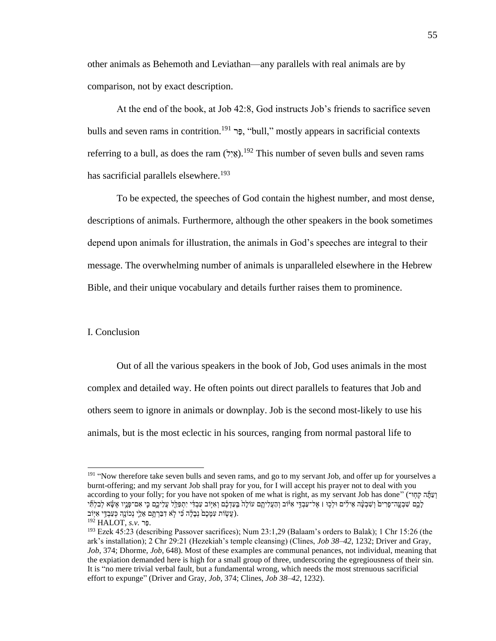other animals as Behemoth and Leviathan—any parallels with real animals are by comparison, not by exact description.

At the end of the book, at Job 42:8, God instructs Job's friends to sacrifice seven bulls and seven rams in contrition.<sup>191</sup> רָּב<sup>, "bull," mostly appears in sacrificial contexts</sup> referring to a bull, as does the ram  $(Y_{\alpha})$ <sup>192</sup>. This number of seven bulls and seven rams has sacrificial parallels elsewhere.<sup>193</sup>

To be expected, the speeches of God contain the highest number, and most dense, descriptions of animals. Furthermore, although the other speakers in the book sometimes depend upon animals for illustration, the animals in God's speeches are integral to their message. The overwhelming number of animals is unparalleled elsewhere in the Hebrew Bible, and their unique vocabulary and details further raises them to prominence.

# I. Conclusion

Out of all the various speakers in the book of Job, God uses animals in the most complex and detailed way. He often points out direct parallels to features that Job and others seem to ignore in animals or downplay. Job is the second most-likely to use his animals, but is the most eclectic in his sources, ranging from normal pastoral life to

<sup>&</sup>lt;sup>191</sup> "Now therefore take seven bulls and seven rams, and go to my servant Job, and offer up for yourselves a burnt-offering; and my servant Job shall pray for you, for I will accept his prayer not to deal with you according to your folly; for you have not spoken of me what is right, as my servant Job has done" (וַעֲתֲּה קְהָוּ־ לָכֶם שִׁבְעֶה־פָרִים וְשִׁבְעָּה אֵילִים וּלְכָוּ ו אֶל־עַבְדֶי אִיּּוֹב וְהַעֲלִיהֶם עוֹלָה בְּעַדְבֶם וְאִיּוֹב עַבְדִּי יִתְפַלֵּל עֲלִיכֶם כִּי אִם־פָּנֶיו אֶשָּׂא לְבִלְתִּי (עֲשָׂוֹת עִמָּכֶם נְבָלָׂה כִּי לְא דִּבַּרְתֶּם אֵלֵי נְכוֹנֶה כְּעַבְדֵי אִיְּוֹב).

<sup>192</sup> HALOT, *s.v.* רַפ.

<sup>193</sup> Ezek 45:23 (describing Passover sacrifices); Num 23:1,29 (Balaam's orders to Balak); 1 Chr 15:26 (the ark's installation); 2 Chr 29:21 (Hezekiah's temple cleansing) (Clines, *Job 38–42*, 1232; Driver and Gray, *Job*, 374; Dhorme, *Job*, 648). Most of these examples are communal penances, not individual, meaning that the expiation demanded here is high for a small group of three, underscoring the egregiousness of their sin. It is "no mere trivial verbal fault, but a fundamental wrong, which needs the most strenuous sacrificial effort to expunge" (Driver and Gray, *Job*, 374; Clines, *Job 38–42*, 1232).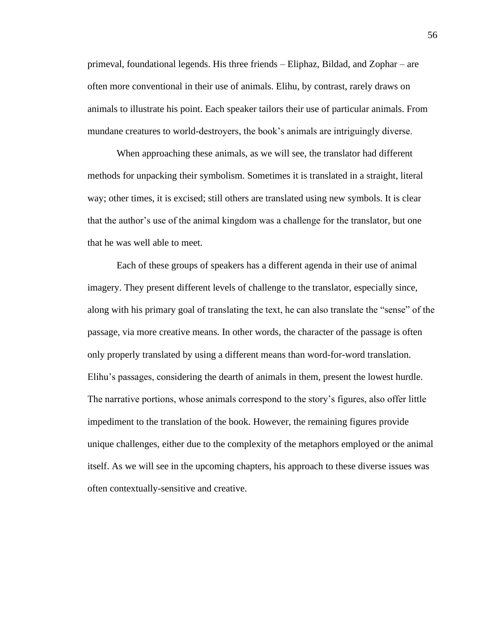primeval, foundational legends. His three friends – Eliphaz, Bildad, and Zophar – are often more conventional in their use of animals. Elihu, by contrast, rarely draws on animals to illustrate his point. Each speaker tailors their use of particular animals. From mundane creatures to world-destroyers, the book's animals are intriguingly diverse.

When approaching these animals, as we will see, the translator had different methods for unpacking their symbolism. Sometimes it is translated in a straight, literal way; other times, it is excised; still others are translated using new symbols. It is clear that the author's use of the animal kingdom was a challenge for the translator, but one that he was well able to meet.

Each of these groups of speakers has a different agenda in their use of animal imagery. They present different levels of challenge to the translator, especially since, along with his primary goal of translating the text, he can also translate the "sense" of the passage, via more creative means. In other words, the character of the passage is often only properly translated by using a different means than word-for-word translation. Elihu's passages, considering the dearth of animals in them, present the lowest hurdle. The narrative portions, whose animals correspond to the story's figures, also offer little impediment to the translation of the book. However, the remaining figures provide unique challenges, either due to the complexity of the metaphors employed or the animal itself. As we will see in the upcoming chapters, his approach to these diverse issues was often contextually-sensitive and creative.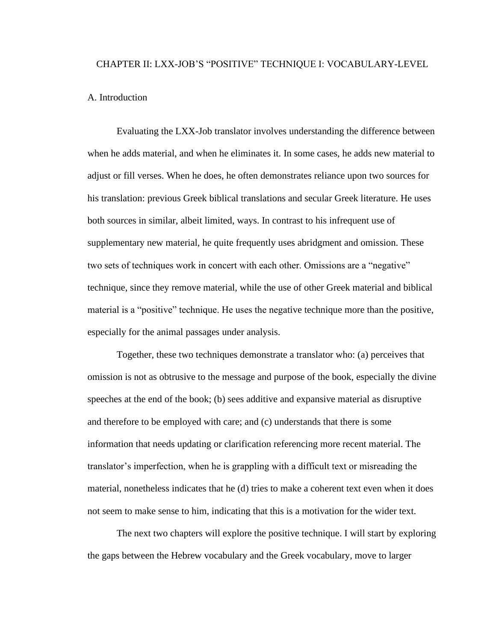# CHAPTER II: LXX-JOB'S "POSITIVE" TECHNIQUE I: VOCABULARY-LEVEL

# A. Introduction

Evaluating the LXX-Job translator involves understanding the difference between when he adds material, and when he eliminates it. In some cases, he adds new material to adjust or fill verses. When he does, he often demonstrates reliance upon two sources for his translation: previous Greek biblical translations and secular Greek literature. He uses both sources in similar, albeit limited, ways. In contrast to his infrequent use of supplementary new material, he quite frequently uses abridgment and omission. These two sets of techniques work in concert with each other. Omissions are a "negative" technique, since they remove material, while the use of other Greek material and biblical material is a "positive" technique. He uses the negative technique more than the positive, especially for the animal passages under analysis.

Together, these two techniques demonstrate a translator who: (a) perceives that omission is not as obtrusive to the message and purpose of the book, especially the divine speeches at the end of the book; (b) sees additive and expansive material as disruptive and therefore to be employed with care; and (c) understands that there is some information that needs updating or clarification referencing more recent material. The translator's imperfection, when he is grappling with a difficult text or misreading the material, nonetheless indicates that he (d) tries to make a coherent text even when it does not seem to make sense to him, indicating that this is a motivation for the wider text.

The next two chapters will explore the positive technique. I will start by exploring the gaps between the Hebrew vocabulary and the Greek vocabulary, move to larger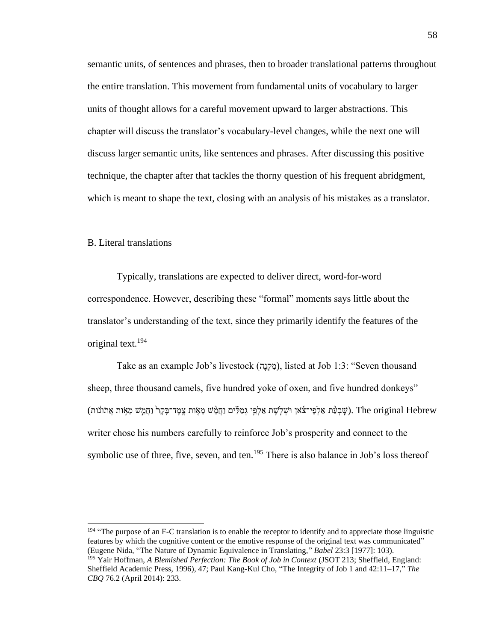semantic units, of sentences and phrases, then to broader translational patterns throughout the entire translation. This movement from fundamental units of vocabulary to larger units of thought allows for a careful movement upward to larger abstractions. This chapter will discuss the translator's vocabulary-level changes, while the next one will discuss larger semantic units, like sentences and phrases. After discussing this positive technique, the chapter after that tackles the thorny question of his frequent abridgment, which is meant to shape the text, closing with an analysis of his mistakes as a translator.

# B. Literal translations

Typically, translations are expected to deliver direct, word-for-word correspondence. However, describing these "formal" moments says little about the translator's understanding of the text, since they primarily identify the features of the original text.<sup>194</sup>

Take as an example Job's livestock (מִקְנָה), listed at Job 1:3: "Seven thousand sheep, three thousand camels, five hundred yoke of oxen, and five hundred donkeys" (שֵׁבְעָּ֫ת אַלְפֵי־צִׂאוָ וּשָׁלִשֵׁת אַלְפֵי גִמַלִּים וַחֲמֵ֥שׁ מֵאָּוֹת אֲתוֹנֹוּת (שֵׁמֵ֣י מֵאִ֣וּת אֲתֹונֹוּת). The original Hebrew writer chose his numbers carefully to reinforce Job's prosperity and connect to the symbolic use of three, five, seven, and ten.<sup>195</sup> There is also balance in Job's loss thereof

<sup>194</sup> "The purpose of an F-C translation is to enable the receptor to identify and to appreciate those linguistic features by which the cognitive content or the emotive response of the original text was communicated" (Eugene Nida, "The Nature of Dynamic Equivalence in Translating," *Babel* 23:3 [1977]: 103).

<sup>195</sup> Yair Hoffman, *A Blemished Perfection: The Book of Job in Context* (JSOT 213; Sheffield, England: Sheffield Academic Press, 1996), 47; Paul Kang-Kul Cho, "The Integrity of Job 1 and 42:11–17," *The CBQ* 76.2 (April 2014): 233.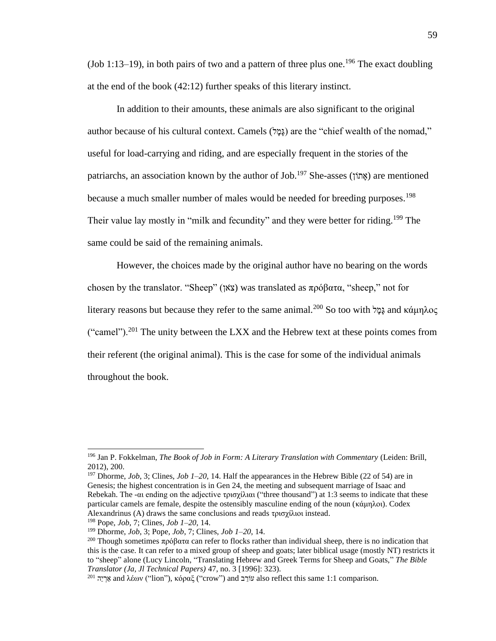(Job 1:13–19), in both pairs of two and a pattern of three plus one.<sup>196</sup> The exact doubling at the end of the book (42:12) further speaks of this literary instinct.

In addition to their amounts, these animals are also significant to the original author because of his cultural context. Camels (גַּמֵּל) are the "chief wealth of the nomad," useful for load-carrying and riding, and are especially frequent in the stories of the patriarchs, an association known by the author of Job.<sup>197</sup> She-asses (אתוֹן) are mentioned because a much smaller number of males would be needed for breeding purposes.<sup>198</sup> Their value lay mostly in "milk and fecundity" and they were better for riding.<sup>199</sup> The same could be said of the remaining animals.

However, the choices made by the original author have no bearing on the words chosen by the translator. "Sheep" (אןֹצ (was translated as πρόβατα, "sheep," not for literary reasons but because they refer to the same animal.<sup>200</sup> So too with ξερί and κάμηλος ("camel").<sup>201</sup> The unity between the LXX and the Hebrew text at these points comes from their referent (the original animal). This is the case for some of the individual animals throughout the book.

<sup>196</sup> Jan P. Fokkelman, *The Book of Job in Form: A Literary Translation with Commentary* (Leiden: Brill, 2012), 200.

<sup>197</sup> Dhorme, *Job*, 3; Clines, *Job 1–20*, 14. Half the appearances in the Hebrew Bible (22 of 54) are in Genesis; the highest concentration is in Gen 24, the meeting and subsequent marriage of Isaac and Rebekah. The -αι ending on the adjective τρισχίλιαι ("three thousand") at 1:3 seems to indicate that these particular camels are female, despite the ostensibly masculine ending of the noun (κάμηλοι). Codex Alexandrinus (A) draws the same conclusions and reads τρισχίλιοι instead.

<sup>198</sup> Pope, *Job*, 7; Clines, *Job 1–20*, 14.

<sup>199</sup> Dhorme, *Job*, 3; Pope, *Job*, 7; Clines, *Job 1–20*, 14.

<sup>&</sup>lt;sup>200</sup> Though sometimes πρόβατα can refer to flocks rather than individual sheep, there is no indication that this is the case. It can refer to a mixed group of sheep and goats; later biblical usage (mostly NT) restricts it to "sheep" alone (Lucy Lincoln, "Translating Hebrew and Greek Terms for Sheep and Goats," *The Bible Translator (Ja, Jl Technical Papers)* 47, no. 3 [1996]: 323).

<sup>&</sup>lt;sup>201</sup> הַיֵּה and λέων ("lion"), κόραξ ("crow") and עוֹרָב also reflect this same 1:1 comparison.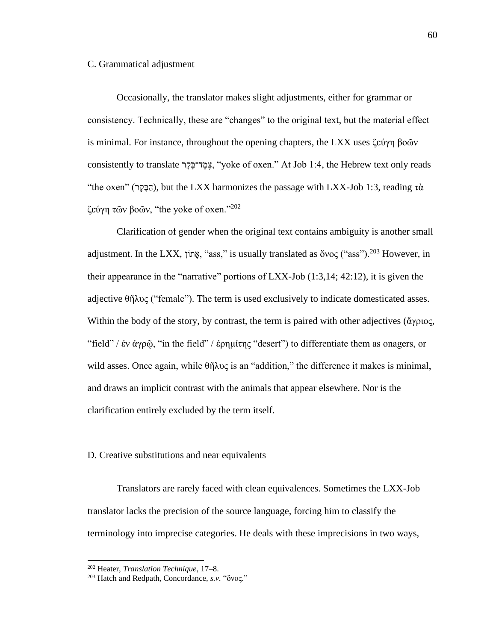## C. Grammatical adjustment

Occasionally, the translator makes slight adjustments, either for grammar or consistency. Technically, these are "changes" to the original text, but the material effect is minimal. For instance, throughout the opening chapters, the LXX uses ζεύγη βοῶν consistently to translate רָּקָּד־ב ֶמֶצ," yoke of oxen." At Job 1:4, the Hebrew text only reads "the oxen" (הַבַּקֵר), but the LXX harmonizes the passage with LXX-Job 1:3, reading τὰ ζεύγη τῶν βοῶν, "the yoke of oxen."<sup>202</sup>

Clarification of gender when the original text contains ambiguity is another small adjustment. In the LXX, אֲתוֹן, "ass," is usually translated as ὄνος ("ass").<sup>203</sup> However, in their appearance in the "narrative" portions of LXX-Job (1:3,14; 42:12), it is given the adjective θῆλυς ("female"). The term is used exclusively to indicate domesticated asses. Within the body of the story, by contrast, the term is paired with other adjectives (ἄγριος, "field" / ἐν ἀγρῷ, "in the field" / ἐρημίτης "desert") to differentiate them as onagers, or wild asses. Once again, while  $\theta\tilde{n}\lambda v\zeta$  is an "addition," the difference it makes is minimal, and draws an implicit contrast with the animals that appear elsewhere. Nor is the clarification entirely excluded by the term itself.

# D. Creative substitutions and near equivalents

Translators are rarely faced with clean equivalences. Sometimes the LXX-Job translator lacks the precision of the source language, forcing him to classify the terminology into imprecise categories. He deals with these imprecisions in two ways,

<sup>202</sup> Heater, *Translation Technique*, 17–8.

<sup>203</sup> Hatch and Redpath, Concordance, *s.v.* "ὄνος."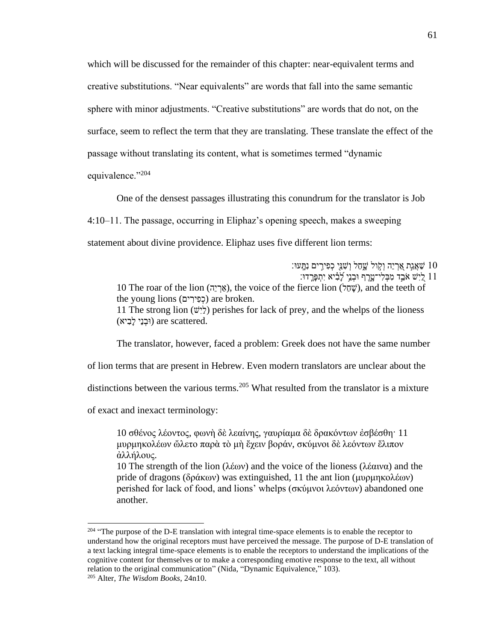which will be discussed for the remainder of this chapter: near-equivalent terms and creative substitutions. "Near equivalents" are words that fall into the same semantic sphere with minor adjustments. "Creative substitutions" are words that do not, on the surface, seem to reflect the term that they are translating. These translate the effect of the passage without translating its content, what is sometimes termed "dynamic equivalence."<sup>204</sup>

One of the densest passages illustrating this conundrum for the translator is Job 4:10–11. The passage, occurring in Eliphaz's opening speech, makes a sweeping statement about divine providence. Eliphaz uses five different lion terms:

: שַׁאֲגַת אַרְיֵה וְקָול שֶׁםל וְשָׁנֵּי כְפִירִים נִתֲּעוּ ן בְיִ<sup>יָּ</sup>שׁ אֹבֵד מִבְּלִי־טַּרֵף וּבְנֵי לַבְ֫יִא יִתְפַּרֵדוּ: 10 The roar of the lion (אֲרָיָה), the voice of the fierce lion (שְׁחָל), and the teeth of the young lions (כפירים) are broken. 11 The strong lion  $(\psi)$ ) perishes for lack of prey, and the whelps of the lioness (וּבְנֵי לִבְיא) are scattered.

The translator, however, faced a problem: Greek does not have the same number

of lion terms that are present in Hebrew. Even modern translators are unclear about the

distinctions between the various terms.<sup>205</sup> What resulted from the translator is a mixture

of exact and inexact terminology:

10 σθένος λέοντος, φωνὴ δὲ λεαίνης, γαυρίαμα δὲ δρακόντων ἐσβέσθη· 11 μυρμηκολέων ὤλετο παρὰ τὸ μὴ ἔχειν βοράν, σκύμνοι δὲ λεόντων ἔλιπον ἀλλήλους.

10 The strength of the lion (λέων) and the voice of the lioness (λέαινα) and the pride of dragons (δράκων) was extinguished, 11 the ant lion (μυρμηκολέων) perished for lack of food, and lions' whelps (σκύμνοι λεόντων) abandoned one another.

<sup>&</sup>lt;sup>204</sup> "The purpose of the D-E translation with integral time-space elements is to enable the receptor to understand how the original receptors must have perceived the message. The purpose of D-E translation of a text lacking integral time-space elements is to enable the receptors to understand the implications of the cognitive content for themselves or to make a corresponding emotive response to the text, all without relation to the original communication" (Nida, "Dynamic Equivalence," 103).

<sup>205</sup> Alter, *The Wisdom Books*, 24n10.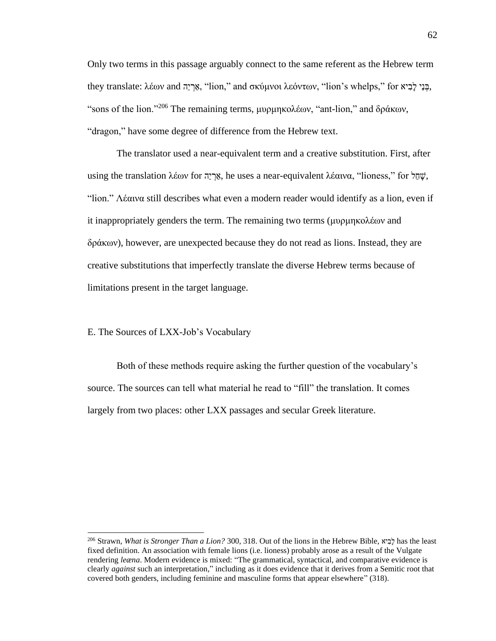Only two terms in this passage arguably connect to the same referent as the Hebrew term they translate: λέων and אֲרָיֶה, "lion," and σκύμνοι λεόντων, "lion's whelps," for "פְּנֵי לְבִיא, "sons of the lion."<sup>206</sup> The remaining terms, μυρμηκολέων, "ant-lion," and δράκων, "dragon," have some degree of difference from the Hebrew text.

The translator used a near-equivalent term and a creative substitution. First, after using the translation λέων for <sub>δε</sub> *κες*, he uses a near-equivalent λέαινα, "lioness," for  $\psi$ , "lion." Λέαινα still describes what even a modern reader would identify as a lion, even if it inappropriately genders the term. The remaining two terms (μυρμηκολέων and δράκων), however, are unexpected because they do not read as lions. Instead, they are creative substitutions that imperfectly translate the diverse Hebrew terms because of limitations present in the target language.

E. The Sources of LXX-Job's Vocabulary

Both of these methods require asking the further question of the vocabulary's source. The sources can tell what material he read to "fill" the translation. It comes largely from two places: other LXX passages and secular Greek literature.

<sup>206</sup> Strawn, *What is Stronger Than a Lion?* 300, 318. Out of the lions in the Hebrew Bible, יא ִׁבָּל has the least fixed definition. An association with female lions (i.e. lioness) probably arose as a result of the Vulgate rendering *leæna*. Modern evidence is mixed: "The grammatical, syntactical, and comparative evidence is clearly *against* such an interpretation," including as it does evidence that it derives from a Semitic root that covered both genders, including feminine and masculine forms that appear elsewhere" (318).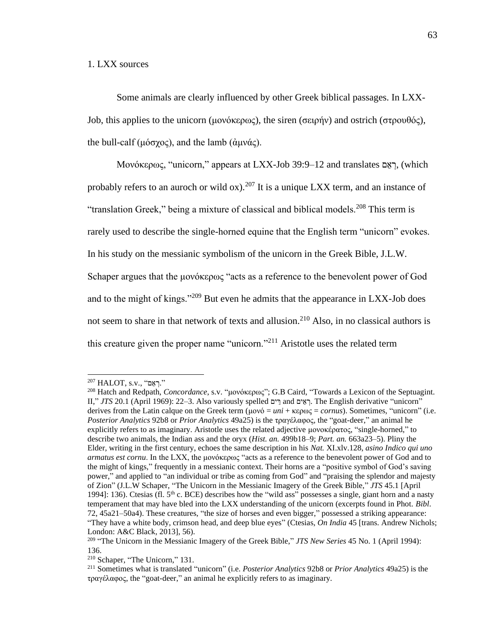# 1. LXX sources

Some animals are clearly influenced by other Greek biblical passages. In LXX-Job, this applies to the unicorn (μονόκερως), the siren (σειρήν) and ostrich (στρουθός), the bull-calf (μόσχος), and the lamb (άμνάς).

Μονόκερως, "unicorn," appears at LXX-Job 39:9–12 and translates ם ֵא ְר,) which probably refers to an auroch or wild ox).<sup>207</sup> It is a unique LXX term, and an instance of "translation Greek," being a mixture of classical and biblical models.<sup>208</sup> This term is rarely used to describe the single-horned equine that the English term "unicorn" evokes. In his study on the messianic symbolism of the unicorn in the Greek Bible, J.L.W. Schaper argues that the μονόκερως "acts as a reference to the benevolent power of God and to the might of kings."<sup>209</sup> But even he admits that the appearance in LXX-Job does not seem to share in that network of texts and allusion.<sup>210</sup> Also, in no classical authors is this creature given the proper name "unicorn."<sup>211</sup> Aristotle uses the related term

 $^{207}$  HALOT, s.v., "ראם."

<sup>208</sup> Hatch and Redpath, *Concordance*, s.v. "μονόκερως"; G.B Caird, "Towards a Lexicon of the Septuagint. II," *JTS* 20.1 (April 1969): 22–3. Also variously spelled רֵאֵים and יֵרְאֵם **And י**ִהְאֵם <sup>20.1</sup> (April 1969): 22–3. Also variously spelled רֵאֵים and יִ derives from the Latin calque on the Greek term (μονό = *uni* + κερως = *cornus*). Sometimes, "unicorn" (i.e. *Posterior Analytics* 92b8 or *Prior Analytics* 49a25) is the τραγέλαφος, the "goat-deer," an animal he explicitly refers to as imaginary. Aristotle uses the related adjective μονοκέρατος, "single-horned," to describe two animals, the Indian ass and the oryx (*Hist. an.* 499b18–9; *Part. an.* 663a23–5). Pliny the Elder, writing in the first century, echoes the same description in his *Nat.* XI.xlv.128, *asino Indico qui uno armatus est cornu*. In the LXX, the μονόκερως "acts as a reference to the benevolent power of God and to the might of kings," frequently in a messianic context. Their horns are a "positive symbol of God's saving power," and applied to "an individual or tribe as coming from God" and "praising the splendor and majesty of Zion" (J.L.W Schaper, "The Unicorn in the Messianic Imagery of the Greek Bible," *JTS* 45.1 [April 1994]: 136). Ctesias (fl. 5<sup>th</sup> c. BCE) describes how the "wild ass" possesses a single, giant horn and a nasty temperament that may have bled into the LXX understanding of the unicorn (excerpts found in Phot. *Bibl*. 72, 45a21–50a4). These creatures, "the size of horses and even bigger," possessed a striking appearance: "They have a white body, crimson head, and deep blue eyes" (Ctesias, *On India* 45 [trans. Andrew Nichols; London: A&C Black, 2013], 56).

<sup>209</sup> "The Unicorn in the Messianic Imagery of the Greek Bible," *JTS New Series* 45 No. 1 (April 1994): 136.

<sup>210</sup> Schaper, "The Unicorn," 131.

<sup>211</sup> Sometimes what is translated "unicorn" (i.e. *Posterior Analytics* 92b8 or *Prior Analytics* 49a25) is the τραγέλαφος, the "goat-deer," an animal he explicitly refers to as imaginary.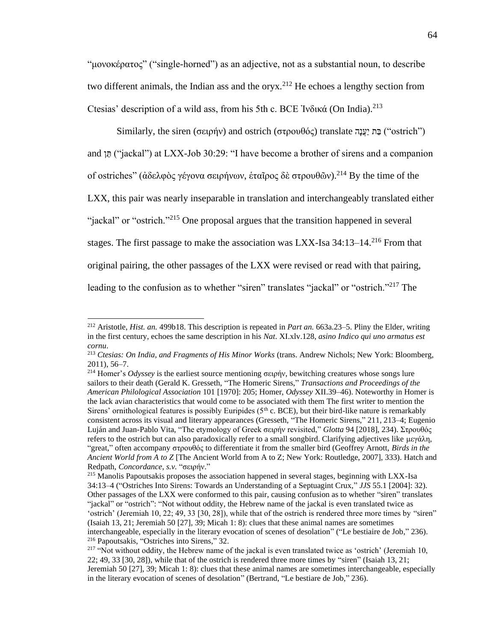"μονοκέρατος" ("single-horned") as an adjective, not as a substantial noun, to describe two different animals, the Indian ass and the oryx.<sup>212</sup> He echoes a lengthy section from Ctesias' description of a wild ass, from his 5th c. BCE Ἰνδικά (On India).<sup>213</sup>

Similarly, the siren (σειρήν) and ostrich (στρουθός) translate  $\gamma$  ("ostrich") and ["jackal") at LXX-Job 30:29: "I have become a brother of sirens and a companion of ostriches" (ἀδελφὸς γέγονα σειρήνων, ἑταῖρος δὲ στρουθῶν).<sup>214</sup> By the time of the LXX, this pair was nearly inseparable in translation and interchangeably translated either "jackal" or "ostrich."<sup>215</sup> One proposal argues that the transition happened in several stages. The first passage to make the association was LXX-Isa  $34:13-14$ <sup>216</sup> From that original pairing, the other passages of the LXX were revised or read with that pairing, leading to the confusion as to whether "siren" translates "jackal" or "ostrich."<sup>217</sup> The

<sup>212</sup> Aristotle, *Hist. an.* 499b18. This description is repeated in *Part an.* 663a.23–5. Pliny the Elder, writing in the first century, echoes the same description in his *Nat*. XI.xlv.128, *asino Indico qui uno armatus est cornu*.

<sup>213</sup> *Ctesias: On India, and Fragments of His Minor Works* (trans. Andrew Nichols; New York: Bloomberg, 2011), 56–7.

<sup>214</sup> Homer's *Odyssey* is the earliest source mentioning σειρήν, bewitching creatures whose songs lure sailors to their death (Gerald K. Gresseth, "The Homeric Sirens," *Transactions and Proceedings of the American Philological Association* 101 [1970]: 205; Homer, *Odyssey* XII.39–46). Noteworthy in Homer is the lack avian characteristics that would come to be associated with them The first writer to mention the Sirens' ornithological features is possibly Euripides ( $5<sup>th</sup>$  c. BCE), but their bird-like nature is remarkably consistent across its visual and literary appearances (Gresseth, "The Homeric Sirens," 211, 213–4; Eugenio Luján and Juan-Pablo Vita, "The etymology of Greek σειρήν revisited," *Glotta* 94 [2018], 234). Στρουθός refers to the ostrich but can also paradoxically refer to a small songbird. Clarifying adjectives like μεγάλη, "great," often accompany στρουθός to differentiate it from the smaller bird (Geoffrey Arnott, *Birds in the Ancient World from A to Z* [The Ancient World from A to Z; New York: Routledge, 2007], 333). Hatch and Redpath, *Concordance*, *s.v.* "σειρήν."

<sup>&</sup>lt;sup>215</sup> Manolis Papoutsakis proposes the association happened in several stages, beginning with LXX-Isa 34:13–4 ("Ostriches Into Sirens: Towards an Understanding of a Septuagint Crux," *JJS* 55.1 [2004]: 32). Other passages of the LXX were conformed to this pair, causing confusion as to whether "siren" translates "jackal" or "ostrich": "Not without oddity, the Hebrew name of the jackal is even translated twice as 'ostrich' (Jeremiah 10, 22; 49, 33 [30, 28]), while that of the ostrich is rendered three more times by "siren" (Isaiah 13, 21; Jeremiah 50 [27], 39; Micah 1: 8): clues that these animal names are sometimes interchangeable, especially in the literary evocation of scenes of desolation" ("Le bestiaire de Job," 236). <sup>216</sup> Papoutsakis, "Ostriches into Sirens," 32.

<sup>&</sup>lt;sup>217</sup> "Not without oddity, the Hebrew name of the jackal is even translated twice as 'ostrich' (Jeremiah 10, 22; 49, 33 [30, 28]), while that of the ostrich is rendered three more times by "siren" (Isaiah 13, 21; Jeremiah 50 [27], 39; Micah 1: 8): clues that these animal names are sometimes interchangeable, especially in the literary evocation of scenes of desolation" (Bertrand, "Le bestiare de Job," 236).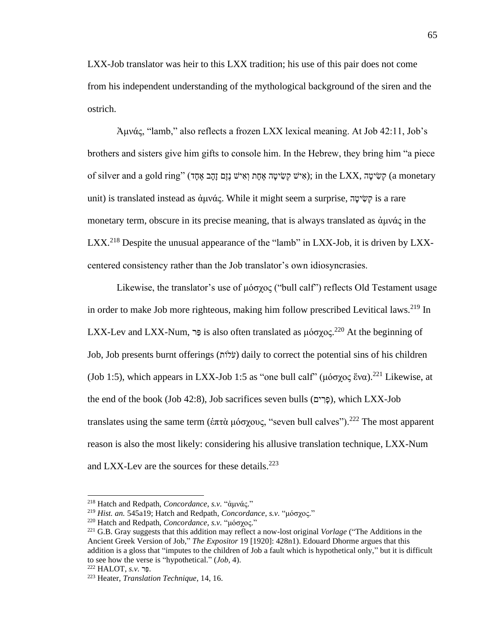LXX-Job translator was heir to this LXX tradition; his use of this pair does not come from his independent understanding of the mythological background of the siren and the ostrich.

Ἀμνάς, "lamb," also reflects a frozen LXX lexical meaning. At Job 42:11, Job's brothers and sisters give him gifts to console him. In the Hebrew, they bring him "a piece of silver and a gold ring" (אִישׁ נָזֶם זָהָב אֶחָד); in the LXX, קִשִּׂיטָה (a monetary unit) is translated instead as ἀμνάς. While it might seem a surprise, ה ָּיט ִׁש ְק is a rare monetary term, obscure in its precise meaning, that is always translated as ἀμνάς in the LXX.<sup>218</sup> Despite the unusual appearance of the "lamb" in LXX-Job, it is driven by LXXcentered consistency rather than the Job translator's own idiosyncrasies.

Likewise, the translator's use of μόσχος ("bull calf") reflects Old Testament usage in order to make Job more righteous, making him follow prescribed Levitical laws.<sup>219</sup> In LXX-Lev and LXX-Num,  $\exists$  is also often translated as μόσχος.<sup>220</sup> At the beginning of Job, Job presents burnt offerings (ותֹלֹע (daily to correct the potential sins of his children (Job 1:5), which appears in LXX-Job 1:5 as "one bull calf" (μόσχος ἕνα).<sup>221</sup> Likewise, at the end of the book (Job 42:8), Job sacrifices seven bulls ( $e^{\pi}$ ), which LXX-Job translates using the same term (έπτὰ μόσχους, "seven bull calves").<sup>222</sup> The most apparent reason is also the most likely: considering his allusive translation technique, LXX-Num and LXX-Lev are the sources for these details. $223$ 

<sup>218</sup> Hatch and Redpath, *Concordance*, *s.v.* "ἀμνάς."

<sup>219</sup> *Hist. an.* 545a19; Hatch and Redpath, *Concordance*, *s.v.* "μόσχος."

<sup>220</sup> Hatch and Redpath, *Concordance*, *s.v.* "μόσχος."

<sup>221</sup> G.B. Gray suggests that this addition may reflect a now-lost original *Vorlage* ("The Additions in the Ancient Greek Version of Job," *The Expositor* 19 [1920]: 428n1). Edouard Dhorme argues that this addition is a gloss that "imputes to the children of Job a fault which is hypothetical only," but it is difficult to see how the verse is "hypothetical." (*Job*, 4).

<sup>222</sup> HALOT, *s.v.* רַפ.

<sup>223</sup> Heater, *Translation Technique*, 14, 16.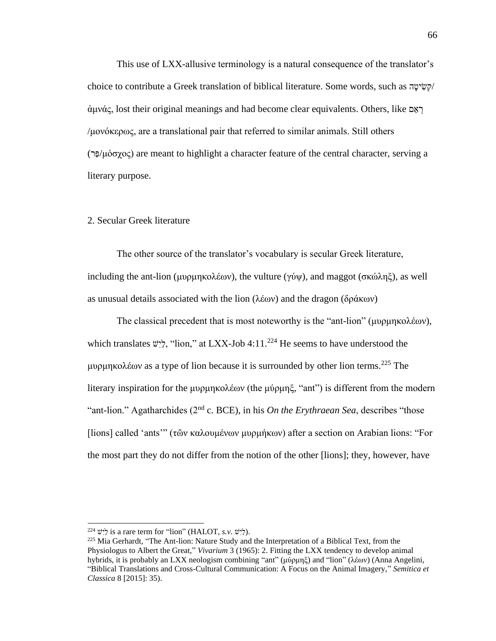This use of LXX-allusive terminology is a natural consequence of the translator's choice to contribute a Greek translation of biblical literature. Some words, such as  $\frac{1}{\sqrt{2}}$ ἀμνάς, lost their original meanings and had become clear equivalents. Others, like ם ֵא ְר /μονόκερως, are a translational pair that referred to similar animals. Still others ( $\exists$ <sup>2</sup>μόσχος) are meant to highlight a character feature of the central character, serving a literary purpose.

## 2. Secular Greek literature

The other source of the translator's vocabulary is secular Greek literature, including the ant-lion (μυρμηκολέων), the vulture (γύψ), and maggot (σκώληξ), as well as unusual details associated with the lion (λέων) and the dragon (δράκων)

The classical precedent that is most noteworthy is the "ant-lion" (μυρμηκολέων), which translates  $\psi$ , "lion," at LXX-Job 4:11.<sup>224</sup> He seems to have understood the μυρμηκολέων as a type of lion because it is surrounded by other lion terms.<sup>225</sup> The literary inspiration for the μυρμηκολέων (the μύρμηξ, "ant") is different from the modern "ant-lion." Agatharchides (2nd c. BCE), in his *On the Erythraean Sea*, describes "those [lions] called 'ants'" (τῶν καλουμένων μυρμήκων) after a section on Arabian lions: "For the most part they do not differ from the notion of the other [lions]; they, however, have

<sup>&</sup>lt;sup>224</sup>  $\forall$  is a rare term for "lion" (HALOT, *s.v.*  $\forall$ ).

<sup>&</sup>lt;sup>225</sup> Mia Gerhardt, "The Ant-lion: Nature Study and the Interpretation of a Biblical Text, from the Physiologus to Albert the Great," *Vivarium* 3 (1965): 2. Fitting the LXX tendency to develop animal hybrids, it is probably an LXX neologism combining "ant" (μύρμηξ) and "lion" (λέων) (Anna Angelini, "Biblical Translations and Cross-Cultural Communication: A Focus on the Animal Imagery," *Semitica et Classica* 8 [2015]: 35).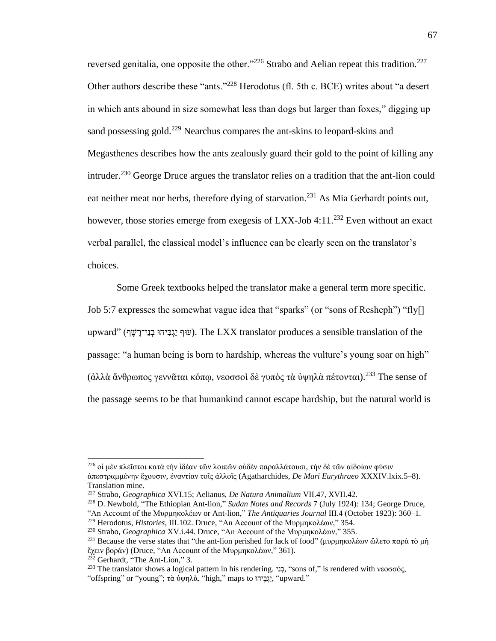reversed genitalia, one opposite the other."<sup>226</sup> Strabo and Aelian repeat this tradition.<sup>227</sup> Other authors describe these "ants."<sup>228</sup> Herodotus (fl. 5th c. BCE) writes about "a desert in which ants abound in size somewhat less than dogs but larger than foxes," digging up sand possessing gold.<sup>229</sup> Nearchus compares the ant-skins to leopard-skins and Megasthenes describes how the ants zealously guard their gold to the point of killing any intruder.<sup>230</sup> George Druce argues the translator relies on a tradition that the ant-lion could eat neither meat nor herbs, therefore dying of starvation.<sup>231</sup> As Mia Gerhardt points out, however, those stories emerge from exeges is of LXX-Job 4:11.<sup>232</sup> Even without an exact verbal parallel, the classical model's influence can be clearly seen on the translator's choices.

Some Greek textbooks helped the translator make a general term more specific. Job 5:7 expresses the somewhat vague idea that "sparks" (or "sons of Resheph") "fly[] upward" (עוּף יַגְבִּיהוּ בְנֵי־רֶשֶׁף). The LXX translator produces a sensible translation of the passage: "a human being is born to hardship, whereas the vulture's young soar on high" (ἀλλὰ ἄνθρωπος γεννᾶται κόπω, νεοσσοὶ δὲ γυπὸς τὰ ὑψηλὰ πέτονται).<sup>233</sup> The sense of the passage seems to be that humankind cannot escape hardship, but the natural world is

<sup>226</sup> οἱ μὲν πλεῖστοι κατὰ τὴν ἰδέαν τῶν λοιπῶν οὐδὲν παραλλάτουσι, τὴν δὲ τῶν αἰδοίων φύσιν ἀπεστραμμένην ἔχουσιν, ἐναντίαν τοῖς ἀλλοῖς (Agatharchides, *De Mari Eurythraeo* XXXIV.lxix.5–8). Translation mine.

<sup>227</sup> Strabo, *Geographica* XVI.15; Aelianus, *De Natura Animalium* VII.47, XVII.42.

<sup>228</sup> D. Newbold, "The Ethiopian Ant-lion," *Sudan Notes and Records* 7 (July 1924): 134; George Druce, "An Account of the Μυρμηκολέων or Ant-lion," *The Antiquaries Journal* III.4 (October 1923): 360–1.

<sup>229</sup> Herodotus, *Histories*, III.102. Druce, "An Account of the Μυρμηκολέων," 354.

<sup>230</sup> Strabo, *Geographica* XV.i.44. Druce, "An Account of the Μυρμηκολέων," 355.

<sup>&</sup>lt;sup>231</sup> Because the verse states that "the ant-lion perished for lack of food" (μυρμηκολέων ὤλετο παρὰ τὸ μὴ ἔχειν βοράν) (Druce, "An Account of the Μυρμηκολέων," 361).

 $232$  Gerhardt, "The Ant-Lion," 3.

<sup>&</sup>lt;sup>233</sup> The translator shows a logical pattern in his rendering. בְנֵי, "sons of," is rendered with νεοσσός, "offspring" or "young"; τὰ ὑψηλὰ, "high," maps to "(יָגְבֵּיה "upward."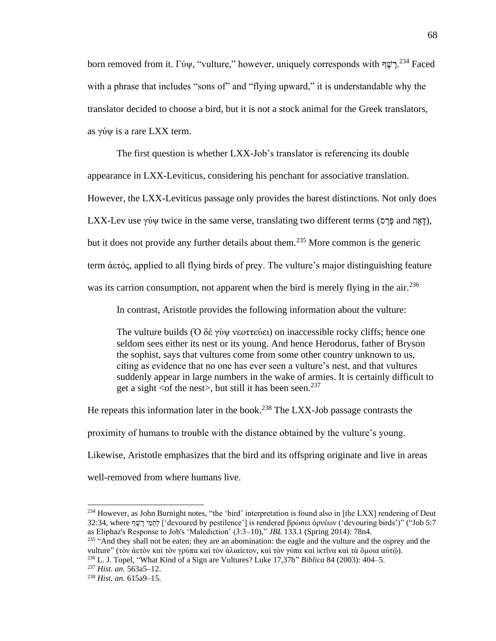born removed from it. Γύψ, "vulture," however, uniquely corresponds with יֲרָשֶׁךְ 234 Faced with a phrase that includes "sons of" and "flying upward," it is understandable why the translator decided to choose a bird, but it is not a stock animal for the Greek translators, as γύψ is a rare LXX term.

The first question is whether LXX-Job's translator is referencing its double

appearance in LXX-Leviticus, considering his penchant for associative translation.

However, the LXX-Leviticus passage only provides the barest distinctions. Not only does

LXX-Lev use γύψ twice in the same verse, translating two different terms (דָאָה and הָיָם),

but it does not provide any further details about them.<sup>235</sup> More common is the generic

term ἀετός, applied to all flying birds of prey. The vulture's major distinguishing feature

was its carrion consumption, not apparent when the bird is merely flying in the air.<sup>236</sup>

In contrast, Aristotle provides the following information about the vulture:

The vulture builds (Ο δὲ γὺψ νεοττεύει) on inaccessible rocky cliffs; hence one seldom sees either its nest or its young. And hence Herodorus, father of Bryson the sophist, says that vultures come from some other country unknown to us, citing as evidence that no one has ever seen a vulture's nest, and that vultures suddenly appear in large numbers in the wake of armies. It is certainly difficult to get a sight  $\langle$  of the nest $\rangle$ , but still it has been seen.<sup>237</sup>

He repeats this information later in the book.<sup>238</sup> The LXX-Job passage contrasts the

proximity of humans to trouble with the distance obtained by the vulture's young.

Likewise, Aristotle emphasizes that the bird and its offspring originate and live in areas

well-removed from where humans live.

<sup>&</sup>lt;sup>234</sup> However, as John Burnight notes, "the 'bird' interpretation is found also in [the LXX] rendering of Deut 32:34, where יְחָמֵי רֵשׁׁף ['devoured by pestilence'] is rendered βρώσει ὀρνέων ('devouring birds')" ("Job 5:7 as Eliphaz's Response to Job's 'Malediction' (3:3–10)," *JBL* 133.1 (Spring 2014): 78n4.

<sup>&</sup>lt;sup>235</sup> "And they shall not be eaten; they are an abomination: the eagle and the vulture and the osprey and the vulture" (τὸν ἀετὸν καὶ τὸν γρύπα καὶ τὸν ἀλιαίετον, καὶ τὸν γύπα καὶ ἰκτῖνα καὶ τὰ ὅμοια αὐτῷ).

<sup>236</sup> L. J. Topel, "What Kind of a Sign are Vultures? Luke 17,37b" *Biblica* 84 (2003): 404–5.

<sup>237</sup> *Hist. an.* 563a5–12.

<sup>238</sup> *Hist. an.* 615a9–15.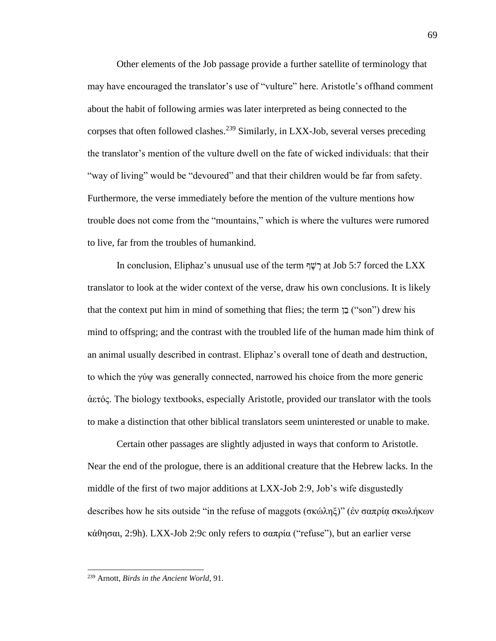Other elements of the Job passage provide a further satellite of terminology that may have encouraged the translator's use of "vulture" here. Aristotle's offhand comment about the habit of following armies was later interpreted as being connected to the corpses that often followed clashes.<sup>239</sup> Similarly, in LXX-Job, several verses preceding the translator's mention of the vulture dwell on the fate of wicked individuals: that their "way of living" would be "devoured" and that their children would be far from safety. Furthermore, the verse immediately before the mention of the vulture mentions how trouble does not come from the "mountains," which is where the vultures were rumored to live, far from the troubles of humankind.

In conclusion, Eliphaz's unusual use of the term עֲרֹשֶׁר at Job 5:7 forced the LXX translator to look at the wider context of the verse, draw his own conclusions. It is likely that the context put him in mind of something that flies; the term  $\overline{z}$  ("son") drew his mind to offspring; and the contrast with the troubled life of the human made him think of an animal usually described in contrast. Eliphaz's overall tone of death and destruction, to which the γύψ was generally connected, narrowed his choice from the more generic ἀετός. The biology textbooks, especially Aristotle, provided our translator with the tools to make a distinction that other biblical translators seem uninterested or unable to make.

Certain other passages are slightly adjusted in ways that conform to Aristotle. Near the end of the prologue, there is an additional creature that the Hebrew lacks. In the middle of the first of two major additions at LXX-Job 2:9, Job's wife disgustedly describes how he sits outside "in the refuse of maggots (σκώληξ)" (ἐν σαπρίᾳ σκωλήκων κάθησαι, 2:9h). LXX-Job 2:9c only refers to σαπρία ("refuse"), but an earlier verse

<sup>239</sup> Arnott, *Birds in the Ancient World*, 91.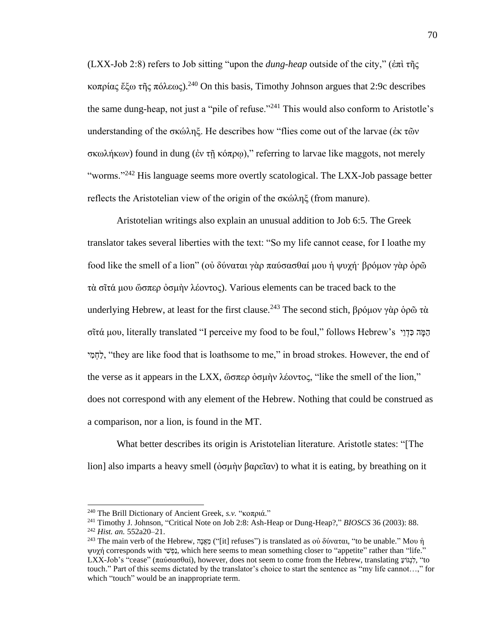(LXX-Job 2:8) refers to Job sitting "upon the *dung-heap* outside of the city," (ἐπὶ τῆς κοπρίας ἔξω τῆς πόλεως).<sup>240</sup> On this basis, Timothy Johnson argues that 2:9c describes the same dung-heap, not just a "pile of refuse."<sup>241</sup> This would also conform to Aristotle's understanding of the σκώληξ. He describes how "flies come out of the larvae (ἐκ τῶν σκωλήκων) found in dung (ἐν τῇ κόπρῳ)," referring to larvae like maggots, not merely "worms."<sup>242</sup> His language seems more overtly scatological. The LXX-Job passage better reflects the Aristotelian view of the origin of the σκώληξ (from manure).

Aristotelian writings also explain an unusual addition to Job 6:5. The Greek translator takes several liberties with the text: "So my life cannot cease, for I loathe my food like the smell of a lion" (οὐ δύναται γὰρ παύσασθαί μου ἡ ψυχή· βρόμον γὰρ ὁρῶ τὰ σῖτά μου ὥσπερ ὀσμὴν λέοντος). Various elements can be traced back to the underlying Hebrew, at least for the first clause.<sup>243</sup> The second stich, βρόμον γὰρ ὁρῶ τὰ σῖτά μου, literally translated "I perceive my food to be foul," follows Hebrew's  $\overline{g}$  הָמֵה כְּדָוֵי לֶחְמִי, "they are like food that is loathsome to me," in broad strokes. However, the end of the verse as it appears in the LXX, ὥσπερ ὀσμὴν λέοντος, "like the smell of the lion," does not correspond with any element of the Hebrew. Nothing that could be construed as a comparison, nor a lion, is found in the MT.

What better describes its origin is Aristotelian literature. Aristotle states: "[The lion] also imparts a heavy smell (ὀσμὴν βαρεῖαν) to what it is eating, by breathing on it

<sup>240</sup> The Brill Dictionary of Ancient Greek, *s.v.* "κοπριά."

<sup>241</sup> Timothy J. Johnson, "Critical Note on Job 2:8: Ash-Heap or Dung-Heap?," *BIOSCS* 36 (2003): 88.

<sup>242</sup> *Hist. an.* 552a20–21.

<sup>&</sup>lt;sup>243</sup> The main verb of the Hebrew, הָּצָּנָה ("[it] refuses") is translated as οὐ δύναται, "to be unable." Μου ή ψυχή corresponds with י ִׁש ְפַנ, which here seems to mean something closer to "appetite" rather than "life." LXX-Job's "cease" (παύσασθαί), however, does not seem to come from the Hebrew, translating ַועֹג ְנִׁל," to touch." Part of this seems dictated by the translator's choice to start the sentence as "my life cannot…," for which "touch" would be an inappropriate term.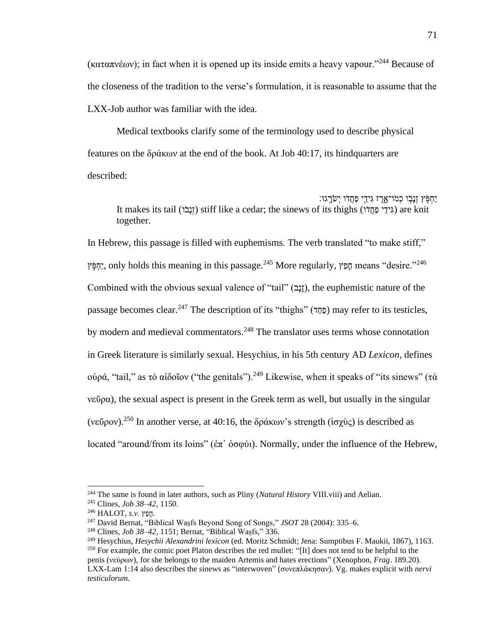(καταπνέων); in fact when it is opened up its inside emits a heavy vapour."<sup>244</sup> Because of the closeness of the tradition to the verse's formulation, it is reasonable to assume that the LXX-Job author was familiar with the idea.

Medical textbooks clarify some of the terminology used to describe physical features on the δράκων at the end of the book. At Job 40:17, its hindquarters are described:

ַּיִּחְפָּׂץ זְנָבְׂו כְמֹו־אֳרֶז גִּידֵי פַחֲדֹו יְשֹׂרְֳגוּ׃ It makes its tail (זָנְבֹּוֹ) stiff like a cedar; the sinews of its thighs (גְיִדֵי פַחֲדוֹ) are knit together.

In Hebrew, this passage is filled with euphemisms. The verb translated "to make stiff," ץ ֵֹ֣פ ְחַי, only holds this meaning in this passage.<sup>245</sup> More regularly, ץֵפָּח means "desire."<sup>246</sup> Combined with the obvious sexual valence of "tail" (נַבָּב), the euphemistic nature of the passage becomes clear.<sup>247</sup> The description of its "thighs" (כַּחֲד) may refer to its testicles, by modern and medieval commentators.<sup>248</sup> The translator uses terms whose connotation in Greek literature is similarly sexual. Hesychius, in his 5th century AD *Lexicon*, defines οὐρά, "tail," as τὸ αἰδοῖον ("the genitals").<sup>249</sup> Likewise, when it speaks of "its sinews" (τὰ νεῦρα), the sexual aspect is present in the Greek term as well, but usually in the singular (νεῦρον).<sup>250</sup> In another verse, at 40:16, the δράκων's strength ( $iσy\`o$ ς) is described as located "around/from its loins" (ἐπ᾽ ὀσφύι). Normally, under the influence of the Hebrew,

<sup>244</sup> The same is found in later authors, such as Pliny (*Natural History* VIII.viii) and Aelian.

<sup>245</sup> Clines, *Job 38–42*, 1150.

<sup>.</sup>חָּ פֵץ *.v.s* ,HALOT <sup>246</sup>

<sup>247</sup> David Bernat, "Biblical Waṣfs Beyond Song of Songs," *JSOT* 28 (2004): 335–6.

<sup>248</sup> Clines, *Job 38–42*, 1151; Bernat, "Biblical Waṣfs," 336.

<sup>249</sup> Hesychius, *Hesychii Alexandrini lexicon* (ed. Moritz Schmidt; Jena: Sumptibus F. Maukii, 1867), 1163.  $250$  For example, the comic poet Platon describes the red mullet: "[It] does not tend to be helpful to the penis (νεύρων), for she belongs to the maiden Artemis and hates erections" (Xenophon, *Frag*. 189.20).

LXX-Lam 1:14 also describes the sinews as "interwoven" (συνεπλάκησαν). Vg. makes explicit with *nervi testiculorum*.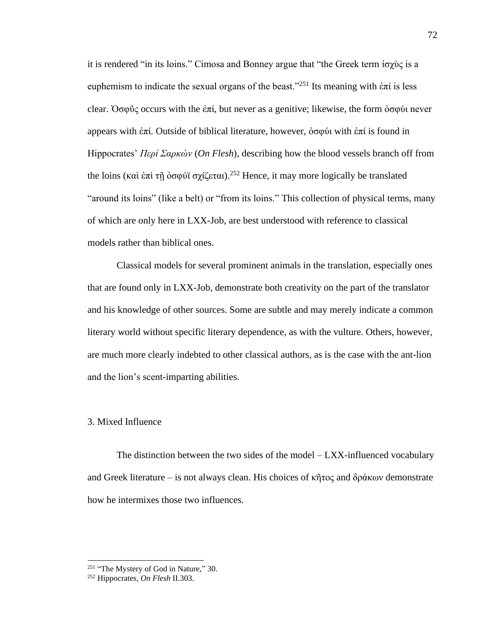it is rendered "in its loins." Cimosa and Bonney argue that "the Greek term ἰσχὺς is a euphemism to indicate the sexual organs of the beast.<sup>"251</sup> Its meaning with ἐπί is less clear. Ὀσφῦς occurs with the ἐπί, but never as a genitive; likewise, the form ὀσφύι never appears with ἐπί. Outside of biblical literature, however, ὀσφύι with ἐπί is found in Hippocrates' *Περί Σαρκών* (*On Flesh*), describing how the blood vessels branch off from the loins (καὶ ἐπὶ τῇ ὀσφύϊ σχίζεται).<sup>252</sup> Hence, it may more logically be translated "around its loins" (like a belt) or "from its loins." This collection of physical terms, many of which are only here in LXX-Job, are best understood with reference to classical models rather than biblical ones.

Classical models for several prominent animals in the translation, especially ones that are found only in LXX-Job, demonstrate both creativity on the part of the translator and his knowledge of other sources. Some are subtle and may merely indicate a common literary world without specific literary dependence, as with the vulture. Others, however, are much more clearly indebted to other classical authors, as is the case with the ant-lion and the lion's scent-imparting abilities.

### 3. Mixed Influence

The distinction between the two sides of the model – LXX-influenced vocabulary and Greek literature – is not always clean. His choices of κῆτος and δράκων demonstrate how he intermixes those two influences.

<sup>&</sup>lt;sup>251</sup> "The Mystery of God in Nature," 30.

<sup>252</sup> Hippocrates, *On Flesh* II.303.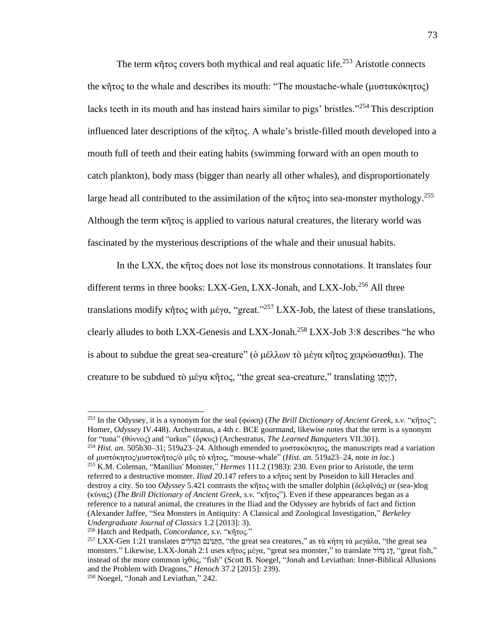The term κῆτος covers both mythical and real aquatic life.<sup>253</sup> Aristotle connects the κῆτος to the whale and describes its mouth: "The moustache-whale (μυστακόκητος) lacks teeth in its mouth and has instead hairs similar to pigs' bristles."<sup>254</sup> This description influenced later descriptions of the κῆτος. A whale's bristle-filled mouth developed into a mouth full of teeth and their eating habits (swimming forward with an open mouth to catch plankton), body mass (bigger than nearly all other whales), and disproportionately large head all contributed to the assimilation of the κῆτος into sea-monster mythology.<sup>255</sup> Although the term κῆτος is applied to various natural creatures, the literary world was fascinated by the mysterious descriptions of the whale and their unusual habits.

In the LXX, the κῆτος does not lose its monstrous connotations. It translates four different terms in three books: LXX-Gen, LXX-Jonah, and LXX-Job.<sup>256</sup> All three translations modify κῆτος with μέγα, "great."<sup>257</sup> LXX-Job, the latest of these translations, clearly alludes to both LXX-Genesis and LXX-Jonah.<sup>258</sup> LXX-Job 3:8 describes "he who is about to subdue the great sea-creature" (ὁ μέλλων τὸ μέγα κῆτος χειρώσασθαι). The creature to be subdued τὸ μέγα κῆτος, "the great sea-creature," translating  $\gamma$ ;

<sup>253</sup> In the Odyssey, it is a synonym for the seal (φώκη) (*The Brill Dictionary of Ancient Greek*, *s.v.* "κῆτος"; Homer, *Odyssey* IV.448). Archestratus, a 4th c. BCE gourmand, likewise notes that the term is a synonym for "tuna" (θύννος) and "orkus" (ὄρκυς) (Archestratus, *The Learned Banqueters* VII.301).

<sup>254</sup> *Hist. an.* 505b30–31; 519a23–24. Although emended to μυστακόκητος, the manuscripts read a variation of μυστόκητος/μυστοκῆτος/ὁ μῦς τὸ κῆτος, "mouse-whale" (*Hist. an.* 519a23–24, note *in loc*.)

<sup>255</sup> K.M. Coleman, "Manilius' Monster," *Hermes* 111.2 (1983): 230. Even prior to Aristotle, the term referred to a destructive monster. *Iliad* 20.147 refers to a κῆτος sent by Poseidon to kill Heracles and destroy a city. So too *Odyssey* 5.421 contrasts the κῆτος with the smaller dolphin (δελφῖνάς) or (sea-)dog (κύνας) (*The Brill Dictionary of Ancient Greek*, *s.v.* "κῆτος"). Even if these appearances began as a reference to a natural animal, the creatures in the Iliad and the Odyssey are hybrids of fact and fiction (Alexander Jaffee, "Sea Monsters in Antiquity: A Classical and Zoological Investigation," *Berkeley Undergraduate Journal of Classics* 1.2 [2013]: 3).

<sup>256</sup> Hatch and Redpath, *Concordance*, *s.v.* "κῆτος."

<sup>&</sup>lt;sup>257</sup> LXX-Gen 1:21 translates הַתּוּינָם הַגּדֹלִים, "the great sea creatures," as τὰ κήτη τὰ μεγάλα, "the great sea monsters." Likewise, LXX-Jonah 2:1 uses κῆτος μέγα, "great sea monster," to translate (π), "great fish," instead of the more common ἰχθύς, "fish" (Scott B. Noegel, "Jonah and Leviathan: Inner-Biblical Allusions and the Problem with Dragons," *Henoch* 37.2 [2015]: 239).

<sup>258</sup> Noegel, "Jonah and Leviathan," 242.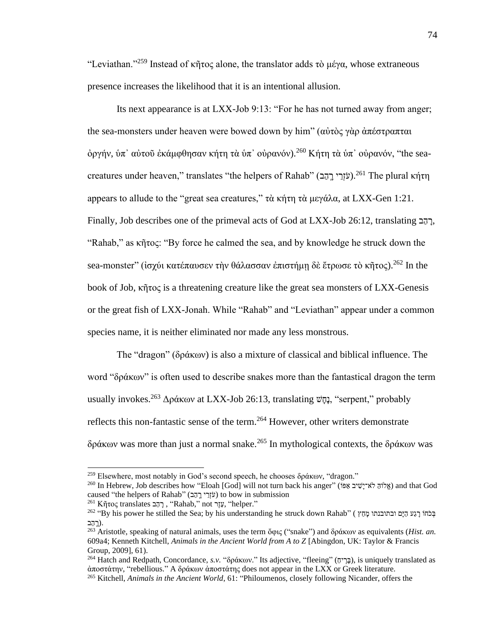"Leviathan."<sup>259</sup> Instead of κῆτος alone, the translator adds τὸ μέγα, whose extraneous presence increases the likelihood that it is an intentional allusion.

Its next appearance is at LXX-Job 9:13: "For he has not turned away from anger; the sea-monsters under heaven were bowed down by him" (αὐτὸς γὰρ ἀπέστραπται ὀργήν, ὑπ᾽ αὐτοῦ ἐκάμφθησαν κήτη τὰ ὑπ᾽ οὐρανόν).<sup>260</sup> Κήτη τὰ ὑπ᾽ οὐρανόν, "the seacreatures under heaven," translates "the helpers of Rahab" (עֹזְרֵי רְהָב).<sup>261</sup> The plural κήτη appears to allude to the "great sea creatures," τὰ κήτη τὰ μεγάλα, at LXX-Gen 1:21. Finally, Job describes one of the primeval acts of God at LXX-Job 26:12, translating  $\overline{z}$ , "Rahab," as κῆτος: "By force he calmed the sea, and by knowledge he struck down the sea-monster" (ισχύι κατέπαυσεν την θάλασσαν επιστήμη δε έτρωσε τὸ κῆτος).<sup>262</sup> In the book of Job, κῆτος is a threatening creature like the great sea monsters of LXX-Genesis or the great fish of LXX-Jonah. While "Rahab" and "Leviathan" appear under a common species name, it is neither eliminated nor made any less monstrous.

The "dragon" (δράκων) is also a mixture of classical and biblical influence. The word "δράκων" is often used to describe snakes more than the fantastical dragon the term usually invokes.<sup>263</sup> Δράκων at LXX-Job 26:13, translating  $\ddot{\mathbf{v}}$  iserpent," probably reflects this non-fantastic sense of the term.<sup>264</sup> However, other writers demonstrate δράκων was more than just a normal snake.<sup>265</sup> In mythological contexts, the δράκων was

<sup>&</sup>lt;sup>259</sup> Elsewhere, most notably in God's second speech, he chooses δράκων, "dragon."

<sup>&</sup>lt;sup>260</sup> In Hebrew, Job describes how "Eloah [God] will not turn back his anger" (וֹאֲרִיּשֶׁיִּב אֶפֹּוֹ) and that God caused "the helpers of Rahab" (עֹזְרֵי יֵרָהֵב) to bow in submission

 $^{261}$  Kῆτος translates ", רָהָב "Rahab," not ", "helper."

בְּכֹחוֹ רָגַע הַיָּם ובתובנתו מָהַץ ) "By his power he stilled the Sea; by his understanding he struck down Rahab .(רָָּֽ הַב

<sup>263</sup> Aristotle, speaking of natural animals, uses the term ὄφις ("snake") and δράκων as equivalents (*Hist. an.* 609a4; Kenneth Kitchell, *Animals in the Ancient World from A to Z* [Abingdon, UK: Taylor & Francis Group, 2009], 61).

<sup>&</sup>lt;sup>264</sup> Hatch and Redpath, Concordance, *s.v.* "δράκων." Its adjective, "fleeing" (בֶּרְים), is uniquely translated as ἀποστάτην, "rebellious." A δράκων ἀποστάτης does not appear in the LXX or Greek literature.

<sup>265</sup> Kitchell, *Animals in the Ancient World*, 61: "Philoumenos, closely following Nicander, offers the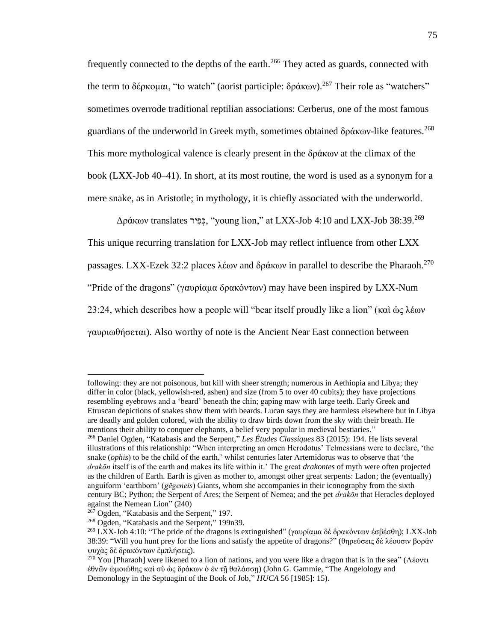frequently connected to the depths of the earth.<sup>266</sup> They acted as guards, connected with the term to δέρκομαι, "to watch" (aorist participle: δράκων).<sup>267</sup> Their role as "watchers" sometimes overrode traditional reptilian associations: Cerberus, one of the most famous guardians of the underworld in Greek myth, sometimes obtained δράκων-like features.<sup>268</sup> This more mythological valence is clearly present in the δράκων at the climax of the book (LXX-Job 40–41). In short, at its most routine, the word is used as a synonym for a mere snake, as in Aristotle; in mythology, it is chiefly associated with the underworld.

 $\Delta$ ράκων translates יִּפְטִיר, "young lion," at LXX-Job 4:10 and LXX-Job 38:39.<sup>269</sup> This unique recurring translation for LXX-Job may reflect influence from other LXX passages. LXX-Ezek 32:2 places λέων and δράκων in parallel to describe the Pharaoh.<sup>270</sup> "Pride of the dragons" (γαυρίαμα δρακόντων) may have been inspired by LXX-Num 23:24, which describes how a people will "bear itself proudly like a lion" (καὶ ὡς λέων γαυριωθήσεται). Also worthy of note is the Ancient Near East connection between

following: they are not poisonous, but kill with sheer strength; numerous in Aethiopia and Libya; they differ in color (black, yellowish-red, ashen) and size (from 5 to over 40 cubits); they have projections resembling eyebrows and a 'beard' beneath the chin; gaping maw with large teeth. Early Greek and Etruscan depictions of snakes show them with beards. Lucan says they are harmless elsewhere but in Libya are deadly and golden colored, with the ability to draw birds down from the sky with their breath. He mentions their ability to conquer elephants, a belief very popular in medieval bestiaries."

<sup>266</sup> Daniel Ogden, "Katabasis and the Serpent," *Les Études Classiques* 83 (2015): 194. He lists several illustrations of this relationship: "When interpreting an omen Herodotus' Telmessians were to declare, 'the snake (*ophis*) to be the child of the earth,' whilst centuries later Artemidorus was to observe that 'the *drakōn* itself is of the earth and makes its life within it.' The great *drakontes* of myth were often projected as the children of Earth. Earth is given as mother to, amongst other great serpents: Ladon; the (eventually) anguiform 'earthborn' (*gēgeneis*) Giants, whom she accompanies in their iconography from the sixth century BC; Python; the Serpent of Ares; the Serpent of Nemea; and the pet *drakōn* that Heracles deployed against the Nemean Lion" (240)

<sup>&</sup>lt;sup>267</sup> Ogden, "Katabasis and the Serpent," 197.

<sup>268</sup> Ogden, "Katabasis and the Serpent," 199n39.

<sup>&</sup>lt;sup>269</sup> LXX-Job 4:10: "The pride of the dragons is extinguished" (γαυρίαμα δὲ δρακόντων ἐσβέσθη); LXX-Job 38:39: "Will you hunt prey for the lions and satisfy the appetite of dragons?" (θηρεύσεις δὲ λέουσιν βοράν ψυχὰς δὲ δρακόντων ἐμπλήσεις).

<sup>&</sup>lt;sup>270</sup> You [Pharaoh] were likened to a lion of nations, and you were like a dragon that is in the sea" (Λέοντι ἐθνῶν ὡμοιώθης καὶ σὺ ὡς δράκων ὁ ἐν τῇ θαλάσσῃ) (John G. Gammie, "The Angelology and Demonology in the Septuagint of the Book of Job," *HUCA* 56 [1985]: 15).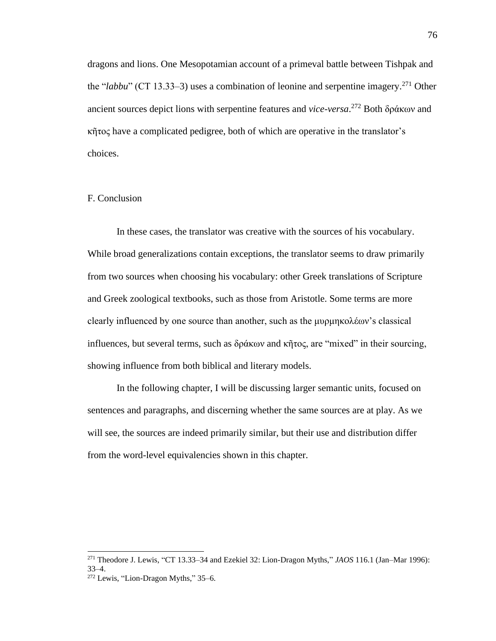dragons and lions. One Mesopotamian account of a primeval battle between Tishpak and the "*labbu*" (CT 13.33–3) uses a combination of leonine and serpentine imagery.<sup>271</sup> Other ancient sources depict lions with serpentine features and *vice-versa*. <sup>272</sup> Both δράκων and κῆτος have a complicated pedigree, both of which are operative in the translator's choices.

### F. Conclusion

In these cases, the translator was creative with the sources of his vocabulary. While broad generalizations contain exceptions, the translator seems to draw primarily from two sources when choosing his vocabulary: other Greek translations of Scripture and Greek zoological textbooks, such as those from Aristotle. Some terms are more clearly influenced by one source than another, such as the μυρμηκολέων's classical influences, but several terms, such as δράκων and κῆτος, are "mixed" in their sourcing, showing influence from both biblical and literary models.

In the following chapter, I will be discussing larger semantic units, focused on sentences and paragraphs, and discerning whether the same sources are at play. As we will see, the sources are indeed primarily similar, but their use and distribution differ from the word-level equivalencies shown in this chapter.

<sup>271</sup> Theodore J. Lewis, "CT 13.33–34 and Ezekiel 32: Lion-Dragon Myths," *JAOS* 116.1 (Jan–Mar 1996): 33–4.

 $272$  Lewis, "Lion-Dragon Myths," 35–6.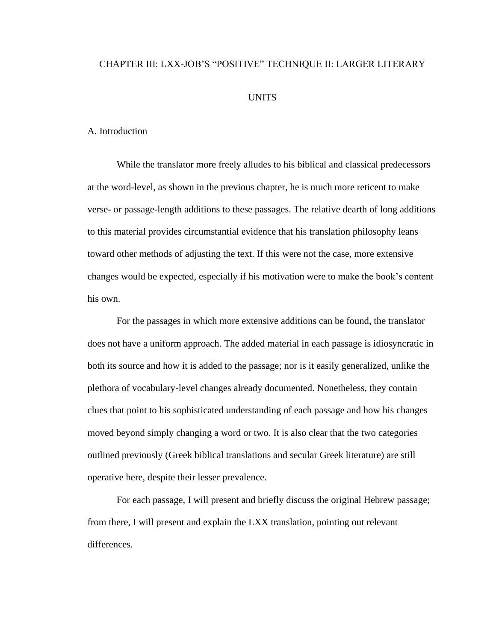# CHAPTER III: LXX-JOB'S "POSITIVE" TECHNIQUE II: LARGER LITERARY

## UNITS

### A. Introduction

While the translator more freely alludes to his biblical and classical predecessors at the word-level, as shown in the previous chapter, he is much more reticent to make verse- or passage-length additions to these passages. The relative dearth of long additions to this material provides circumstantial evidence that his translation philosophy leans toward other methods of adjusting the text. If this were not the case, more extensive changes would be expected, especially if his motivation were to make the book's content his own.

For the passages in which more extensive additions can be found, the translator does not have a uniform approach. The added material in each passage is idiosyncratic in both its source and how it is added to the passage; nor is it easily generalized, unlike the plethora of vocabulary-level changes already documented. Nonetheless, they contain clues that point to his sophisticated understanding of each passage and how his changes moved beyond simply changing a word or two. It is also clear that the two categories outlined previously (Greek biblical translations and secular Greek literature) are still operative here, despite their lesser prevalence.

For each passage, I will present and briefly discuss the original Hebrew passage; from there, I will present and explain the LXX translation, pointing out relevant differences.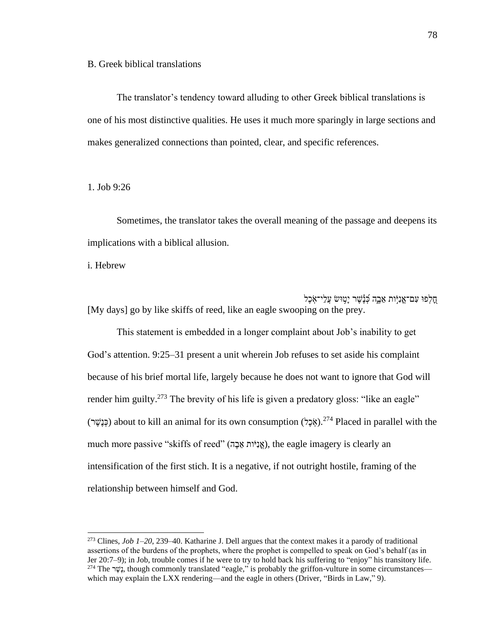B. Greek biblical translations

The translator's tendency toward alluding to other Greek biblical translations is one of his most distinctive qualities. He uses it much more sparingly in large sections and makes generalized connections than pointed, clear, and specific references.

1. Job 9:26

Sometimes, the translator takes the overall meaning of the passage and deepens its implications with a biblical allusion.

i. Hebrew

חַלְפוּ עָם־אֱנִיּ֣ות אֶבֶה כְּנֵֽשֶׁר יַַּטְוּשׂ עֲלֵי־אֶכֶל [My days] go by like skiffs of reed, like an eagle swooping on the prey.

This statement is embedded in a longer complaint about Job's inability to get God's attention. 9:25–31 present a unit wherein Job refuses to set aside his complaint because of his brief mortal life, largely because he does not want to ignore that God will render him guilty.<sup>273</sup> The brevity of his life is given a predatory gloss: "like an eagle" (כְּנֵשֶׁר) about to kill an animal for its own consumption (אֶכֶל).<sup>274</sup> Placed in parallel with the much more passive "skiffs of reed" (אֲנִיּוֹת אֱבֶה), the eagle imagery is clearly an intensification of the first stich. It is a negative, if not outright hostile, framing of the relationship between himself and God.

<sup>273</sup> Clines, *Job 1–20*, 239–40. Katharine J. Dell argues that the context makes it a parody of traditional assertions of the burdens of the prophets, where the prophet is compelled to speak on God's behalf (as in Jer 20:7–9); in Job, trouble comes if he were to try to hold back his suffering to "enjoy" his transitory life. <sup>274</sup> The יְשֶׁב, though commonly translated "eagle," is probably the griffon-vulture in some circumstances which may explain the LXX rendering—and the eagle in others (Driver, "Birds in Law," 9).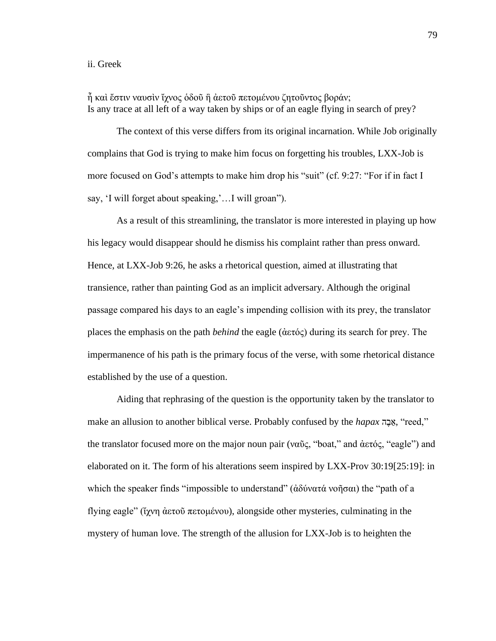### ii. Greek

ἦ καὶ ἔστιν ναυσὶν ἴχνος ὁδοῦ ἢ ἀετοῦ πετομένου ζητοῦντος βοράν; Is any trace at all left of a way taken by ships or of an eagle flying in search of prey?

The context of this verse differs from its original incarnation. While Job originally complains that God is trying to make him focus on forgetting his troubles, LXX-Job is more focused on God's attempts to make him drop his "suit" (cf. 9:27: "For if in fact I say, 'I will forget about speaking,'…I will groan").

As a result of this streamlining, the translator is more interested in playing up how his legacy would disappear should he dismiss his complaint rather than press onward. Hence, at LXX-Job 9:26, he asks a rhetorical question, aimed at illustrating that transience, rather than painting God as an implicit adversary. Although the original passage compared his days to an eagle's impending collision with its prey, the translator places the emphasis on the path *behind* the eagle (ἀετός) during its search for prey. The impermanence of his path is the primary focus of the verse, with some rhetorical distance established by the use of a question.

Aiding that rephrasing of the question is the opportunity taken by the translator to make an allusion to another biblical verse. Probably confused by the *hapax*, "reed," the translator focused more on the major noun pair (ναῦς, "boat," and ἀετός, "eagle") and elaborated on it. The form of his alterations seem inspired by LXX-Prov 30:19[25:19]: in which the speaker finds "impossible to understand" (ἀδύνατά νοῆσαι) the "path of a flying eagle" (ἴχνη ἀετοῦ πετομένου), alongside other mysteries, culminating in the mystery of human love. The strength of the allusion for LXX-Job is to heighten the

79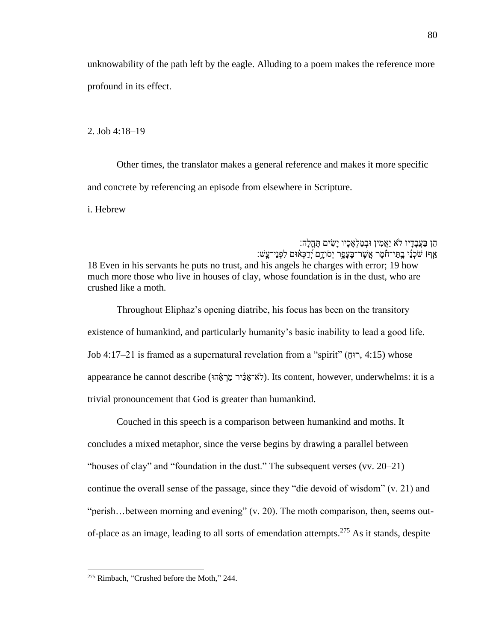unknowability of the path left by the eagle. Alluding to a poem makes the reference more profound in its effect.

2. Job 4:18–19

Other times, the translator makes a general reference and makes it more specific and concrete by referencing an episode from elsewhere in Scripture.

i. Hebrew

הֵן בַעֲבָדָיו לֹא יַאֲמִין וּבְמַלְאָכָיו יָשִׂים תָּהֲלָה: ַ אַףו שֹׁכְנֵי בַתֲי־חֹמֶר אֲשֶׁר־בֶּעֲפֶר יְסֹודָם יְדַכְּאִ֫וּם לִפְנֵי־עֲשׁ: 18 Even in his servants he puts no trust, and his angels he charges with error; 19 how much more those who live in houses of clay, whose foundation is in the dust, who are crushed like a moth.

Throughout Eliphaz's opening diatribe, his focus has been on the transitory existence of humankind, and particularly humanity's basic inability to lead a good life.  $Job$  4:17–21 is framed as a supernatural revelation from a "spirit" ( $\tau$ וּחָ, 4:15) whose appearance he cannot describe (לֹא־אֲכָּיר מַרְאֶהוּ). Its content, however, underwhelms: it is a trivial pronouncement that God is greater than humankind.

Couched in this speech is a comparison between humankind and moths. It concludes a mixed metaphor, since the verse begins by drawing a parallel between "houses of clay" and "foundation in the dust." The subsequent verses (vv. 20–21) continue the overall sense of the passage, since they "die devoid of wisdom" (v. 21) and "perish...between morning and evening" (v. 20). The moth comparison, then, seems outof-place as an image, leading to all sorts of emendation attempts.<sup>275</sup> As it stands, despite

<sup>275</sup> Rimbach, "Crushed before the Moth," 244.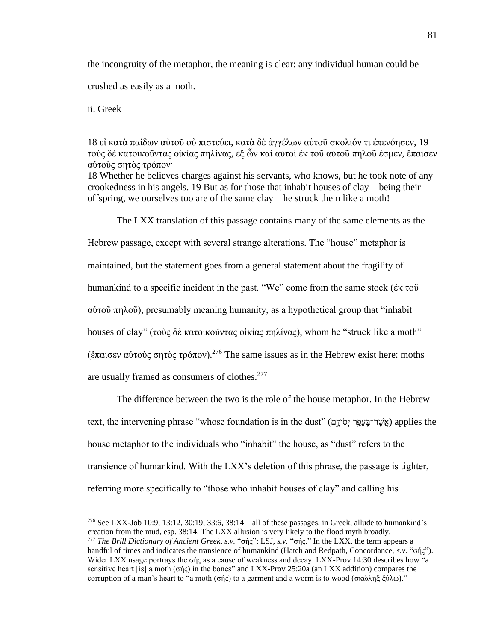the incongruity of the metaphor, the meaning is clear: any individual human could be crushed as easily as a moth.

ii. Greek

18 εἰ κατὰ παίδων αὐτοῦ οὐ πιστεύει, κατὰ δὲ ἀγγέλων αὐτοῦ σκολιόν τι ἐπενόησεν, 19 τοὺς δὲ κατοικοῦντας οἰκίας πηλίνας, ἐξ ὧν καὶ αὐτοὶ ἐκ τοῦ αὐτοῦ πηλοῦ ἐσμεν, ἔπαισεν αὐτοὺς σητὸς τρόπον·

18 Whether he believes charges against his servants, who knows, but he took note of any crookedness in his angels. 19 But as for those that inhabit houses of clay—being their offspring, we ourselves too are of the same clay—he struck them like a moth!

The LXX translation of this passage contains many of the same elements as the

Hebrew passage, except with several strange alterations. The "house" metaphor is maintained, but the statement goes from a general statement about the fragility of humankind to a specific incident in the past. "We" come from the same stock (ἐκ τοῦ αὐτοῦ πηλοῦ), presumably meaning humanity, as a hypothetical group that "inhabit houses of clay" (τοὺς δὲ κατοικοῦντας οἰκίας πηλίνας), whom he "struck like a moth" (ἔπαισεν αὐτοὺς σητὸς τρόπον).<sup>276</sup> The same issues as in the Hebrew exist here: moths are usually framed as consumers of clothes.<sup>277</sup>

The difference between the two is the role of the house metaphor. In the Hebrew text, the intervening phrase "whose foundation is in the dust" (אֲשֶׁר־בַּעֲפֶר יְסֹוֹדָם) applies the house metaphor to the individuals who "inhabit" the house, as "dust" refers to the transience of humankind. With the LXX's deletion of this phrase, the passage is tighter, referring more specifically to "those who inhabit houses of clay" and calling his

<sup>&</sup>lt;sup>276</sup> See LXX-Job 10:9, 13:12, 30:19, 33:6, 38:14 – all of these passages, in Greek, allude to humankind's creation from the mud, esp. 38:14. The LXX allusion is very likely to the flood myth broadly. <sup>277</sup> *The Brill Dictionary of Ancient Greek*, *s.v.* "σής"; LSJ, *s.v.* "σής." In the LXX, the term appears a handful of times and indicates the transience of humankind (Hatch and Redpath, Concordance, *s.v.* "σής"). Wider LXX usage portrays the σής as a cause of weakness and decay. LXX-Prov 14:30 describes how "a sensitive heart [is] a moth (σής) in the bones" and LXX-Prov 25:20a (an LXX addition) compares the corruption of a man's heart to "a moth (σής) to a garment and a worm is to wood (σκώληξ ξύλῳ)."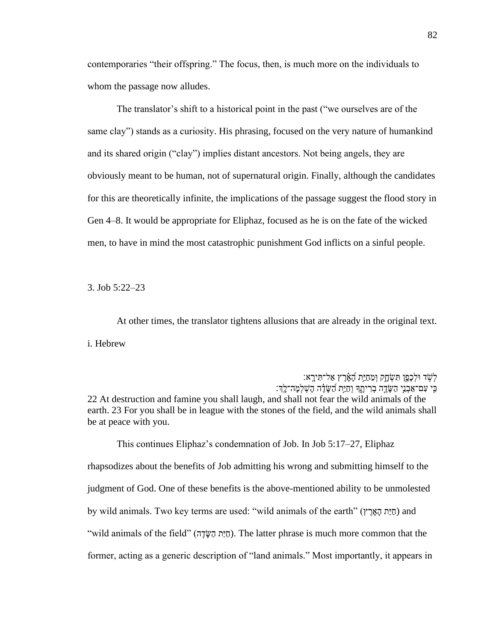contemporaries "their offspring." The focus, then, is much more on the individuals to whom the passage now alludes.

The translator's shift to a historical point in the past ("we ourselves are of the same clay") stands as a curiosity. His phrasing, focused on the very nature of humankind and its shared origin ("clay") implies distant ancestors. Not being angels, they are obviously meant to be human, not of supernatural origin. Finally, although the candidates for this are theoretically infinite, the implications of the passage suggest the flood story in Gen 4–8. It would be appropriate for Eliphaz, focused as he is on the fate of the wicked men, to have in mind the most catastrophic punishment God inflicts on a sinful people.

3. Job 5:22–23

At other times, the translator tightens allusions that are already in the original text. i. Hebrew

לְשָׁד וּלְכָפָן תִּשְׂחֶק וְמֵחַיַּת הָאָ֫בֶץ אַל־תִּירָא: ּכִּי עִם־אַבְנֵי הַשֶּׂדֶה בְרִיתֵֽךְ וְחַיָּת הַשָּׂדֶּה הָשְׁלְמָּה־לֵךְ׃ 22 At destruction and famine you shall laugh, and shall not fear the wild animals of the earth. 23 For you shall be in league with the stones of the field, and the wild animals shall be at peace with you.

This continues Eliphaz's condemnation of Job. In Job 5:17–27, Eliphaz rhapsodizes about the benefits of Job admitting his wrong and submitting himself to the judgment of God. One of these benefits is the above-mentioned ability to be unmolested by wild animals. Two key terms are used: "wild animals of the earth" (חַיֲת הָאֲרָץ) and "wild animals of the field" (הַיַּתּ הַשָּׂדֶה). The latter phrase is much more common that the former, acting as a generic description of "land animals." Most importantly, it appears in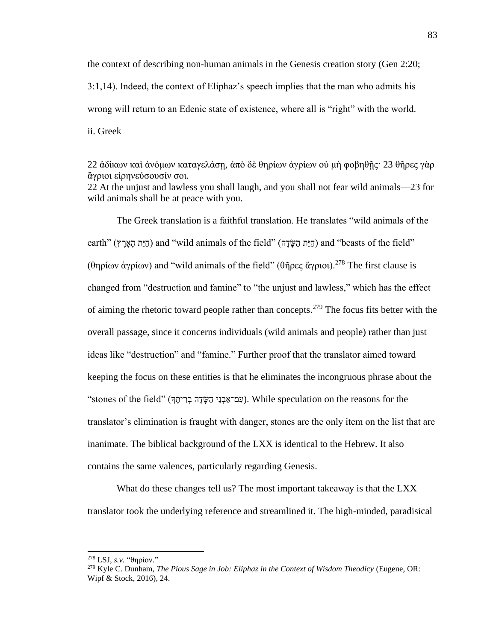the context of describing non-human animals in the Genesis creation story (Gen 2:20; 3:1,14). Indeed, the context of Eliphaz's speech implies that the man who admits his wrong will return to an Edenic state of existence, where all is "right" with the world. ii. Greek

22 ἀδίκων καὶ ἀνόμων καταγελάσῃ, ἀπὸ δὲ θηρίων ἀγρίων οὐ μὴ φοβηθῇς· 23 θῆρες γὰρ ἄγριοι εἰρηνεύσουσίν σοι. 22 At the unjust and lawless you shall laugh, and you shall not fear wild animals—23 for wild animals shall be at peace with you.

The Greek translation is a faithful translation. He translates "wild animals of the earth" (חַיַּת הַאֵּרֶץ) and "wild animals of the field" (חַיַּת הַשֵּׂרָה) and "beasts of the field" (θηρίων ἀγρίων) and "wild animals of the field" (θῆρες ἄγριοι).<sup>278</sup> The first clause is changed from "destruction and famine" to "the unjust and lawless," which has the effect of aiming the rhetoric toward people rather than concepts.<sup>279</sup> The focus fits better with the overall passage, since it concerns individuals (wild animals and people) rather than just ideas like "destruction" and "famine." Further proof that the translator aimed toward keeping the focus on these entities is that he eliminates the incongruous phrase about the "stones of the field" (עְם־אֲבְנֵי הַשֶּׂדֶה בְרִיתֵךּ). While speculation on the reasons for the translator's elimination is fraught with danger, stones are the only item on the list that are inanimate. The biblical background of the LXX is identical to the Hebrew. It also contains the same valences, particularly regarding Genesis.

What do these changes tell us? The most important takeaway is that the LXX translator took the underlying reference and streamlined it. The high-minded, paradisical

<sup>278</sup> LSJ, *s.v.* "θηρίον."

<sup>279</sup> Kyle C. Dunham, *The Pious Sage in Job: Eliphaz in the Context of Wisdom Theodicy* (Eugene, OR: Wipf & Stock, 2016), 24.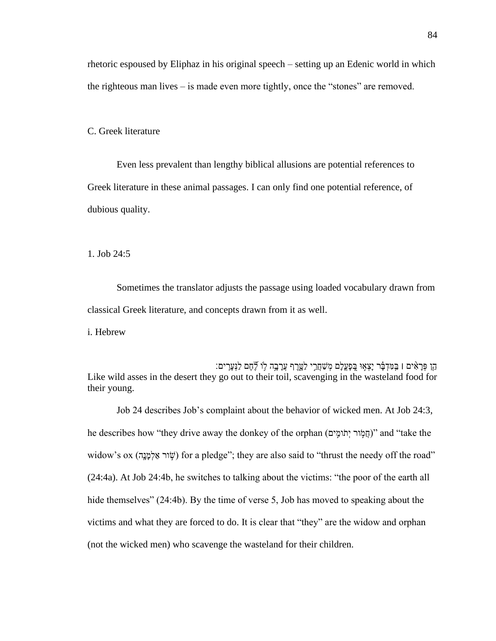rhetoric espoused by Eliphaz in his original speech – setting up an Edenic world in which the righteous man lives – is made even more tightly, once the "stones" are removed.

C. Greek literature

Even less prevalent than lengthy biblical allusions are potential references to Greek literature in these animal passages. I can only find one potential reference, of dubious quality.

1. Job 24:5

Sometimes the translator adjusts the passage using loaded vocabulary drawn from classical Greek literature, and concepts drawn from it as well.

i. Hebrew

ּהֵן פְּרָאִים ו בִּמִּדְבָר יָצְאָוּ בֵּפְעֲלָם מְשַׁחֲרֵי לַטֱרֶף עֲרָבָה לָוֹ לֶיֶחֶם לַנְּעָרִים: Like wild asses in the desert they go out to their toil, scavenging in the wasteland food for their young.

Job 24 describes Job's complaint about the behavior of wicked men. At Job 24:3, he describes how "they drive away the donkey of the orphan (יְחֲמְוֹר יְתֹומֵים)" and "take the widow's ox (שְׂוֹר אֵלְמַנֵה) for a pledge"; they are also said to "thrust the needy off the road" (24:4a). At Job 24:4b, he switches to talking about the victims: "the poor of the earth all hide themselves" (24:4b). By the time of verse 5, Job has moved to speaking about the victims and what they are forced to do. It is clear that "they" are the widow and orphan (not the wicked men) who scavenge the wasteland for their children.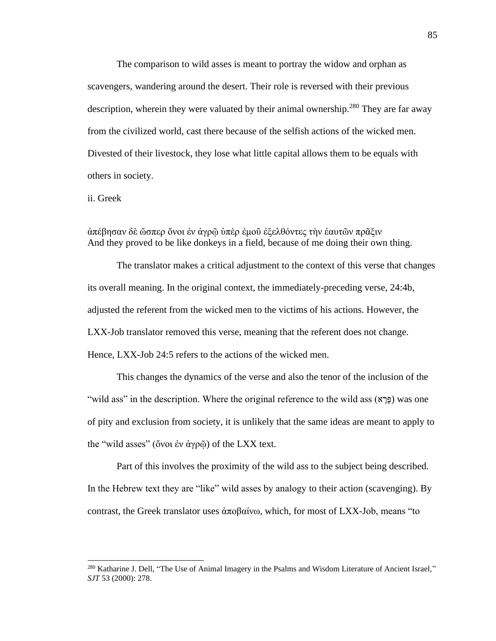The comparison to wild asses is meant to portray the widow and orphan as scavengers, wandering around the desert. Their role is reversed with their previous description, wherein they were valuated by their animal ownership.<sup>280</sup> They are far away from the civilized world, cast there because of the selfish actions of the wicked men. Divested of their livestock, they lose what little capital allows them to be equals with others in society.

ii. Greek

# ἀπέβησαν δὲ ὥσπερ ὄνοι ἐν ἀγρῷ ὑπὲρ ἐμοῦ ἐξελθόντες τὴν ἑαυτῶν πρᾶξιν And they proved to be like donkeys in a field, because of me doing their own thing.

The translator makes a critical adjustment to the context of this verse that changes its overall meaning. In the original context, the immediately-preceding verse, 24:4b, adjusted the referent from the wicked men to the victims of his actions. However, the LXX-Job translator removed this verse, meaning that the referent does not change. Hence, LXX-Job 24:5 refers to the actions of the wicked men.

This changes the dynamics of the verse and also the tenor of the inclusion of the "wild ass" in the description. Where the original reference to the wild ass (א (פּרָא) was one of pity and exclusion from society, it is unlikely that the same ideas are meant to apply to the "wild asses" (ὄνοι ἐν ἀγρῷ) of the LXX text.

Part of this involves the proximity of the wild ass to the subject being described. In the Hebrew text they are "like" wild asses by analogy to their action (scavenging). By contrast, the Greek translator uses ἀποβαίνω, which, for most of LXX-Job, means "to

<sup>&</sup>lt;sup>280</sup> Katharine J. Dell, "The Use of Animal Imagery in the Psalms and Wisdom Literature of Ancient Israel," *SJT* 53 (2000): 278.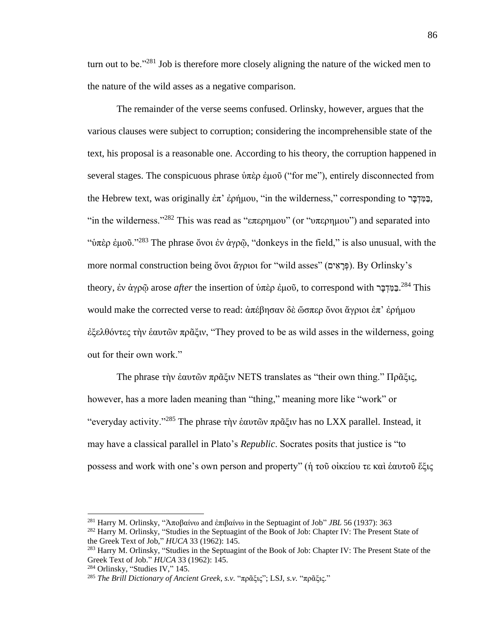turn out to be."<sup>281</sup> Job is therefore more closely aligning the nature of the wicked men to the nature of the wild asses as a negative comparison.

The remainder of the verse seems confused. Orlinsky, however, argues that the various clauses were subject to corruption; considering the incomprehensible state of the text, his proposal is a reasonable one. According to his theory, the corruption happened in several stages. The conspicuous phrase ὑπὲρ ἐμοῦ ("for me"), entirely disconnected from the Hebrew text, was originally ἐπ' ἐρήμου, "in the wilderness," corresponding to  $\overline{z}$ "in the wilderness."<sup>282</sup> This was read as "επερημου" (or "υπερημου") and separated into "ὑπὲρ ἐμοῦ."<sup>283</sup> The phrase ὄνοι ἐν ἀγρῷ, "donkeys in the field," is also unusual, with the more normal construction being ὄνοι ἄγριοι for "wild asses" (פּרָאִים). By Orlinsky's theory, ἐν ἀγρῷ arose *after* the insertion of ὑπὲρ ἐμοῦ, to correspond with <sup>284</sup> This would make the corrected verse to read: ἀπέβησαν δὲ ὥσπερ ὄνοι ἄγριοι ἐπ' ἐρήμου ἐξελθόντες τὴν ἑαυτῶν πρᾶξιν, "They proved to be as wild asses in the wilderness, going out for their own work."

The phrase τὴν ἑαυτῶν πρᾶξιν NETS translates as "their own thing." Πρᾶξις, however, has a more laden meaning than "thing," meaning more like "work" or "everyday activity."<sup>285</sup> The phrase τὴν ἑαυτῶν πρᾶξιν has no LXX parallel. Instead, it may have a classical parallel in Plato's *Republic*. Socrates posits that justice is "to possess and work with one's own person and property" (ἡ τοῦ οἰκείου τε καὶ ἑαυτοῦ ἕξις

<sup>281</sup> Harry M. Orlinsky, "Ἀποβαίνω and ἐπιβαίνω in the Septuagint of Job" *JBL* 56 (1937): 363

<sup>282</sup> Harry M. Orlinsky, "Studies in the Septuagint of the Book of Job: Chapter IV: The Present State of the Greek Text of Job," *HUCA* 33 (1962): 145.

<sup>&</sup>lt;sup>283</sup> Harry M. Orlinsky, "Studies in the Septuagint of the Book of Job: Chapter IV: The Present State of the Greek Text of Job." *HUCA* 33 (1962): 145.

<sup>284</sup> Orlinsky, "Studies IV," 145.

<sup>285</sup> *The Brill Dictionary of Ancient Greek*, *s.v.* "πρᾶξις"; LSJ, *s.v.* "πρᾶξις."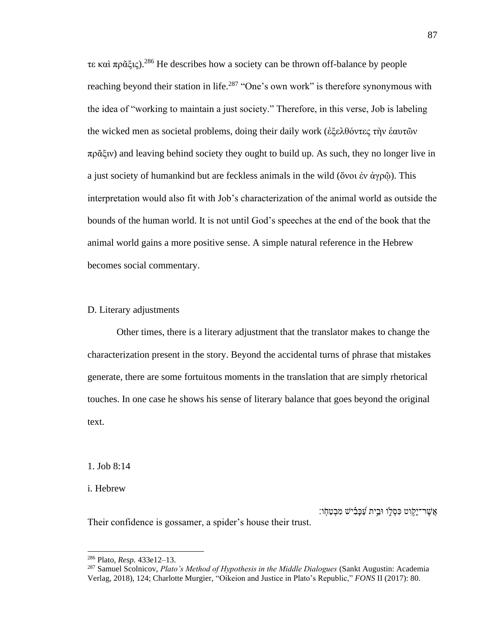τε καὶ πρᾶξις).<sup>286</sup> He describes how a society can be thrown off-balance by people reaching beyond their station in life.<sup>287</sup> "One's own work" is therefore synonymous with the idea of "working to maintain a just society." Therefore, in this verse, Job is labeling the wicked men as societal problems, doing their daily work (ἐξελθόντες τὴν ἑαυτῶν πρᾶξιν) and leaving behind society they ought to build up. As such, they no longer live in a just society of humankind but are feckless animals in the wild (ὄνοι ἐν ἀγρῶ). This interpretation would also fit with Job's characterization of the animal world as outside the bounds of the human world. It is not until God's speeches at the end of the book that the animal world gains a more positive sense. A simple natural reference in the Hebrew becomes social commentary.

#### D. Literary adjustments

Other times, there is a literary adjustment that the translator makes to change the characterization present in the story. Beyond the accidental turns of phrase that mistakes generate, there are some fortuitous moments in the translation that are simply rhetorical touches. In one case he shows his sense of literary balance that goes beyond the original text.

1. Job 8:14

i. Hebrew

אֲשֶׁר־יָקָוט כִּסְלֶו וּבֵית עַׁכָּבִ**י**ֹשׁ מִּבְטַחָו:

Their confidence is gossamer, a spider's house their trust.

<sup>286</sup> Plato, *Resp.* 433e12–13.

<sup>287</sup> Samuel Scolnicov, *Plato's Method of Hypothesis in the Middle Dialogues* (Sankt Augustin: Academia Verlag, 2018), 124; Charlotte Murgier, "Oikeion and Justice in Plato's Republic," *FONS* II (2017): 80.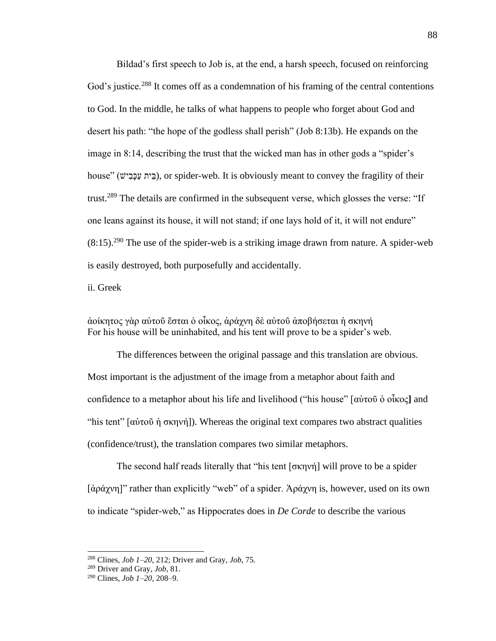Bildad's first speech to Job is, at the end, a harsh speech, focused on reinforcing God's justice.<sup>288</sup> It comes off as a condemnation of his framing of the central contentions to God. In the middle, he talks of what happens to people who forget about God and desert his path: "the hope of the godless shall perish" (Job 8:13b). He expands on the image in 8:14, describing the trust that the wicked man has in other gods a "spider's house" (בֵּית עַכָּבִישׁ), or spider-web. It is obviously meant to convey the fragility of their trust.<sup>289</sup> The details are confirmed in the subsequent verse, which glosses the verse: "If one leans against its house, it will not stand; if one lays hold of it, it will not endure"  $(8.15)$ <sup>290</sup> The use of the spider-web is a striking image drawn from nature. A spider-web is easily destroyed, both purposefully and accidentally.

ii. Greek

ἀοίκητος γὰρ αὐτοῦ ἔσται ὁ οἶκος, ἀράχνη δὲ αὐτοῦ ἀποβήσεται ἡ σκηνή For his house will be uninhabited, and his tent will prove to be a spider's web.

The differences between the original passage and this translation are obvious. Most important is the adjustment of the image from a metaphor about faith and confidence to a metaphor about his life and livelihood ("his house" [αὐτοῦ ὁ οἶκος**]** and "his tent"  $\left[\alpha\right]$  ( $\alpha\right]$  oknym<sup>-</sup>). Whereas the original text compares two abstract qualities (confidence/trust), the translation compares two similar metaphors.

The second half reads literally that "his tent [σκηνή] will prove to be a spider [ἀράχνη]" rather than explicitly "web" of a spider. Ἀράχνη is, however, used on its own to indicate "spider-web," as Hippocrates does in *De Corde* to describe the various

<sup>288</sup> Clines, *Job 1–20*, 212; Driver and Gray, *Job*, 75.

<sup>289</sup> Driver and Gray, *Job*, 81.

<sup>290</sup> Clines, *Job 1–20*, 208–9.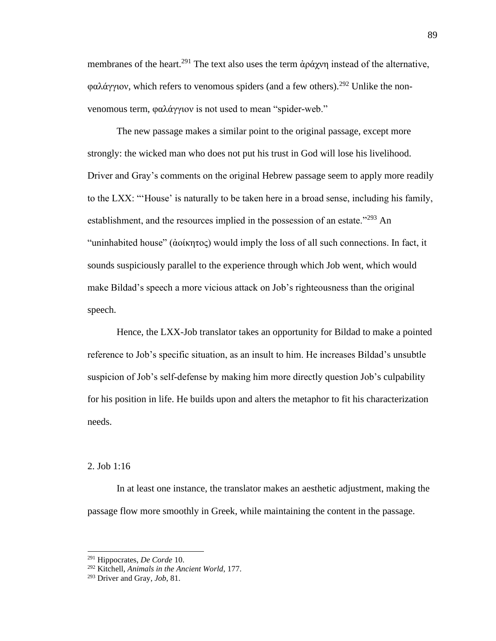membranes of the heart.<sup>291</sup> The text also uses the term  $\dot{\alpha}$   $\rho \dot{\alpha}$  *y* instead of the alternative, φαλάγγιον, which refers to venomous spiders (and a few others).<sup>292</sup> Unlike the nonvenomous term, φαλάγγιον is not used to mean "spider-web."

The new passage makes a similar point to the original passage, except more strongly: the wicked man who does not put his trust in God will lose his livelihood. Driver and Gray's comments on the original Hebrew passage seem to apply more readily to the LXX: "'House' is naturally to be taken here in a broad sense, including his family, establishment, and the resources implied in the possession of an estate."<sup>293</sup> An "uninhabited house" (ἀοίκητος) would imply the loss of all such connections. In fact, it sounds suspiciously parallel to the experience through which Job went, which would make Bildad's speech a more vicious attack on Job's righteousness than the original speech.

Hence, the LXX-Job translator takes an opportunity for Bildad to make a pointed reference to Job's specific situation, as an insult to him. He increases Bildad's unsubtle suspicion of Job's self-defense by making him more directly question Job's culpability for his position in life. He builds upon and alters the metaphor to fit his characterization needs.

### 2. Job 1:16

In at least one instance, the translator makes an aesthetic adjustment, making the passage flow more smoothly in Greek, while maintaining the content in the passage.

<sup>291</sup> Hippocrates, *De Corde* 10.

<sup>292</sup> Kitchell, *Animals in the Ancient World*, 177.

<sup>293</sup> Driver and Gray, *Job*, 81.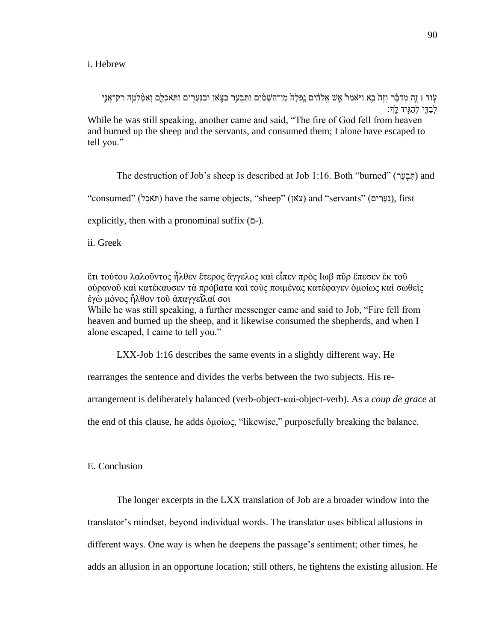i. Hebrew

עִוד ו זֵה מִדַבֵּ֫ר וְזֵה בָּא וַיֹּאמַרֹ אֵ֣ש אֱלֹהָ֫ים נַפְלַה מִן־הַשֵּׁמַ֫יִם וַתִּבְעֲר בַצֶּאוֹ וּבַנִּעֲרֶים וַתִּאכְלֵם וַאִמַּ֥לְטֵה רַק־אֲנֵי ַ לְבַדִּי לְהַגְּיד לְַדְּ While he was still speaking, another came and said, "The fire of God fell from heaven and burned up the sheep and the servants, and consumed them; I alone have escaped to tell you."

The destruction of Job's sheep is described at Job 1:16. Both "burned" (תִּבְעַר) and

"consumed" (האֹכְל) have the same objects, "sheep" (צֹאן) and "servants" (דְעָרִים), first

explicitly, then with a pronominal suffix  $(2-)$ .

ii. Greek

ἔτι τούτου λαλοῦντος ἦλθεν ἕτερος ἄγγελος καὶ εἶπεν πρὸς Ιωβ πῦρ ἔπεσεν ἐκ τοῦ οὐρανοῦ καὶ κατέκαυσεν τὰ πρόβατα καὶ τοὺς ποιμένας κατέφαγεν ὁμοίως καὶ σωθεὶς ἐγὼ μόνος ἦλθον τοῦ ἀπαγγεῗλαί σοι While he was still speaking, a further messenger came and said to Job, "Fire fell from

heaven and burned up the sheep, and it likewise consumed the shepherds, and when I alone escaped, I came to tell you."

LXX-Job 1:16 describes the same events in a slightly different way. He

rearranges the sentence and divides the verbs between the two subjects. His re-

arrangement is deliberately balanced (verb-object-καὶ-object-verb). As a *coup de grace* at

the end of this clause, he adds ὁμοίως, "likewise," purposefully breaking the balance.

E. Conclusion

The longer excerpts in the LXX translation of Job are a broader window into the translator's mindset, beyond individual words. The translator uses biblical allusions in different ways. One way is when he deepens the passage's sentiment; other times, he adds an allusion in an opportune location; still others, he tightens the existing allusion. He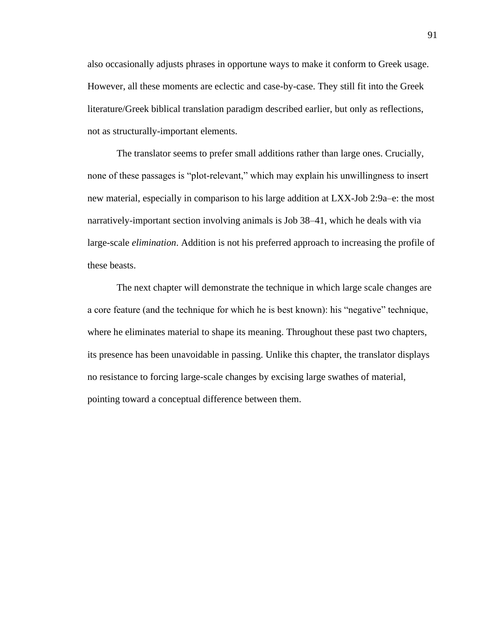also occasionally adjusts phrases in opportune ways to make it conform to Greek usage. However, all these moments are eclectic and case-by-case. They still fit into the Greek literature/Greek biblical translation paradigm described earlier, but only as reflections, not as structurally-important elements.

The translator seems to prefer small additions rather than large ones. Crucially, none of these passages is "plot-relevant," which may explain his unwillingness to insert new material, especially in comparison to his large addition at LXX-Job 2:9a–e: the most narratively-important section involving animals is Job 38–41, which he deals with via large-scale *elimination*. Addition is not his preferred approach to increasing the profile of these beasts.

The next chapter will demonstrate the technique in which large scale changes are a core feature (and the technique for which he is best known): his "negative" technique, where he eliminates material to shape its meaning. Throughout these past two chapters, its presence has been unavoidable in passing. Unlike this chapter, the translator displays no resistance to forcing large-scale changes by excising large swathes of material, pointing toward a conceptual difference between them.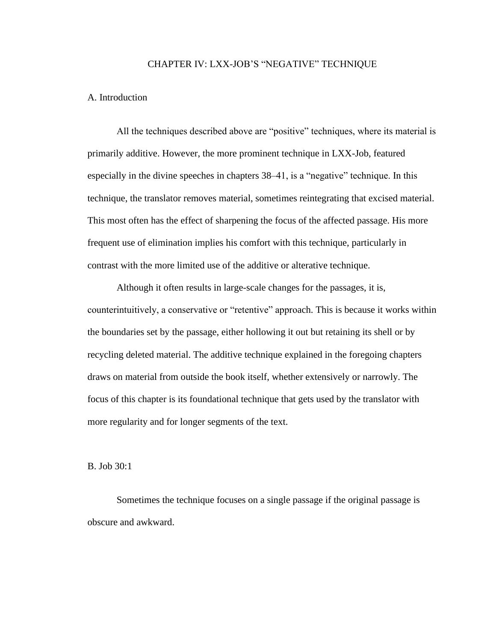### CHAPTER IV: LXX-JOB'S "NEGATIVE" TECHNIQUE

### A. Introduction

All the techniques described above are "positive" techniques, where its material is primarily additive. However, the more prominent technique in LXX-Job, featured especially in the divine speeches in chapters 38–41, is a "negative" technique. In this technique, the translator removes material, sometimes reintegrating that excised material. This most often has the effect of sharpening the focus of the affected passage. His more frequent use of elimination implies his comfort with this technique, particularly in contrast with the more limited use of the additive or alterative technique.

Although it often results in large-scale changes for the passages, it is, counterintuitively, a conservative or "retentive" approach. This is because it works within the boundaries set by the passage, either hollowing it out but retaining its shell or by recycling deleted material. The additive technique explained in the foregoing chapters draws on material from outside the book itself, whether extensively or narrowly. The focus of this chapter is its foundational technique that gets used by the translator with more regularity and for longer segments of the text.

B. Job 30:1

Sometimes the technique focuses on a single passage if the original passage is obscure and awkward.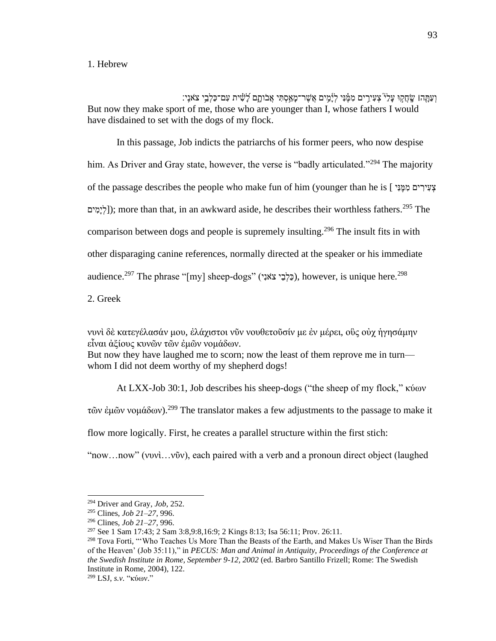### 1. Hebrew

וְעַתָּֽהוֹ שֶׂחֲקֵוּ עָלַ<sup>יְ</sup> צְעִירֵים מִמֶּ֫נִּי לְיָּ֫מֶים אֲשֶׁר־מָאַסְתִּי אֲבֹותַם לָשִׁית עִם־כַּלְבֵי צֹאנֵי But now they make sport of me, those who are younger than I, whose fathers I would have disdained to set with the dogs of my flock.

In this passage, Job indicts the patriarchs of his former peers, who now despise him. As Driver and Gray state, however, the verse is "badly articulated."<sup>294</sup> The majority of the passage describes the people who make fun of him (younger than he is [ יִׁנ ֶמ ִׁמ ים ִׁיר ִׁע ְצ  $[$ לימִים); more than that, in an awkward aside, he describes their worthless fathers.<sup>295</sup> The comparison between dogs and people is supremely insulting.<sup>296</sup> The insult fits in with other disparaging canine references, normally directed at the speaker or his immediate audience.<sup>297</sup> The phrase "[my] sheep-dogs" (כָּלְבֵי צֹאנִי), however, is unique here.<sup>298</sup>

2. Greek

νυνὶ δὲ κατεγέλασάν μου, ἐλάχιστοι νῦν νουθετοῦσίν με ἐν μέρει, οὓς οὐχ ἡγησάμην εἶναι ἀξίους κυνῶν τῶν ἐμῶν νομάδων.

But now they have laughed me to scorn; now the least of them reprove me in turn whom I did not deem worthy of my shepherd dogs!

At LXX-Job 30:1, Job describes his sheep-dogs ("the sheep of my flock," κύων

τῶν ἐμῶν νομάδων).<sup>299</sup> The translator makes a few adjustments to the passage to make it

flow more logically. First, he creates a parallel structure within the first stich:

"now…now" (νυνὶ…νῦν), each paired with a verb and a pronoun direct object (laughed

<sup>294</sup> Driver and Gray, *Job*, 252.

<sup>295</sup> Clines, *Job 21–27*, 996.

<sup>296</sup> Clines, *Job 21–27*, 996.

<sup>297</sup> See 1 Sam 17:43; 2 Sam 3:8,9:8,16:9; 2 Kings 8:13; Isa 56:11; Prov. 26:11.

<sup>&</sup>lt;sup>298</sup> Tova Forti, "'Who Teaches Us More Than the Beasts of the Earth, and Makes Us Wiser Than the Birds of the Heaven' (Job 35:11)," in *PECUS: Man and Animal in Antiquity, Proceedings of the Conference at the Swedish Institute in Rome, September 9-12, 2002* (ed. Barbro Santillo Frizell; Rome: The Swedish Institute in Rome, 2004), 122.

<sup>299</sup> LSJ, *s.v.* "κύων."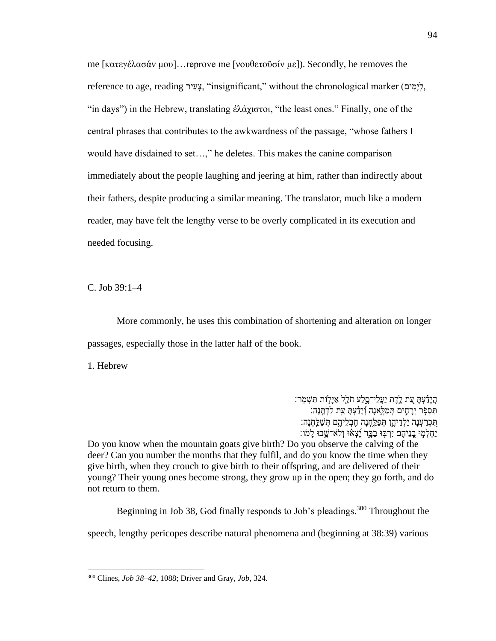me [κατεγέλασάν μου]…reprove me [νουθετοῦσίν με]). Secondly, he removes the reference to age, reading יִצְעִיה, "insignificant," without the chronological marker (יְמִים), "in days") in the Hebrew, translating ἐλάχιστοι, "the least ones." Finally, one of the central phrases that contributes to the awkwardness of the passage, "whose fathers I would have disdained to set…," he deletes. This makes the canine comparison immediately about the people laughing and jeering at him, rather than indirectly about their fathers, despite producing a similar meaning. The translator, much like a modern reader, may have felt the lengthy verse to be overly complicated in its execution and needed focusing.

C. Job 39:1–4

More commonly, he uses this combination of shortening and alteration on longer passages, especially those in the latter half of the book.

1. Hebrew

ְהָיָדָּ֫עָתַּ עֱת לֶדֶת יַעֲלֵי־סָלַע חֹלֵל אַיַּלְוֹת תִּשְׁמְׂר: ְתִּסְפָּר יְרַחֵים תִּמַלֵּאנַה וְיַדַּעָׁתַּ עֵת לִדְתֲנָה: ְהֵכְרַעְנָה יַלְדֵיהֶן תְּפַלֶחְנָה חֶבְלֵיהֶם תְּשַׁלֵּחְנָה: ַיִּחְלְמִוּ בֲנֵיהֶם יִרְבְּוּ בַבֵּר יָּׁצָאוּ וְלֹא־שֵׁבוּ לַמֹּו:

Do you know when the mountain goats give birth? Do you observe the calving of the deer? Can you number the months that they fulfil, and do you know the time when they give birth, when they crouch to give birth to their offspring, and are delivered of their young? Their young ones become strong, they grow up in the open; they go forth, and do not return to them.

Beginning in Job 38, God finally responds to Job's pleadings.<sup>300</sup> Throughout the

speech, lengthy pericopes describe natural phenomena and (beginning at 38:39) various

<sup>300</sup> Clines, *Job 38–42*, 1088; Driver and Gray, *Job*, 324.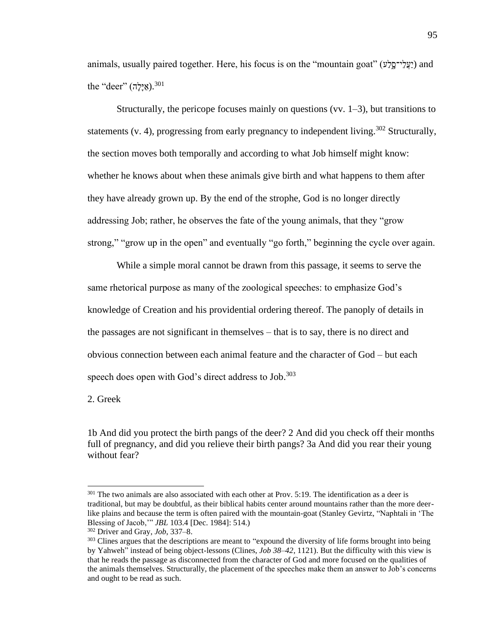animals, usually paired together. Here, his focus is on the "mountain goat" ( $\gamma$ עֲלֵי־סֱלָע) and the "deer" (אֵילֵה).<sup>301</sup>

Structurally, the pericope focuses mainly on questions (vv.  $1-3$ ), but transitions to statements (v. 4), progressing from early pregnancy to independent living.<sup>302</sup> Structurally, the section moves both temporally and according to what Job himself might know: whether he knows about when these animals give birth and what happens to them after they have already grown up. By the end of the strophe, God is no longer directly addressing Job; rather, he observes the fate of the young animals, that they "grow strong," "grow up in the open" and eventually "go forth," beginning the cycle over again.

While a simple moral cannot be drawn from this passage, it seems to serve the same rhetorical purpose as many of the zoological speeches: to emphasize God's knowledge of Creation and his providential ordering thereof. The panoply of details in the passages are not significant in themselves – that is to say, there is no direct and obvious connection between each animal feature and the character of God – but each speech does open with God's direct address to Job.<sup>303</sup>

2. Greek

1b And did you protect the birth pangs of the deer? 2 And did you check off their months full of pregnancy, and did you relieve their birth pangs? 3a And did you rear their young without fear?

<sup>&</sup>lt;sup>301</sup> The two animals are also associated with each other at Prov. 5:19. The identification as a deer is traditional, but may be doubtful, as their biblical habits center around mountains rather than the more deerlike plains and because the term is often paired with the mountain-goat (Stanley Gevirtz, "Naphtali in 'The Blessing of Jacob,'" *JBL* 103.4 [Dec. 1984]: 514.)

<sup>302</sup> Driver and Gray, *Job*, 337–8.

<sup>&</sup>lt;sup>303</sup> Clines argues that the descriptions are meant to "expound the diversity of life forms brought into being by Yahweh" instead of being object-lessons (Clines, *Job 38–42*, 1121). But the difficulty with this view is that he reads the passage as disconnected from the character of God and more focused on the qualities of the animals themselves. Structurally, the placement of the speeches make them an answer to Job's concerns and ought to be read as such.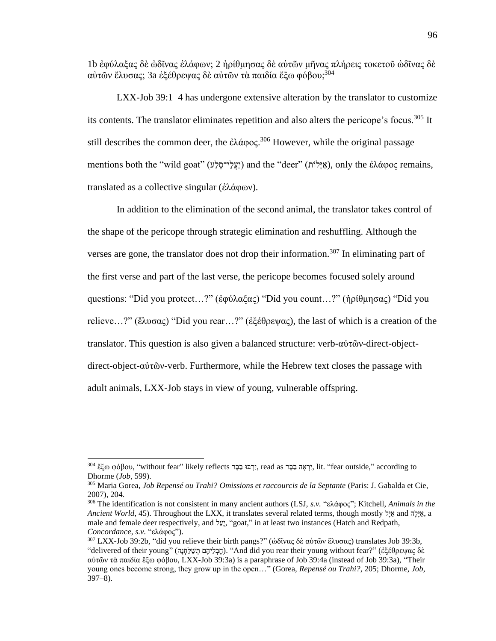1b ἐφύλαξας δὲ ὠδῖνας ἐλάφων; 2 ἠρίθμησας δὲ αὐτῶν μῆνας πλήρεις τοκετοῦ ὠδῖνας δὲ αύτῶν ἔλυσας; 3a ἐξέθρεψας δὲ αὐτῶν τὰ παιδία ἔξω φόβου:<sup>304</sup>

LXX-Job 39:1–4 has undergone extensive alteration by the translator to customize its contents. The translator eliminates repetition and also alters the pericope's focus.<sup>305</sup> It still describes the common deer, the ἐλάφος.<sup>306</sup> However, while the original passage mentions both the "wild goat" (עֲלֵי־סָלָע) and the "deer" (אֵילוֹת), only the ἐλάφος remains, translated as a collective singular (ἐλάφων).

In addition to the elimination of the second animal, the translator takes control of the shape of the pericope through strategic elimination and reshuffling. Although the verses are gone, the translator does not drop their information.<sup>307</sup> In eliminating part of the first verse and part of the last verse, the pericope becomes focused solely around questions: "Did you protect…?" (ἐφύλαξας) "Did you count…?" (ἠρίθμησας) "Did you relieve…?" (ἔλυσας) "Did you rear…?" (ἐξέθρεψας), the last of which is a creation of the translator. This question is also given a balanced structure: verb-αὐτῶν-direct-objectdirect-object-αὐτῶν-verb. Furthermore, while the Hebrew text closes the passage with adult animals, LXX-Job stays in view of young, vulnerable offspring.

 $^{304}$  έξω φόβου, "without fear" likely reflects יְרָבּוּ בַּבַּר read as יְרָאֲה בָּבַּר, lit. "fear outside," according to Dhorme (*Job*, 599).

<sup>305</sup> Maria Gorea, *Job Repensé ou Trahi? Omissions et raccourcis de la Septante* (Paris: J. Gabalda et Cie, 2007), 204.

<sup>306</sup> The identification is not consistent in many ancient authors (LSJ, *s.v.* "ελάφος"; Kitchell, *Animals in the Ancient World*, 45). Throughout the LXX, it translates several related terms, though mostly לָּי ַא and הָּלָּי ַא, a male and female deer respectively, and לֵעָּי," goat," in at least two instances (Hatch and Redpath, *Concordance*, *s.v.* "ελάφος").

<sup>&</sup>lt;sup>307</sup> LXX-Job 39:2b, "did you relieve their birth pangs?" (ἀδῖνας δὲ αὐτῶν ἔλυσας) translates Job 39:3b, "delivered of their young" (הָּנ ְחַל ַש ְת םֶיהֵל ְבֶח(." And did you rear their young without fear?" (ἐξέθρεψας δὲ αὐτῶν τὰ παιδία ἔξω φόβου, LXX-Job 39:3a) is a paraphrase of Job 39:4a (instead of Job 39:3a), "Their young ones become strong, they grow up in the open…" (Gorea, *Repensé ou Trahi?*, 205; Dhorme, *Job*, 397–8).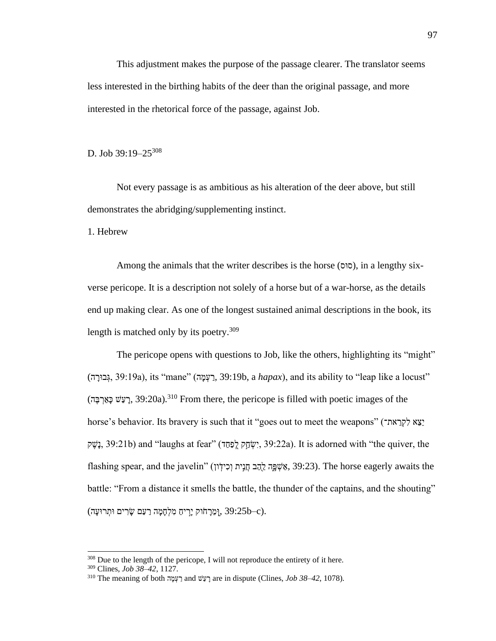This adjustment makes the purpose of the passage clearer. The translator seems less interested in the birthing habits of the deer than the original passage, and more interested in the rhetorical force of the passage, against Job.

D. Job 39:19–25<sup>308</sup>

Not every passage is as ambitious as his alteration of the deer above, but still demonstrates the abridging/supplementing instinct.

1. Hebrew

Among the animals that the writer describes is the horse (סוּס), in a lengthy sixverse pericope. It is a description not solely of a horse but of a war-horse, as the details end up making clear. As one of the longest sustained animal descriptions in the book, its length is matched only by its poetry.<sup>309</sup>

The pericope opens with questions to Job, like the others, highlighting its "might"  $($ בּוּרָה, 39:19a), its "mane" (בְּעֲמָה, 39:19b, a *hapax*), and its ability to "leap like a locust" (הַעֲשׁ כַּאֲרְבֵּה, 39:20a).<sup>310</sup> From there, the pericope is filled with poetic images of the horse's behavior. Its bravery is such that it "goes out to meet the weapons" (את־ הַצְא לִקְרַאת־ ֶנֶשֶׁק, 39:21b) and "laughs at fear" (דְּטָּהָ לֻפַּחַד, 39:22a). It is adorned with "the quiver, the flashing spear, and the javelin" (אַ פָּהָ לָהֵב חֲנִית וְכִידְׂון). The horse eagerly awaits the battle: "From a distance it smells the battle, the thunder of the captains, and the shouting" (מֵרַחֹוק יַרִיחַ מִלְחָמַה רַעַם שַׂרִים וּתִרוּעַה). (39:25b–c.

<sup>&</sup>lt;sup>308</sup> Due to the length of the pericope, I will not reproduce the entirety of it here.

<sup>309</sup> Clines, *Job 38–42*, 1127.

<sup>&</sup>lt;sup>310</sup> The meaning of both רַעָּמָה and רַעֲשׁ are in dispute (Clines, *Job 38–42*, 1078).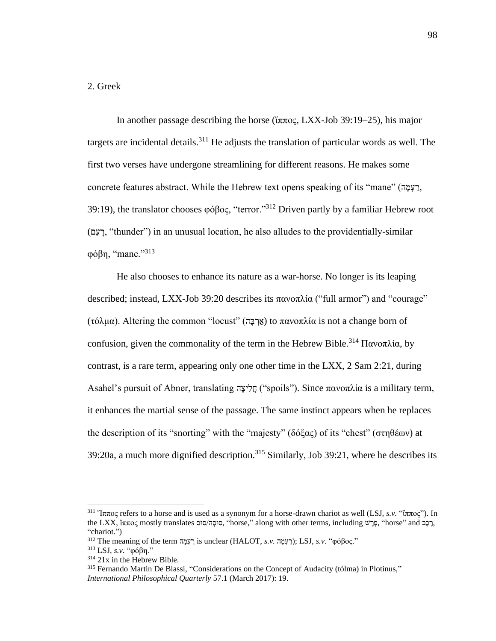# 2. Greek

In another passage describing the horse (ἵππος, LXX-Job 39:19–25), his major targets are incidental details.<sup>311</sup> He adjusts the translation of particular words as well. The first two verses have undergone streamlining for different reasons. He makes some concrete features abstract. While the Hebrew text opens speaking of its "mane" (דַעָּמָה, 39:19), the translator chooses φόβος, "terror."<sup>312</sup> Driven partly by a familiar Hebrew root (םַע ָּר," thunder") in an unusual location, he also alludes to the providentially-similar φόβη, "mane."<sup>313</sup>

He also chooses to enhance its nature as a war-horse. No longer is its leaping described; instead, LXX-Job 39:20 describes its πανοπλία ("full armor") and "courage" (τόλμα). Altering the common "locust" (אֲרְבֶּה) to πανοπλία is not a change born of confusion, given the commonality of the term in the Hebrew Bible.<sup>314</sup> Πανοπλία, by contrast, is a rare term, appearing only one other time in the LXX, 2 Sam 2:21, during Asahel's pursuit of Abner, translating הֲלִיצָּה ("spoils"). Since πανοπλία is a military term, it enhances the martial sense of the passage. The same instinct appears when he replaces the description of its "snorting" with the "majesty" (δόξας) of its "chest" (στηθέων) at  $39:20a$ , a much more dignified description.<sup>315</sup> Similarly, Job 39:21, where he describes its

<sup>&</sup>lt;sup>311</sup> "Iππος refers to a horse and is used as a synonym for a horse-drawn chariot as well (LSJ, *s.v.* ""ππος"). In the LXX, «ππος mostly translates "oτολοτοι" along with other terms, including בָּכֵר, "horse" and בְּ "chariot.")

<sup>312</sup> The meaning of the term רַעָּמָה is unclear (HALOT, *s.v.* "(רַעְמָה); LSJ, *s.v.* "φόβος."

<sup>313</sup> LSJ, *s.v.* "φόβη."

<sup>&</sup>lt;sup>314</sup> 21x in the Hebrew Bible.

<sup>315</sup> Fernando Martin De Blassi, "Considerations on the Concept of Audacity (tólma) in Plotinus," *International Philosophical Quarterly* 57.1 (March 2017): 19.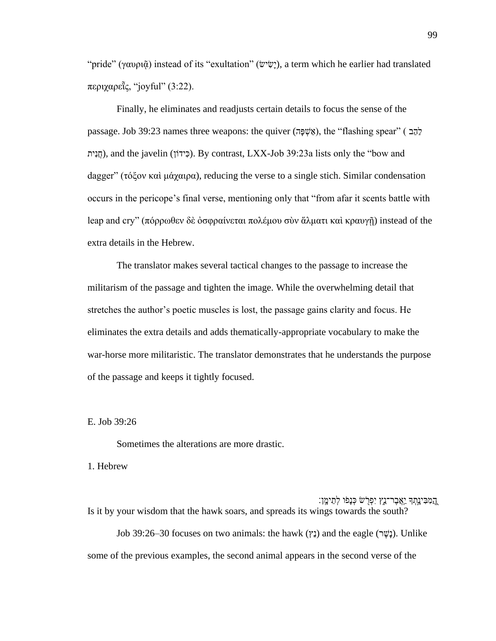"pride" (γαυρι $\tilde{\alpha}$ ) instead of its "exultation" (שֵׁישׁיִ), a term which he earlier had translated περιχαρεῗς, "joyful" (3:22).

Finally, he eliminates and readjusts certain details to focus the sense of the passage. Job 39:23 names three weapons: the quiver (אֲשֶׁפָּה), the "flashing spear" (  $\frac{1}{2}$ חֲנִית), and the javelin (כְּידוֹן). By contrast, LXX-Job 39:23a lists only the "bow and dagger" (τόξον καὶ μάχαιρα), reducing the verse to a single stich. Similar condensation occurs in the pericope's final verse, mentioning only that "from afar it scents battle with leap and cry" (πόρρωθεν δὲ ὀσφραίνεται πολέμου σὺν ἅλματι καὶ κραυγῇ) instead of the extra details in the Hebrew.

The translator makes several tactical changes to the passage to increase the militarism of the passage and tighten the image. While the overwhelming detail that stretches the author's poetic muscles is lost, the passage gains clarity and focus. He eliminates the extra details and adds thematically-appropriate vocabulary to make the war-horse more militaristic. The translator demonstrates that he understands the purpose of the passage and keeps it tightly focused.

E. Job 39:26

Sometimes the alterations are more drastic.

1. Hebrew

ְהֵמִבִּינֵתְךָ יַאֲבֶר־נֵֵץ יִפְרָשׁ כְּנָפֹו לְתֵימֶן: Is it by your wisdom that the hawk soars, and spreads its wings towards the south?

Job 39:26–30 focuses on two animals: the hawk (יָנֶשֶׁר) and the eagle (נַשֶּׁב). Unlike some of the previous examples, the second animal appears in the second verse of the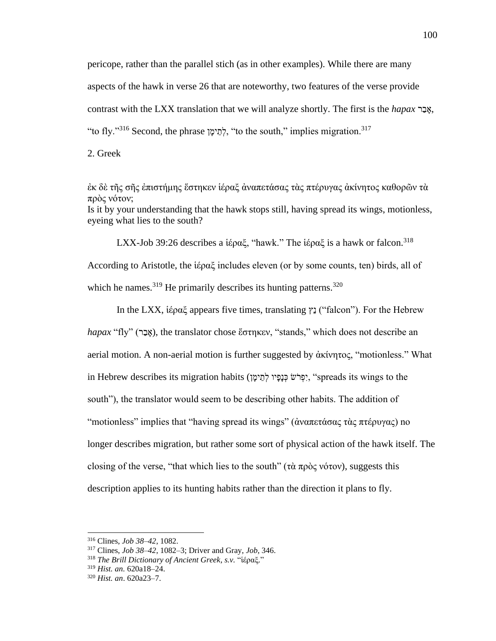pericope, rather than the parallel stich (as in other examples). While there are many aspects of the hawk in verse 26 that are noteworthy, two features of the verse provide contrast with the LXX translation that we will analyze shortly. The first is the *hapax* רְאֲבָר, "to fly."<sup>316</sup> Second, the phrase לתימן, "to the south," implies migration.<sup>317</sup>

2. Greek

ἐκ δὲ τῆς σῆς ἐπιστήμης ἕστηκεν ἱέραξ ἀναπετάσας τὰς πτέρυγας ἀκίνητος καθορῶν τὰ πρὸς νότον; Is it by your understanding that the hawk stops still, having spread its wings, motionless, eyeing what lies to the south?

LXX-Job 39:26 describes a  $i\epsilon \rho \alpha \xi$ , "hawk." The  $i\epsilon \rho \alpha \xi$  is a hawk or falcon.<sup>318</sup> According to Aristotle, the  $i\epsilon \rho \alpha \xi$  includes eleven (or by some counts, ten) birds, all of which he names.  $319$  He primarily describes its hunting patterns.  $320$ 

In the LXX, ἱέραξ appears five times, translating ץֵנ") falcon"). For the Hebrew *hapax* "fly" (אֲבָר), the translator chose ἕστηκεν, "stands," which does not describe an aerial motion. A non-aerial motion is further suggested by ἀκίνητος, "motionless." What in Hebrew describes its migration habits (יִפְרֹש כְּנָפָּיו לְתֵימָן), "spreads its wings to the south"), the translator would seem to be describing other habits. The addition of "motionless" implies that "having spread its wings" (ἀναπετάσας τὰς πτέρυγας) no longer describes migration, but rather some sort of physical action of the hawk itself. The closing of the verse, "that which lies to the south" (τὰ πρὸς νότον), suggests this description applies to its hunting habits rather than the direction it plans to fly.

<sup>316</sup> Clines, *Job 38–42*, 1082.

<sup>317</sup> Clines, *Job 38–42*, 1082–3; Driver and Gray, *Job*, 346.

<sup>318</sup> *The Brill Dictionary of Ancient Greek*, *s.v.* "ἱέραξ."

<sup>319</sup> *Hist. an.* 620a18–24.

<sup>320</sup> *Hist. an*. 620a23–7.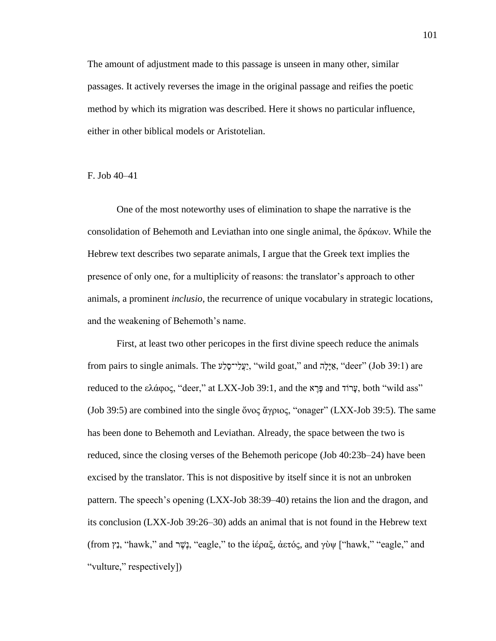The amount of adjustment made to this passage is unseen in many other, similar passages. It actively reverses the image in the original passage and reifies the poetic method by which its migration was described. Here it shows no particular influence, either in other biblical models or Aristotelian.

F. Job 40–41

One of the most noteworthy uses of elimination to shape the narrative is the consolidation of Behemoth and Leviathan into one single animal, the δράκων. While the Hebrew text describes two separate animals, I argue that the Greek text implies the presence of only one, for a multiplicity of reasons: the translator's approach to other animals, a prominent *inclusio*, the recurrence of unique vocabulary in strategic locations, and the weakening of Behemoth's name.

First, at least two other pericopes in the first divine speech reduce the animals from pairs to single animals. The "עֲלָי־סַלָּע, "wild goat," and הָאֵילה, "deer" (Job 39:1) are reduced to the ελάφος, "deer," at LXX-Job 39:1, and the sπ επισημένη εν τους εναιδικού και τη εναιδική επισημε (Job 39:5) are combined into the single ὄνος ἄγριος, "onager" (LXX-Job 39:5). The same has been done to Behemoth and Leviathan. Already, the space between the two is reduced, since the closing verses of the Behemoth pericope (Job 40:23b–24) have been excised by the translator. This is not dispositive by itself since it is not an unbroken pattern. The speech's opening (LXX-Job 38:39–40) retains the lion and the dragon, and its conclusion (LXX-Job 39:26–30) adds an animal that is not found in the Hebrew text (from γ), "hawk," and  $\psi$ ), "eagle," to the iέραξ, απός, and γὺψ ["hawk," "eagle," and "vulture," respectively])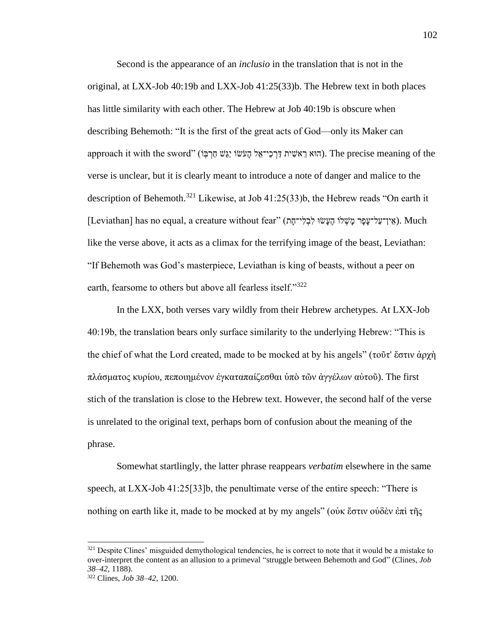Second is the appearance of an *inclusio* in the translation that is not in the original, at LXX-Job 40:19b and LXX-Job 41:25(33)b. The Hebrew text in both places has little similarity with each other. The Hebrew at Job 40:19b is obscure when describing Behemoth: "It is the first of the great acts of God—only its Maker can approach it with the sword" (הוא רֵ הִישִׁית דַּרְכֵי־אֱל הָעֹשׂוֹ יַגֵּשׁ חַרְבָּן). The precise meaning of the verse is unclear, but it is clearly meant to introduce a note of danger and malice to the description of Behemoth.<sup>321</sup> Likewise, at Job 41:25(33)b, the Hebrew reads "On earth it [Leviathan] has no equal, a creature without fear" (אֵין־עַל־עָפָר מָשְׁלוֹ הֶעָּשׂוּ לִבְלִי־חָח). Much like the verse above, it acts as a climax for the terrifying image of the beast, Leviathan: "If Behemoth was God's masterpiece, Leviathan is king of beasts, without a peer on earth, fearsome to others but above all fearless itself."<sup>322</sup>

In the LXX, both verses vary wildly from their Hebrew archetypes. At LXX-Job 40:19b, the translation bears only surface similarity to the underlying Hebrew: "This is the chief of what the Lord created, made to be mocked at by his angels" (τοῦτ' ἔστιν ἀρχὴ πλάσματος κυρίου, πεποιημένον ἐγκαταπαίζεσθαι ὑπὸ τῶν ἀγγέλων αὐτοῦ). The first stich of the translation is close to the Hebrew text. However, the second half of the verse is unrelated to the original text, perhaps born of confusion about the meaning of the phrase.

Somewhat startlingly, the latter phrase reappears *verbatim* elsewhere in the same speech, at LXX-Job 41:25[33]b, the penultimate verse of the entire speech: "There is nothing on earth like it, made to be mocked at by my angels" (οὐκ ἔστιν οὐδὲν ἐπὶ τῆς

 $321$  Despite Clines' misguided demythological tendencies, he is correct to note that it would be a mistake to over-interpret the content as an allusion to a primeval "struggle between Behemoth and God" (Clines, *Job 38–42*, 1188).

<sup>322</sup> Clines, *Job 38–42*, 1200.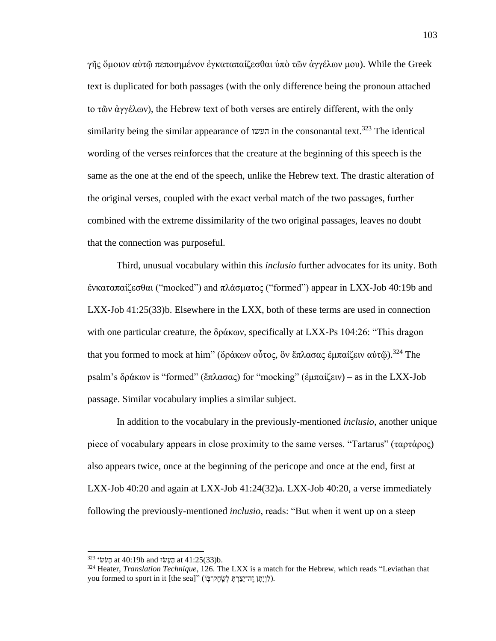γῆς ὅμοιον αὐτῷ πεποιημένον ἐγκαταπαίζεσθαι ὑπὸ τῶν ἀγγέλων μου). While the Greek text is duplicated for both passages (with the only difference being the pronoun attached to τῶν ἀγγέλων), the Hebrew text of both verses are entirely different, with the only similarity being the similar appearance of העשו in the consonantal text.<sup>323</sup> The identical wording of the verses reinforces that the creature at the beginning of this speech is the same as the one at the end of the speech, unlike the Hebrew text. The drastic alteration of the original verses, coupled with the exact verbal match of the two passages, further combined with the extreme dissimilarity of the two original passages, leaves no doubt that the connection was purposeful.

Third, unusual vocabulary within this *inclusio* further advocates for its unity. Both ἐνκαταπαίζεσθαι ("mocked") and πλάσματος ("formed") appear in LXX-Job 40:19b and LXX-Job 41:25(33)b. Elsewhere in the LXX, both of these terms are used in connection with one particular creature, the δράκων, specifically at LXX-Ps 104:26: "This dragon that you formed to mock at him" (δράκων οὗτος, ὃν ἔπλασας ἐμπαίζειν αὐτῶ).<sup>324</sup> The psalm's δράκων is "formed" (ἔπλασας) for "mocking" (ἐμπαίζειν) – as in the LXX-Job passage. Similar vocabulary implies a similar subject.

In addition to the vocabulary in the previously-mentioned *inclusio*, another unique piece of vocabulary appears in close proximity to the same verses. "Tartarus" (ταρτάρος) also appears twice, once at the beginning of the pericope and once at the end, first at LXX-Job 40:20 and again at LXX-Job 41:24(32)a. LXX-Job 40:20, a verse immediately following the previously-mentioned *inclusio*, reads: "But when it went up on a steep

<sup>323</sup> הֲעָּשׂוּ at 40:19b and הֲעָּשׁוּ 41:25(33)b.

<sup>324</sup> Heater, *Translation Technique*, 126. The LXX is a match for the Hebrew, which reads "Leviathan that you formed to sport in it [the sea]" (לְוָיָתָן זֶה־יָצַרְתָּ לְשֶׂחֶק־בָּוֹ).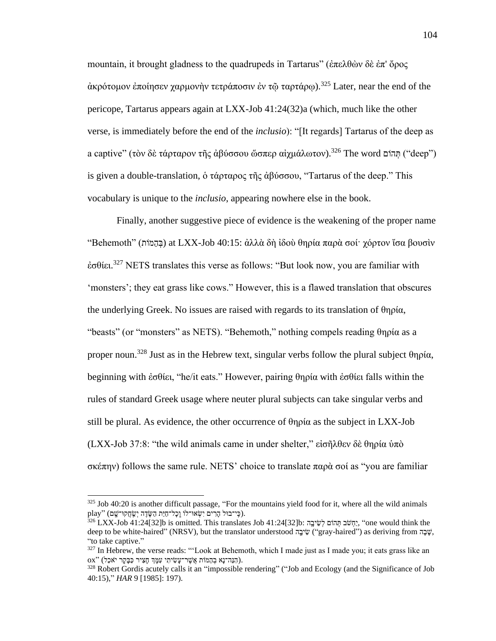mountain, it brought gladness to the quadrupeds in Tartarus" (ἐπελθὼν δὲ ἐπ' ὄρος άκρότομον έποίησεν χαρμονὴν τετράποσιν ἐν τῶ ταρτάρω).<sup>325</sup> Later, near the end of the pericope, Tartarus appears again at LXX-Job 41:24(32)a (which, much like the other verse, is immediately before the end of the *inclusio*): "[It regards] Tartarus of the deep as a captive" (τὸν δὲ τάρταρον τῆς ἀβύσσου ὥσπερ αἰχμάλωτον).<sup>326</sup> The word n ng ("deep") is given a double-translation, ὁ τάρταρος τῆς ἀβύσσου, "Tartarus of the deep." This vocabulary is unique to the *inclusio*, appearing nowhere else in the book.

Finally, another suggestive piece of evidence is the weakening of the proper name "Behemoth" (בְּהָמוֹת) at LXX-Job 40:15: ἀλλὰ δὴ ἰδοὺ θηρία παρὰ σοί· χόρτον ἴσα βουσὶν ἐσθίει. <sup>327</sup> NETS translates this verse as follows: "But look now, you are familiar with 'monsters'; they eat grass like cows." However, this is a flawed translation that obscures the underlying Greek. No issues are raised with regards to its translation of θηρία, "beasts" (or "monsters" as NETS). "Behemoth," nothing compels reading θηρία as a proper noun.<sup>328</sup> Just as in the Hebrew text, singular verbs follow the plural subject θηρία, beginning with ἐσθίει, "he/it eats." However, pairing θηρία with ἐσθίει falls within the rules of standard Greek usage where neuter plural subjects can take singular verbs and still be plural. As evidence, the other occurrence of θηρία as the subject in LXX-Job (LXX-Job 37:8: "the wild animals came in under shelter," εἰσῆλθεν δὲ θηρία ὑπὸ σκέπην) follows the same rule. NETS' choice to translate παρὰ σοί as "you are familiar

 $325$  Job 40:20 is another difficult passage, "For the mountains yield food for it, where all the wild animals play" (כֵּי־בוּל הַרִים יִשְׂאוּ־לוֹ וְכָל־חַיַּת הַשָּׂדֶה יְשֵׂחֲקוּ־שֵׁם).

 $^{326}$  LXX-Job 41:24[32]b is omitted. This translates Job 41:24[32]b: יְחִשַּׁב תְּהוֹם לִשִּיבָה, "one would think the deep to be white-haired" (NRSV), but the translator understood שֲׂבָה "gray-haired") as deriving from  $\ddot{v}$ "to take captive."

 $327$  In Hebrew, the verse reads: "'Look at Behemoth, which I made just as I made you; it eats grass like an  $\alpha$ י הַנֵּה־נָא בְהֵמֹות אֲשֶׁר־עָּשִׂיתִי עִמָּךְ חָצִיר כַּבָּקֶר יֹאכֵל).

<sup>&</sup>lt;sup>328</sup> Robert Gordis acutely calls it an "impossible rendering" ("Job and Ecology (and the Significance of Job 40:15)," *HAR* 9 [1985]: 197).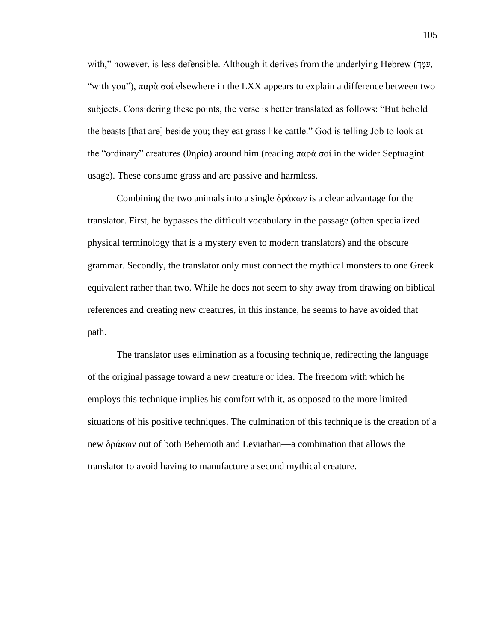with," however, is less defensible. Although it derives from the underlying Hebrew (דְּמַּהָּ, "with you"),  $\pi \alpha \rho \dot{\alpha}$  σοί elsewhere in the LXX appears to explain a difference between two subjects. Considering these points, the verse is better translated as follows: "But behold the beasts [that are] beside you; they eat grass like cattle." God is telling Job to look at the "ordinary" creatures (θηρία) around him (reading παρὰ σοί in the wider Septuagint usage). These consume grass and are passive and harmless.

Combining the two animals into a single δράκων is a clear advantage for the translator. First, he bypasses the difficult vocabulary in the passage (often specialized physical terminology that is a mystery even to modern translators) and the obscure grammar. Secondly, the translator only must connect the mythical monsters to one Greek equivalent rather than two. While he does not seem to shy away from drawing on biblical references and creating new creatures, in this instance, he seems to have avoided that path.

The translator uses elimination as a focusing technique, redirecting the language of the original passage toward a new creature or idea. The freedom with which he employs this technique implies his comfort with it, as opposed to the more limited situations of his positive techniques. The culmination of this technique is the creation of a new δράκων out of both Behemoth and Leviathan—a combination that allows the translator to avoid having to manufacture a second mythical creature.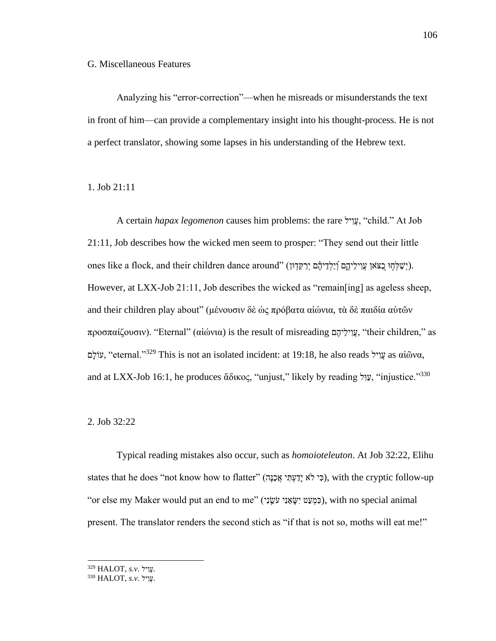## G. Miscellaneous Features

Analyzing his "error-correction"—when he misreads or misunderstands the text in front of him—can provide a complementary insight into his thought-process. He is not a perfect translator, showing some lapses in his understanding of the Hebrew text.

1. Job 21:11

A certain *hapax legomenon* causes him problems: the rare יל ִׁוֲע," child." At Job 21:11, Job describes how the wicked men seem to prosper: "They send out their little ones like a flock, and their children dance around" (יְשֵׁלְחָוּ בָצֹאן עֲוִילֵיהֶם וְלַלְדִיהָם יְרַקִּדְוּן). However, at LXX-Job 21:11, Job describes the wicked as "remain[ing] as ageless sheep, and their children play about" (μένουσιν δὲ ὡς πρόβατα αἰώνια, τὰ δὲ παιδία αὐτῶν προσπαίζουσιν). "Eternal" (αἰώνια) is the result of misreading עֲוִילֵיהֶם, "their children," as םָּולֹע," eternal."<sup>329</sup> This is not an isolated incident: at 19:18, he also reads יל ִׁוֲע as αἰῶνα, and at LXX-Job 16:1, he produces ἄδικος, "unjust," likely by reading ", "injustice."<sup>330</sup>

## 2. Job 32:22

Typical reading mistakes also occur, such as *homoioteleuton*. At Job 32:22, Elihu states that he does "not know how to flatter" (כִּי לֹא יַדַעְתִּי אֲכַנָּה), with the cryptic follow-up "or else my Maker would put an end to me" (יִׁנ ֵָֽשֹע יִׁנ ֵא ָּשִׁי טַע ְמ ִׁכ(, with no special animal present. The translator renders the second stich as "if that is not so, moths will eat me!"

<sup>229</sup> HALOT, s.v. שֵׁוִיל.

 $^{330}$  HALOT, s.v. עויל.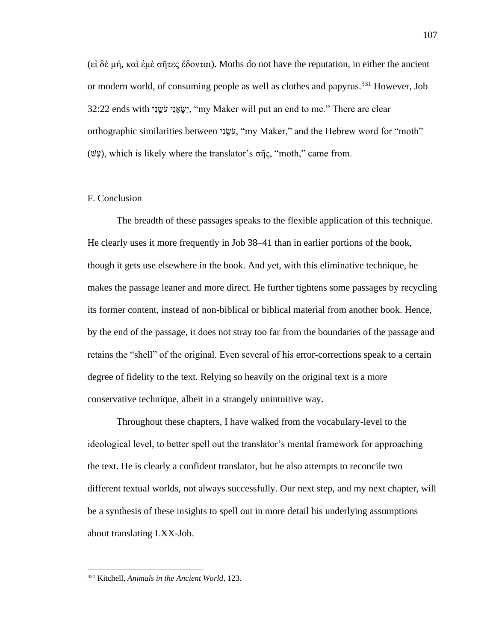(εἰ δὲ μή, καὶ ἐμὲ σῆτες ἔδονται). Moths do not have the reputation, in either the ancient or modern world, of consuming people as well as clothes and papyrus.<sup>331</sup> However, Job 32:22 ends with יִשְׂאֲנִי עִּיְשֵׂוּ, "my Maker will put an end to me." There are clear orthographic similarities between יָנֹשֵׂיָ, "my Maker," and the Hebrew word for "moth" (שֵּׁעָ), which is likely where the translator's σῆς, "moth," came from.

# F. Conclusion

The breadth of these passages speaks to the flexible application of this technique. He clearly uses it more frequently in Job 38–41 than in earlier portions of the book, though it gets use elsewhere in the book. And yet, with this eliminative technique, he makes the passage leaner and more direct. He further tightens some passages by recycling its former content, instead of non-biblical or biblical material from another book. Hence, by the end of the passage, it does not stray too far from the boundaries of the passage and retains the "shell" of the original. Even several of his error-corrections speak to a certain degree of fidelity to the text. Relying so heavily on the original text is a more conservative technique, albeit in a strangely unintuitive way.

Throughout these chapters, I have walked from the vocabulary-level to the ideological level, to better spell out the translator's mental framework for approaching the text. He is clearly a confident translator, but he also attempts to reconcile two different textual worlds, not always successfully. Our next step, and my next chapter, will be a synthesis of these insights to spell out in more detail his underlying assumptions about translating LXX-Job.

<sup>331</sup> Kitchell, *Animals in the Ancient World*, 123.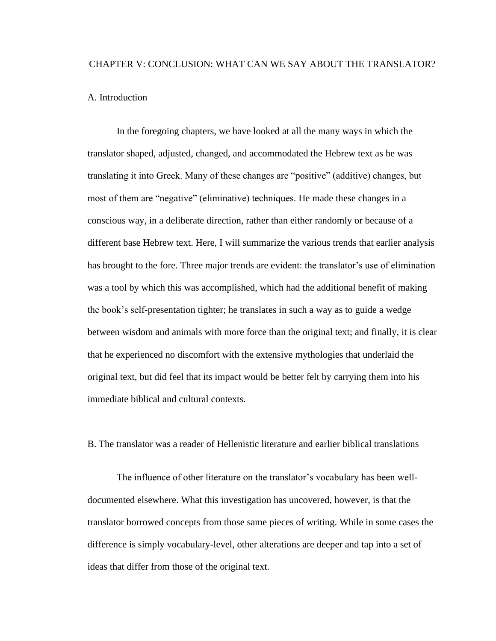# CHAPTER V: CONCLUSION: WHAT CAN WE SAY ABOUT THE TRANSLATOR?

# A. Introduction

In the foregoing chapters, we have looked at all the many ways in which the translator shaped, adjusted, changed, and accommodated the Hebrew text as he was translating it into Greek. Many of these changes are "positive" (additive) changes, but most of them are "negative" (eliminative) techniques. He made these changes in a conscious way, in a deliberate direction, rather than either randomly or because of a different base Hebrew text. Here, I will summarize the various trends that earlier analysis has brought to the fore. Three major trends are evident: the translator's use of elimination was a tool by which this was accomplished, which had the additional benefit of making the book's self-presentation tighter; he translates in such a way as to guide a wedge between wisdom and animals with more force than the original text; and finally, it is clear that he experienced no discomfort with the extensive mythologies that underlaid the original text, but did feel that its impact would be better felt by carrying them into his immediate biblical and cultural contexts.

B. The translator was a reader of Hellenistic literature and earlier biblical translations

The influence of other literature on the translator's vocabulary has been welldocumented elsewhere. What this investigation has uncovered, however, is that the translator borrowed concepts from those same pieces of writing. While in some cases the difference is simply vocabulary-level, other alterations are deeper and tap into a set of ideas that differ from those of the original text.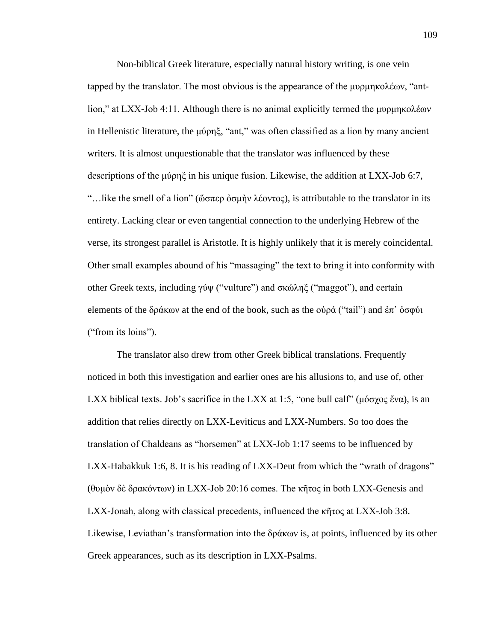Non-biblical Greek literature, especially natural history writing, is one vein tapped by the translator. The most obvious is the appearance of the μυρμηκολέων, "antlion," at LXX-Job 4:11. Although there is no animal explicitly termed the μυρμηκολέων in Hellenistic literature, the μύρηξ, "ant," was often classified as a lion by many ancient writers. It is almost unquestionable that the translator was influenced by these descriptions of the μύρηξ in his unique fusion. Likewise, the addition at LXX-Job 6:7, "...like the smell of a lion" (ὤσπερ ὀσμὴν λέοντος), is attributable to the translator in its entirety. Lacking clear or even tangential connection to the underlying Hebrew of the verse, its strongest parallel is Aristotle. It is highly unlikely that it is merely coincidental. Other small examples abound of his "massaging" the text to bring it into conformity with other Greek texts, including γύψ ("vulture") and σκώληξ ("maggot"), and certain elements of the δράκων at the end of the book, such as the οὐρά ("tail") and ἐπ' ὀσφύι ("from its loins").

The translator also drew from other Greek biblical translations. Frequently noticed in both this investigation and earlier ones are his allusions to, and use of, other LXX biblical texts. Job's sacrifice in the LXX at 1:5, "one bull calf" (μόσγος ἕνα), is an addition that relies directly on LXX-Leviticus and LXX-Numbers. So too does the translation of Chaldeans as "horsemen" at LXX-Job 1:17 seems to be influenced by LXX-Habakkuk 1:6, 8. It is his reading of LXX-Deut from which the "wrath of dragons" (θυμὸν δὲ δρακόντων) in LXX-Job 20:16 comes. The κῆτος in both LXX-Genesis and LXX-Jonah, along with classical precedents, influenced the κῆτος at LXX-Job 3:8. Likewise, Leviathan's transformation into the δράκων is, at points, influenced by its other Greek appearances, such as its description in LXX-Psalms.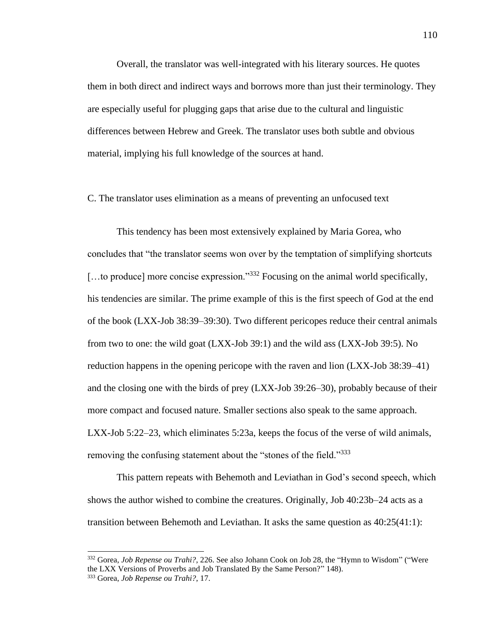Overall, the translator was well-integrated with his literary sources. He quotes them in both direct and indirect ways and borrows more than just their terminology. They are especially useful for plugging gaps that arise due to the cultural and linguistic differences between Hebrew and Greek. The translator uses both subtle and obvious material, implying his full knowledge of the sources at hand.

#### C. The translator uses elimination as a means of preventing an unfocused text

This tendency has been most extensively explained by Maria Gorea, who concludes that "the translator seems won over by the temptation of simplifying shortcuts [...to produce] more concise expression."<sup>332</sup> Focusing on the animal world specifically, his tendencies are similar. The prime example of this is the first speech of God at the end of the book (LXX-Job 38:39–39:30). Two different pericopes reduce their central animals from two to one: the wild goat (LXX-Job 39:1) and the wild ass (LXX-Job 39:5). No reduction happens in the opening pericope with the raven and lion (LXX-Job 38:39–41) and the closing one with the birds of prey (LXX-Job 39:26–30), probably because of their more compact and focused nature. Smaller sections also speak to the same approach. LXX-Job 5:22–23, which eliminates 5:23a, keeps the focus of the verse of wild animals, removing the confusing statement about the "stones of the field."<sup>333</sup>

This pattern repeats with Behemoth and Leviathan in God's second speech, which shows the author wished to combine the creatures. Originally, Job 40:23b–24 acts as a transition between Behemoth and Leviathan. It asks the same question as 40:25(41:1):

<sup>332</sup> Gorea, *Job Repense ou Trahi?*, 226. See also Johann Cook on Job 28, the "Hymn to Wisdom" ("Were the LXX Versions of Proverbs and Job Translated By the Same Person?" 148). <sup>333</sup> Gorea, *Job Repense ou Trahi?*, 17.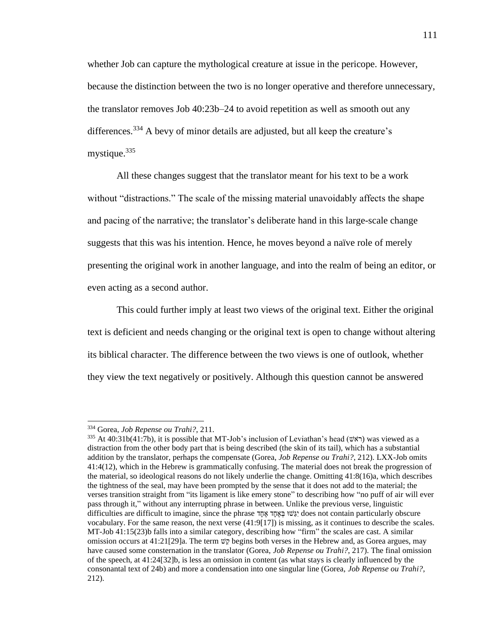whether Job can capture the mythological creature at issue in the pericope. However, because the distinction between the two is no longer operative and therefore unnecessary, the translator removes Job 40:23b–24 to avoid repetition as well as smooth out any differences.<sup>334</sup> A bevy of minor details are adjusted, but all keep the creature's mystique.<sup>335</sup>

All these changes suggest that the translator meant for his text to be a work without "distractions." The scale of the missing material unavoidably affects the shape and pacing of the narrative; the translator's deliberate hand in this large-scale change suggests that this was his intention. Hence, he moves beyond a naïve role of merely presenting the original work in another language, and into the realm of being an editor, or even acting as a second author.

This could further imply at least two views of the original text. Either the original text is deficient and needs changing or the original text is open to change without altering its biblical character. The difference between the two views is one of outlook, whether they view the text negatively or positively. Although this question cannot be answered

<sup>334</sup> Gorea, *Job Repense ou Trahi?*, 211.

<sup>&</sup>lt;sup>335</sup> At 40:31b(41:7b), it is possible that MT-Job's inclusion of Leviathan's head (אוֹראָשׁ) was viewed as a distraction from the other body part that is being described (the skin of its tail), which has a substantial addition by the translator, perhaps the compensate (Gorea, *Job Repense ou Trahi?*, 212). LXX-Job omits 41:4(12), which in the Hebrew is grammatically confusing. The material does not break the progression of the material, so ideological reasons do not likely underlie the change. Omitting 41:8(16)a, which describes the tightness of the seal, may have been prompted by the sense that it does not add to the material; the verses transition straight from "its ligament is like emery stone" to describing how "no puff of air will ever pass through it," without any interrupting phrase in between. Unlike the previous verse, linguistic difficulties are difficult to imagine, since the phrase דָּח ֶא דָּח ֶא ְב וּשַגִׁי does not contain particularly obscure vocabulary. For the same reason, the next verse (41:9[17]) is missing, as it continues to describe the scales. MT-Job 41:15(23)b falls into a similar category, describing how "firm" the scales are cast. A similar omission occurs at  $41:21[29]$ a. The term  $\vec{v}$ <sub> $\vec{v}$ </sub> begins both verses in the Hebrew and, as Gorea argues, may have caused some consternation in the translator (Gorea, *Job Repense ou Trahi?*, 217). The final omission of the speech, at 41:24[32]b, is less an omission in content (as what stays is clearly influenced by the consonantal text of 24b) and more a condensation into one singular line (Gorea, *Job Repense ou Trahi?*, 212).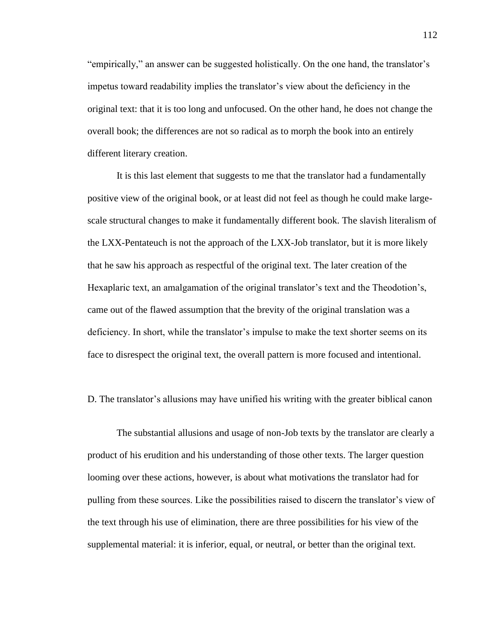"empirically," an answer can be suggested holistically. On the one hand, the translator's impetus toward readability implies the translator's view about the deficiency in the original text: that it is too long and unfocused. On the other hand, he does not change the overall book; the differences are not so radical as to morph the book into an entirely different literary creation.

It is this last element that suggests to me that the translator had a fundamentally positive view of the original book, or at least did not feel as though he could make largescale structural changes to make it fundamentally different book. The slavish literalism of the LXX-Pentateuch is not the approach of the LXX-Job translator, but it is more likely that he saw his approach as respectful of the original text. The later creation of the Hexaplaric text, an amalgamation of the original translator's text and the Theodotion's, came out of the flawed assumption that the brevity of the original translation was a deficiency. In short, while the translator's impulse to make the text shorter seems on its face to disrespect the original text, the overall pattern is more focused and intentional.

#### D. The translator's allusions may have unified his writing with the greater biblical canon

The substantial allusions and usage of non-Job texts by the translator are clearly a product of his erudition and his understanding of those other texts. The larger question looming over these actions, however, is about what motivations the translator had for pulling from these sources. Like the possibilities raised to discern the translator's view of the text through his use of elimination, there are three possibilities for his view of the supplemental material: it is inferior, equal, or neutral, or better than the original text.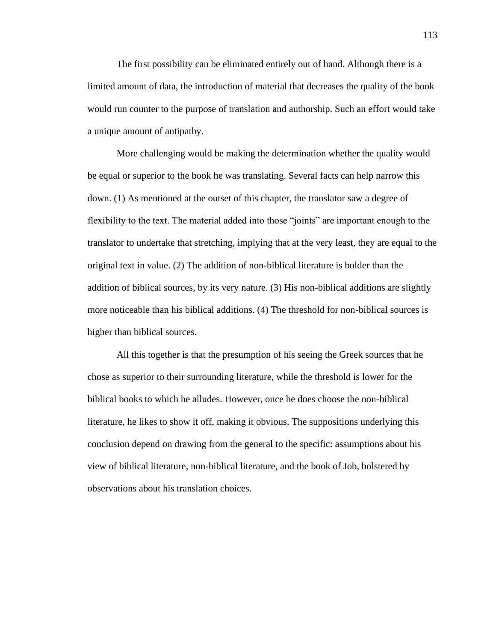The first possibility can be eliminated entirely out of hand. Although there is a limited amount of data, the introduction of material that decreases the quality of the book would run counter to the purpose of translation and authorship. Such an effort would take a unique amount of antipathy.

More challenging would be making the determination whether the quality would be equal or superior to the book he was translating. Several facts can help narrow this down. (1) As mentioned at the outset of this chapter, the translator saw a degree of flexibility to the text. The material added into those "joints" are important enough to the translator to undertake that stretching, implying that at the very least, they are equal to the original text in value. (2) The addition of non-biblical literature is bolder than the addition of biblical sources, by its very nature. (3) His non-biblical additions are slightly more noticeable than his biblical additions. (4) The threshold for non-biblical sources is higher than biblical sources.

All this together is that the presumption of his seeing the Greek sources that he chose as superior to their surrounding literature, while the threshold is lower for the biblical books to which he alludes. However, once he does choose the non-biblical literature, he likes to show it off, making it obvious. The suppositions underlying this conclusion depend on drawing from the general to the specific: assumptions about his view of biblical literature, non-biblical literature, and the book of Job, bolstered by observations about his translation choices.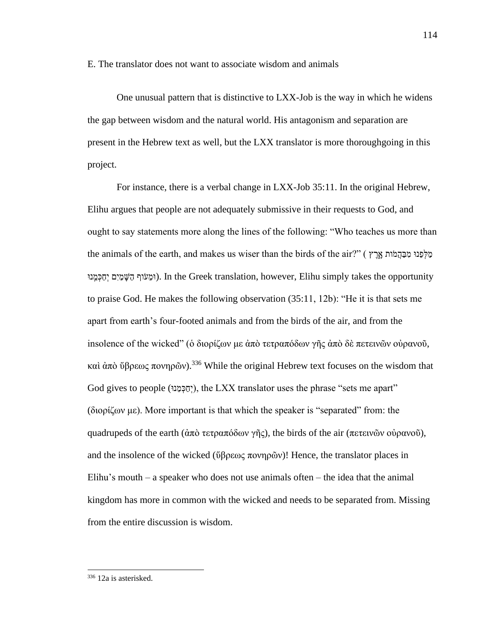E. The translator does not want to associate wisdom and animals

One unusual pattern that is distinctive to LXX-Job is the way in which he widens the gap between wisdom and the natural world. His antagonism and separation are present in the Hebrew text as well, but the LXX translator is more thoroughgoing in this project.

For instance, there is a verbal change in LXX-Job 35:11. In the original Hebrew, Elihu argues that people are not adequately submissive in their requests to God, and ought to say statements more along the lines of the following: "Who teaches us more than the animals of the earth, and makes us wiser than the birds of the air?" ( אֶלְפָּנוּ מִבְּהָמוֹת אֲרָץ וּמֵעֹוף הַשַּׁמַיִם יִחַכְּמֵנוּ). In the Greek translation, however, Elihu simply takes the opportunity to praise God. He makes the following observation (35:11, 12b): "He it is that sets me apart from earth's four-footed animals and from the birds of the air, and from the insolence of the wicked" (ὁ διορίζων με ἀπὸ τετραπόδων γῆς ἀπὸ δὲ πετεινῶν οὐρανοῦ, καὶ ἀπὸ ὕβρεως πονηρῶν).<sup>336</sup> While the original Hebrew text focuses on the wisdom that God gives to people (יִחַכְּמֵנוּ), the LXX translator uses the phrase "sets me apart" (διορίζων με). More important is that which the speaker is "separated" from: the quadrupeds of the earth (ἀπὸ τετραπόδων γῆς), the birds of the air (πετεινῶν οὐρανοῦ), and the insolence of the wicked (ὕβρεως πονηρῶν)! Hence, the translator places in Elihu's mouth – a speaker who does not use animals often – the idea that the animal kingdom has more in common with the wicked and needs to be separated from. Missing from the entire discussion is wisdom.

<sup>114</sup>

<sup>336</sup> 12a is asterisked.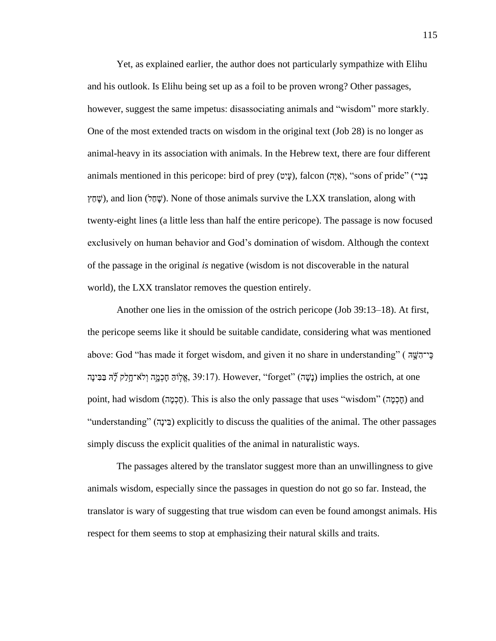Yet, as explained earlier, the author does not particularly sympathize with Elihu and his outlook. Is Elihu being set up as a foil to be proven wrong? Other passages, however, suggest the same impetus: disassociating animals and "wisdom" more starkly. One of the most extended tracts on wisdom in the original text (Job 28) is no longer as animal-heavy in its association with animals. In the Hebrew text, there are four different animals mentioned in this pericope: bird of prey (עֵיִט), falcon (אֵיּה, "sons of pride" (בְּי שָׁחֲץ), and lion (שָׁחֲל). None of those animals survive the LXX translation, along with twenty-eight lines (a little less than half the entire pericope). The passage is now focused exclusively on human behavior and God's domination of wisdom. Although the context of the passage in the original *is* negative (wisdom is not discoverable in the natural world), the LXX translator removes the question entirely.

Another one lies in the omission of the ostrich pericope (Job 39:13–18). At first, the pericope seems like it should be suitable candidate, considering what was mentioned above: God "has made it forget wisdom, and given it no share in understanding" ( היה יֹשֶׂה ) בָּבִּינָה נָלֹא־חֲלֵק לְוֹהָ הָכְמֶה וְלֹא־חָלֵק לְוֹה בַּבִּינָה implies the ostrich, at one .) "Agget" (אֱלְוֹהּ הַבְּעָה ו point, had wisdom (הַכְמָה). This is also the only passage that uses "wisdom" (הַכְמָה) and "understanding" (בֵּינה) explicitly to discuss the qualities of the animal. The other passages simply discuss the explicit qualities of the animal in naturalistic ways.

The passages altered by the translator suggest more than an unwillingness to give animals wisdom, especially since the passages in question do not go so far. Instead, the translator is wary of suggesting that true wisdom can even be found amongst animals. His respect for them seems to stop at emphasizing their natural skills and traits.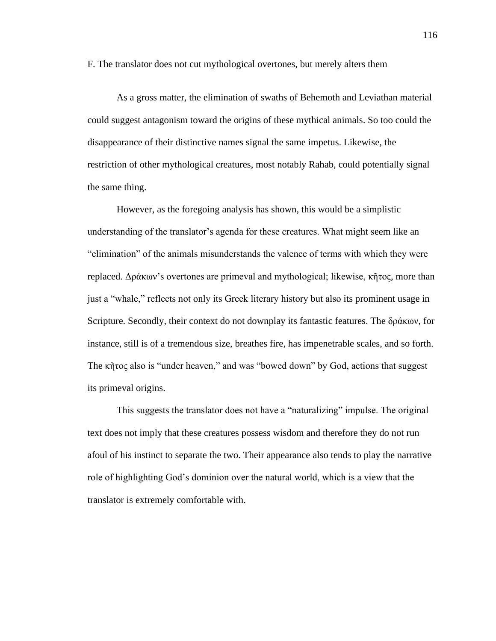F. The translator does not cut mythological overtones, but merely alters them

As a gross matter, the elimination of swaths of Behemoth and Leviathan material could suggest antagonism toward the origins of these mythical animals. So too could the disappearance of their distinctive names signal the same impetus. Likewise, the restriction of other mythological creatures, most notably Rahab, could potentially signal the same thing.

However, as the foregoing analysis has shown, this would be a simplistic understanding of the translator's agenda for these creatures. What might seem like an "elimination" of the animals misunderstands the valence of terms with which they were replaced. Δράκων's overtones are primeval and mythological; likewise, κῆτος, more than just a "whale," reflects not only its Greek literary history but also its prominent usage in Scripture. Secondly, their context do not downplay its fantastic features. The δράκων, for instance, still is of a tremendous size, breathes fire, has impenetrable scales, and so forth. The κῆτος also is "under heaven," and was "bowed down" by God, actions that suggest its primeval origins.

This suggests the translator does not have a "naturalizing" impulse. The original text does not imply that these creatures possess wisdom and therefore they do not run afoul of his instinct to separate the two. Their appearance also tends to play the narrative role of highlighting God's dominion over the natural world, which is a view that the translator is extremely comfortable with.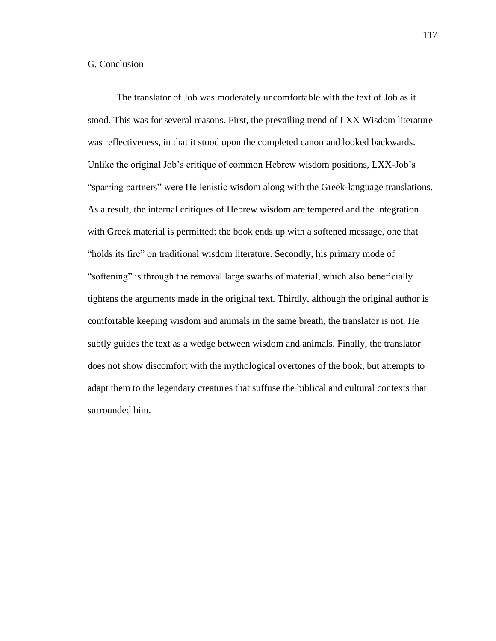# G. Conclusion

The translator of Job was moderately uncomfortable with the text of Job as it stood. This was for several reasons. First, the prevailing trend of LXX Wisdom literature was reflectiveness, in that it stood upon the completed canon and looked backwards. Unlike the original Job's critique of common Hebrew wisdom positions, LXX-Job's "sparring partners" were Hellenistic wisdom along with the Greek-language translations. As a result, the internal critiques of Hebrew wisdom are tempered and the integration with Greek material is permitted: the book ends up with a softened message, one that "holds its fire" on traditional wisdom literature. Secondly, his primary mode of "softening" is through the removal large swaths of material, which also beneficially tightens the arguments made in the original text. Thirdly, although the original author is comfortable keeping wisdom and animals in the same breath, the translator is not. He subtly guides the text as a wedge between wisdom and animals. Finally, the translator does not show discomfort with the mythological overtones of the book, but attempts to adapt them to the legendary creatures that suffuse the biblical and cultural contexts that surrounded him.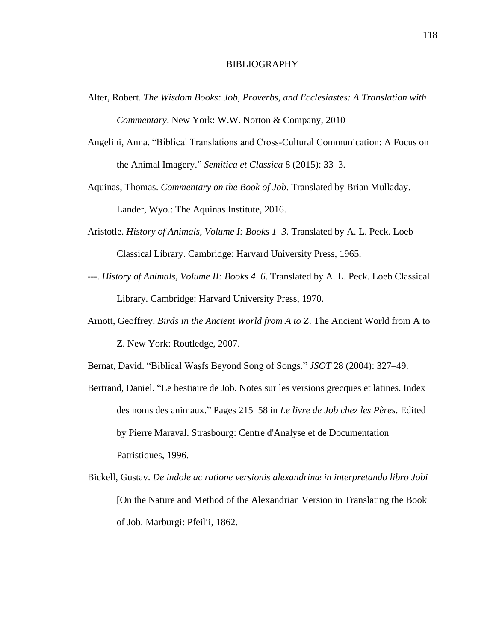## BIBLIOGRAPHY

- Alter, Robert. *The Wisdom Books: Job, Proverbs, and Ecclesiastes: A Translation with Commentary*. New York: W.W. Norton & Company, 2010
- Angelini, Anna. "Biblical Translations and Cross-Cultural Communication: A Focus on the Animal Imagery." *Semitica et Classica* 8 (2015): 33–3.
- Aquinas, Thomas. *Commentary on the Book of Job*. Translated by Brian Mulladay. Lander, Wyo.: The Aquinas Institute, 2016.
- Aristotle. *History of Animals, Volume I: Books 1–3*. Translated by A. L. Peck. Loeb Classical Library. Cambridge: Harvard University Press, 1965.
- ---. *History of Animals, Volume II: Books 4–6*. Translated by A. L. Peck. Loeb Classical Library. Cambridge: Harvard University Press, 1970.
- Arnott, Geoffrey. *Birds in the Ancient World from A to Z*. The Ancient World from A to Z. New York: Routledge, 2007.

Bernat, David. "Biblical Waṣfs Beyond Song of Songs." *JSOT* 28 (2004): 327–49.

- Bertrand, Daniel. "Le bestiaire de Job. Notes sur les versions grecques et latines. Index des noms des animaux." Pages 215–58 in *Le livre de Job chez les Pères*. Edited by Pierre Maraval. Strasbourg: Centre d'Analyse et de Documentation Patristiques, 1996.
- Bickell, Gustav. *De indole ac ratione versionis alexandrinæ in interpretando libro Jobi* [On the Nature and Method of the Alexandrian Version in Translating the Book of Job. Marburgi: Pfeilii, 1862.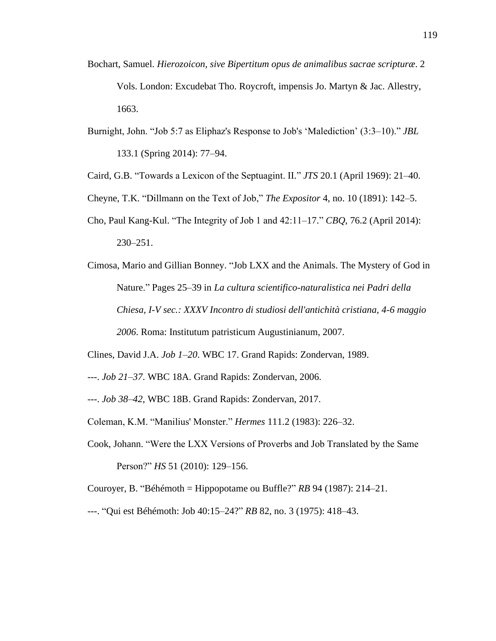- Bochart, Samuel. *Hierozoicon, sive Bipertitum opus de animalibus sacrae scripturæ*. 2 Vols. London: Excudebat Tho. Roycroft, impensis Jo. Martyn & Jac. Allestry, 1663.
- Burnight, John. "Job 5:7 as Eliphaz's Response to Job's 'Malediction' (3:3–10)." *JBL* 133.1 (Spring 2014): 77–94.
- Caird, G.B. "Towards a Lexicon of the Septuagint. II." *JTS* 20.1 (April 1969): 21–40.
- Cheyne, T.K. "Dillmann on the Text of Job," *The Expositor* 4, no. 10 (1891): 142–5.
- Cho, Paul Kang-Kul. "The Integrity of Job 1 and 42:11–17." *CBQ*, 76.2 (April 2014): 230–251.
- Cimosa, Mario and Gillian Bonney. "Job LXX and the Animals. The Mystery of God in Nature." Pages 25–39 in *La cultura scientifico-naturalistica nei Padri della Chiesa, I-V sec.: XXXV Incontro di studiosi dell'antichità cristiana, 4-6 maggio 2006*. Roma: Institutum patristicum Augustinianum, 2007.
- Clines, David J.A. *Job 1–20*. WBC 17. Grand Rapids: Zondervan, 1989.
- ---. *Job 21–37*. WBC 18A. Grand Rapids: Zondervan, 2006.
- ---. *Job 38–42*, WBC 18B. Grand Rapids: Zondervan, 2017.
- Coleman, K.M. "Manilius' Monster." *Hermes* 111.2 (1983): 226–32.
- Cook, Johann. "Were the LXX Versions of Proverbs and Job Translated by the Same Person?" *HS* 51 (2010): 129–156.
- Couroyer, B. "Béhémoth = Hippopotame ou Buffle?" *RB* 94 (1987): 214–21.
- ---. "Qui est Béhémoth: Job 40:15–24?" *RB* 82, no. 3 (1975): 418–43.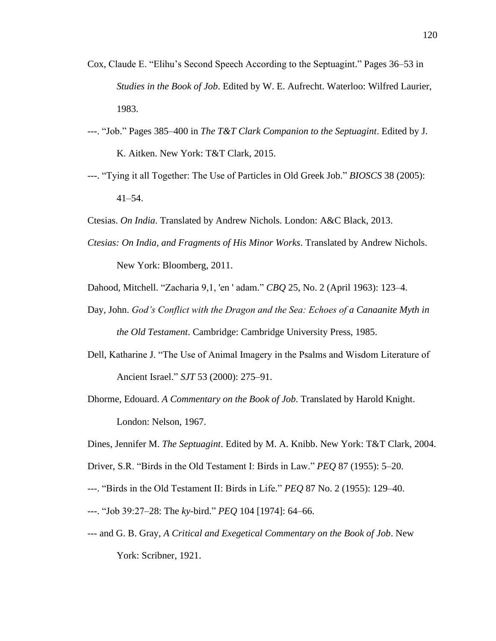- Cox, Claude E. "Elihu's Second Speech According to the Septuagint." Pages 36–53 in *Studies in the Book of Job*. Edited by W. E. Aufrecht. Waterloo: Wilfred Laurier, 1983.
- ---. "Job." Pages 385–400 in *The T&T Clark Companion to the Septuagint*. Edited by J. K. Aitken. New York: T&T Clark, 2015.
- ---. "Tying it all Together: The Use of Particles in Old Greek Job." *BIOSCS* 38 (2005): 41–54.
- Ctesias. *On India*. Translated by Andrew Nichols. London: A&C Black, 2013.
- *Ctesias: On India, and Fragments of His Minor Works*. Translated by Andrew Nichols.

New York: Bloomberg, 2011.

- Dahood, Mitchell. "Zacharia 9,1, 'en ' adam." *CBQ* 25, No. 2 (April 1963): 123–4.
- Day, John. *God's Conflict with the Dragon and the Sea: Echoes of a Canaanite Myth in the Old Testament*. Cambridge: Cambridge University Press, 1985.
- Dell, Katharine J. "The Use of Animal Imagery in the Psalms and Wisdom Literature of Ancient Israel." *SJT* 53 (2000): 275–91.
- Dhorme, Edouard. *A Commentary on the Book of Job*. Translated by Harold Knight. London: Nelson, 1967.
- Dines, Jennifer M. *The Septuagint*. Edited by M. A. Knibb. New York: T&T Clark, 2004.
- Driver, S.R. "Birds in the Old Testament I: Birds in Law." *PEQ* 87 (1955): 5–20.
- ---. "Birds in the Old Testament II: Birds in Life." *PEQ* 87 No. 2 (1955): 129–40.
- ---. "Job 39:27–28: The *ky*-bird." *PEQ* 104 [1974]: 64–66.
- --- and G. B. Gray, *A Critical and Exegetical Commentary on the Book of Job*. New York: Scribner, 1921.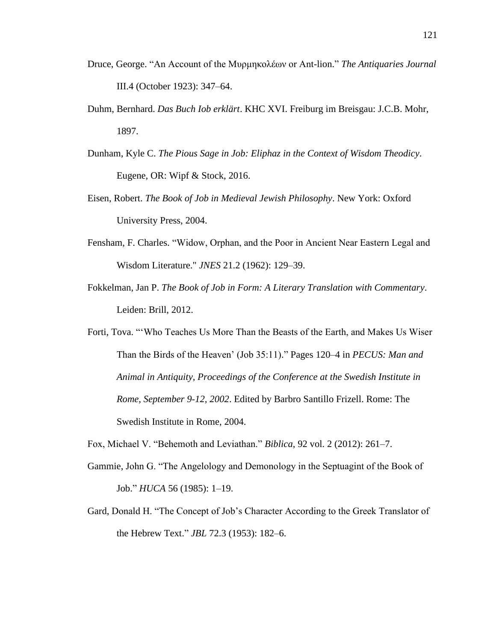- Druce, George. "An Account of the Μυρμηκολέων or Ant-lion." *The Antiquaries Journal* III.4 (October 1923): 347–64.
- Duhm, Bernhard. *Das Buch Iob erklärt*. KHC XVI. Freiburg im Breisgau: J.C.B. Mohr, 1897.
- Dunham, Kyle C. *The Pious Sage in Job: Eliphaz in the Context of Wisdom Theodicy*. Eugene, OR: Wipf & Stock, 2016.
- Eisen, Robert. *The Book of Job in Medieval Jewish Philosophy*. New York: Oxford University Press, 2004.
- Fensham, F. Charles. "Widow, Orphan, and the Poor in Ancient Near Eastern Legal and Wisdom Literature." *JNES* 21.2 (1962): 129–39.
- Fokkelman, Jan P. *The Book of Job in Form: A Literary Translation with Commentary*. Leiden: Brill, 2012.
- Forti, Tova. "'Who Teaches Us More Than the Beasts of the Earth, and Makes Us Wiser Than the Birds of the Heaven' (Job 35:11)." Pages 120–4 in *PECUS: Man and Animal in Antiquity, Proceedings of the Conference at the Swedish Institute in Rome, September 9-12, 2002*. Edited by Barbro Santillo Frizell. Rome: The Swedish Institute in Rome, 2004.
- Fox, Michael V. "Behemoth and Leviathan." *Biblica*, 92 vol. 2 (2012): 261–7.
- Gammie, John G. "The Angelology and Demonology in the Septuagint of the Book of Job." *HUCA* 56 (1985): 1–19.
- Gard, Donald H. "The Concept of Job's Character According to the Greek Translator of the Hebrew Text." *JBL* 72.3 (1953): 182–6.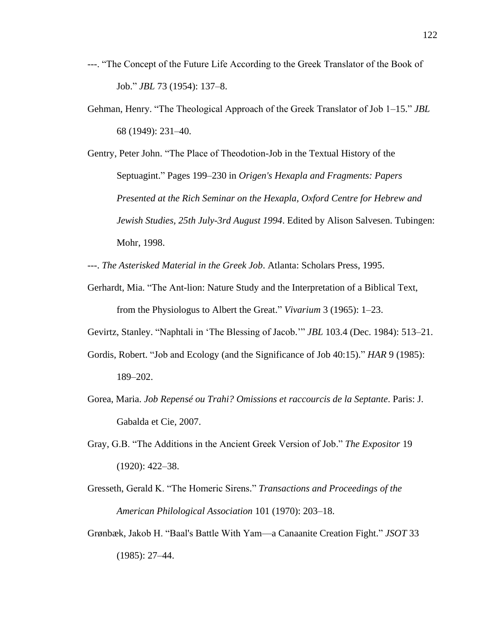- ---. "The Concept of the Future Life According to the Greek Translator of the Book of Job." *JBL* 73 (1954): 137–8.
- Gehman, Henry. "The Theological Approach of the Greek Translator of Job 1–15." *JBL* 68 (1949): 231–40.
- Gentry, Peter John. "The Place of Theodotion-Job in the Textual History of the Septuagint." Pages 199–230 in *Origen's Hexapla and Fragments: Papers Presented at the Rich Seminar on the Hexapla, Oxford Centre for Hebrew and Jewish Studies, 25th July-3rd August 1994*. Edited by Alison Salvesen. Tubingen: Mohr, 1998.
- ---. *The Asterisked Material in the Greek Job*. Atlanta: Scholars Press, 1995.
- Gerhardt, Mia. "The Ant-lion: Nature Study and the Interpretation of a Biblical Text, from the Physiologus to Albert the Great." *Vivarium* 3 (1965): 1–23.

Gevirtz, Stanley. "Naphtali in 'The Blessing of Jacob.'" *JBL* 103.4 (Dec. 1984): 513–21.

- Gordis, Robert. "Job and Ecology (and the Significance of Job 40:15)." *HAR* 9 (1985): 189–202.
- Gorea, Maria. *Job Repensé ou Trahi? Omissions et raccourcis de la Septante*. Paris: J. Gabalda et Cie, 2007.
- Gray, G.B. "The Additions in the Ancient Greek Version of Job." *The Expositor* 19 (1920): 422–38.
- Gresseth, Gerald K. "The Homeric Sirens." *Transactions and Proceedings of the American Philological Association* 101 (1970): 203–18.
- Grønbæk, Jakob H. "Baal's Battle With Yam—a Canaanite Creation Fight." *JSOT* 33 (1985): 27–44.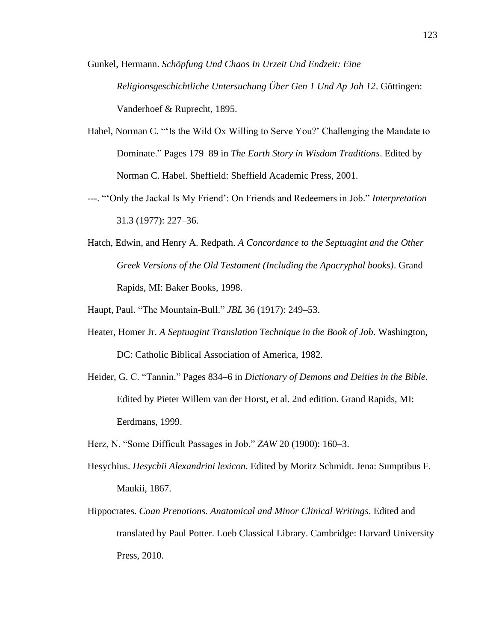- Gunkel, Hermann. *Schöpfung Und Chaos In Urzeit Und Endzeit: Eine Religionsgeschichtliche Untersuchung Über Gen 1 Und Ap Joh 12*. Göttingen: Vanderhoef & Ruprecht, 1895.
- Habel, Norman C. "'Is the Wild Ox Willing to Serve You?' Challenging the Mandate to Dominate." Pages 179–89 in *The Earth Story in Wisdom Traditions*. Edited by Norman C. Habel. Sheffield: Sheffield Academic Press, 2001.
- ---. "'Only the Jackal Is My Friend': On Friends and Redeemers in Job." *Interpretation* 31.3 (1977): 227–36.
- Hatch, Edwin, and Henry A. Redpath. *A Concordance to the Septuagint and the Other Greek Versions of the Old Testament (Including the Apocryphal books)*. Grand Rapids, MI: Baker Books, 1998.
- Haupt, Paul. "The Mountain-Bull." *JBL* 36 (1917): 249–53.
- Heater, Homer Jr. *A Septuagint Translation Technique in the Book of Job*. Washington, DC: Catholic Biblical Association of America, 1982.
- Heider, G. C. "Tannin." Pages 834–6 in *Dictionary of Demons and Deities in the Bible*. Edited by Pieter Willem van der Horst, et al. 2nd edition. Grand Rapids, MI: Eerdmans, 1999.
- Herz, N. "Some Difficult Passages in Job." *ZAW* 20 (1900): 160–3.
- Hesychius. *Hesychii Alexandrini lexicon*. Edited by Moritz Schmidt. Jena: Sumptibus F. Maukii, 1867.
- Hippocrates. *Coan Prenotions. Anatomical and Minor Clinical Writings*. Edited and translated by Paul Potter. Loeb Classical Library. Cambridge: Harvard University Press, 2010.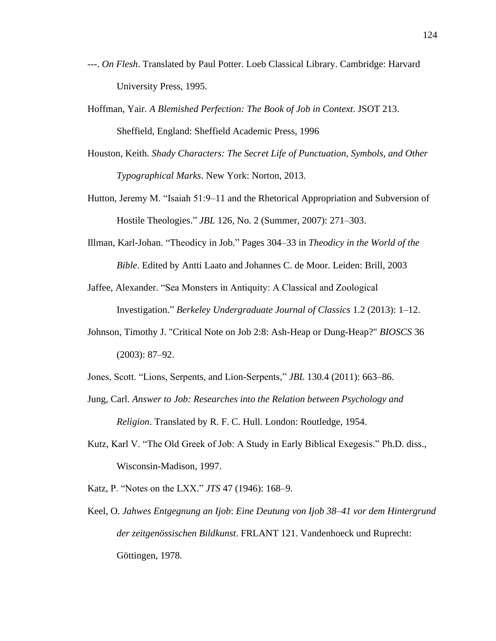- ---. *On Flesh*. Translated by Paul Potter. Loeb Classical Library. Cambridge: Harvard University Press, 1995.
- Hoffman, Yair. *A Blemished Perfection: The Book of Job in Context*. JSOT 213. Sheffield, England: Sheffield Academic Press, 1996
- Houston, Keith. *Shady Characters: The Secret Life of Punctuation, Symbols, and Other Typographical Marks*. New York: Norton, 2013.
- Hutton, Jeremy M. "Isaiah 51:9–11 and the Rhetorical Appropriation and Subversion of Hostile Theologies." *JBL* 126, No. 2 (Summer, 2007): 271–303.
- Illman, Karl-Johan. "Theodicy in Job." Pages 304–33 in *Theodicy in the World of the Bible*. Edited by Antti Laato and Johannes C. de Moor. Leiden: Brill, 2003
- Jaffee, Alexander. "Sea Monsters in Antiquity: A Classical and Zoological Investigation." *Berkeley Undergraduate Journal of Classics* 1.2 (2013): 1–12.
- Johnson, Timothy J. "Critical Note on Job 2:8: Ash-Heap or Dung-Heap?" *BIOSCS* 36 (2003): 87–92.
- Jones, Scott. "Lions, Serpents, and Lion-Serpents," *JBL* 130.4 (2011): 663–86.
- Jung, Carl. *Answer to Job: Researches into the Relation between Psychology and Religion*. Translated by R. F. C. Hull. London: Routledge, 1954.
- Kutz, Karl V. "The Old Greek of Job: A Study in Early Biblical Exegesis." Ph.D. diss., Wisconsin-Madison, 1997.
- Katz, P. "Notes on the LXX." *JTS* 47 (1946): 168–9.
- Keel, O. *Jahwes Entgegnung an Ijob*: *Eine Deutung von Ijob 38–41 vor dem Hintergrund der zeitgenössischen Bildkunst*. FRLANT 121. Vandenhoeck und Ruprecht: Göttingen, 1978.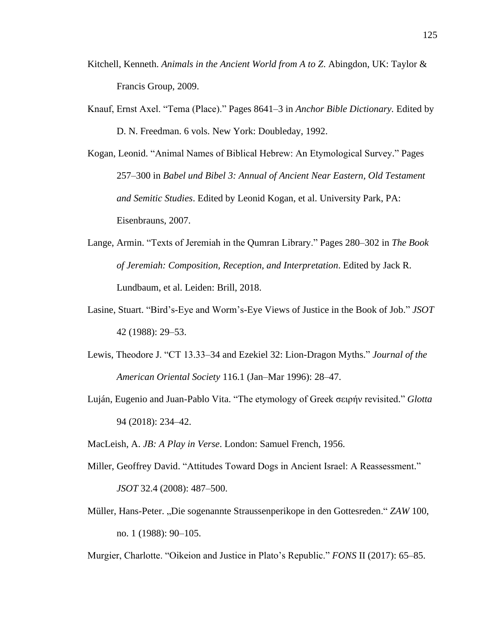- Kitchell, Kenneth. *Animals in the Ancient World from A to Z*. Abingdon, UK: Taylor & Francis Group, 2009.
- Knauf, Ernst Axel. "Tema (Place)." Pages 8641–3 in *Anchor Bible Dictionary.* Edited by D. N. Freedman. 6 vols. New York: Doubleday, 1992.
- Kogan, Leonid. "Animal Names of Biblical Hebrew: An Etymological Survey." Pages 257–300 in *Babel und Bibel 3: Annual of Ancient Near Eastern, Old Testament and Semitic Studies*. Edited by Leonid Kogan, et al. University Park, PA: Eisenbrauns, 2007.
- Lange, Armin. "Texts of Jeremiah in the Qumran Library." Pages 280–302 in *The Book of Jeremiah: Composition, Reception, and Interpretation*. Edited by Jack R. Lundbaum, et al. Leiden: Brill, 2018.
- Lasine, Stuart. "Bird's-Eye and Worm's-Eye Views of Justice in the Book of Job." *JSOT* 42 (1988): 29–53.
- Lewis, Theodore J. "CT 13.33–34 and Ezekiel 32: Lion-Dragon Myths." *Journal of the American Oriental Society* 116.1 (Jan–Mar 1996): 28–47.
- Luján, Eugenio and Juan-Pablo Vita. "The etymology of Greek σειρήν revisited." *Glotta* 94 (2018): 234–42.
- MacLeish, A. *JB: A Play in Verse*. London: Samuel French, 1956.
- Miller, Geoffrey David. "Attitudes Toward Dogs in Ancient Israel: A Reassessment." *JSOT* 32.4 (2008): 487–500.
- Müller, Hans-Peter. "Die sogenannte Straussenperikope in den Gottesreden." *ZAW* 100, no. 1 (1988): 90–105.

Murgier, Charlotte. "Oikeion and Justice in Plato's Republic." *FONS* II (2017): 65–85.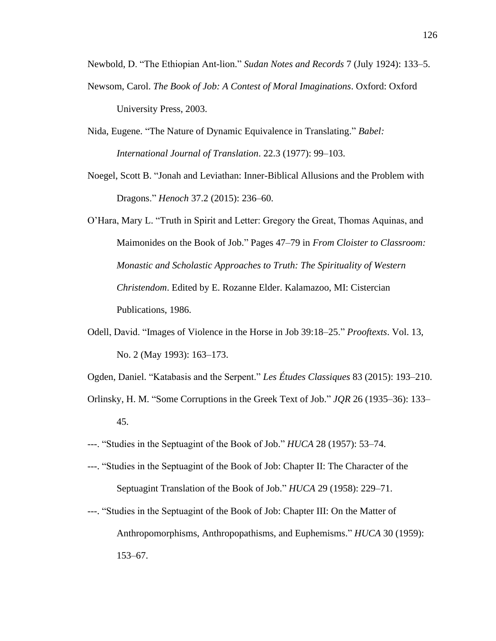Newbold, D. "The Ethiopian Ant-lion." *Sudan Notes and Records* 7 (July 1924): 133–5.

- Newsom, Carol. *The Book of Job: A Contest of Moral Imaginations*. Oxford: Oxford University Press, 2003.
- Nida, Eugene. "The Nature of Dynamic Equivalence in Translating." *Babel: International Journal of Translation*. 22.3 (1977): 99–103.
- Noegel, Scott B. "Jonah and Leviathan: Inner-Biblical Allusions and the Problem with Dragons." *Henoch* 37.2 (2015): 236–60.
- O'Hara, Mary L. "Truth in Spirit and Letter: Gregory the Great, Thomas Aquinas, and Maimonides on the Book of Job." Pages 47–79 in *From Cloister to Classroom: Monastic and Scholastic Approaches to Truth: The Spirituality of Western Christendom*. Edited by E. Rozanne Elder. Kalamazoo, MI: Cistercian Publications, 1986.
- Odell, David. "Images of Violence in the Horse in Job 39:18–25." *Prooftexts*. Vol. 13, No. 2 (May 1993): 163–173.
- Ogden, Daniel. "Katabasis and the Serpent." *Les Études Classiques* 83 (2015): 193–210.
- Orlinsky, H. M. "Some Corruptions in the Greek Text of Job." *JQR* 26 (1935–36): 133– 45.
- ---. "Studies in the Septuagint of the Book of Job." *HUCA* 28 (1957): 53–74.
- ---. "Studies in the Septuagint of the Book of Job: Chapter II: The Character of the Septuagint Translation of the Book of Job." *HUCA* 29 (1958): 229–71.
- ---. "Studies in the Septuagint of the Book of Job: Chapter III: On the Matter of Anthropomorphisms, Anthropopathisms, and Euphemisms." *HUCA* 30 (1959): 153–67.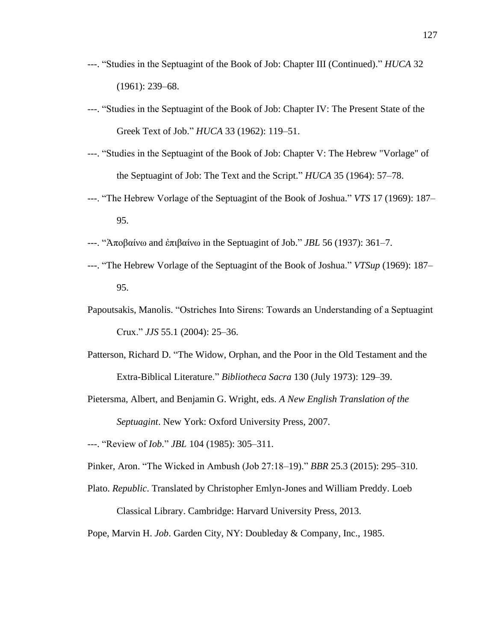- ---. "Studies in the Septuagint of the Book of Job: Chapter III (Continued)." *HUCA* 32 (1961): 239–68.
- ---. "Studies in the Septuagint of the Book of Job: Chapter IV: The Present State of the Greek Text of Job." *HUCA* 33 (1962): 119–51.
- ---. "Studies in the Septuagint of the Book of Job: Chapter V: The Hebrew "Vorlage" of the Septuagint of Job: The Text and the Script." *HUCA* 35 (1964): 57–78.
- ---. "The Hebrew Vorlage of the Septuagint of the Book of Joshua." *VTS* 17 (1969): 187– 95.
- ---. "Ἀποβαίνω and ἐπιβαίνω in the Septuagint of Job." *JBL* 56 (1937): 361–7.
- ---. "The Hebrew Vorlage of the Septuagint of the Book of Joshua." *VTSup* (1969): 187– 95.
- Papoutsakis, Manolis. "Ostriches Into Sirens: Towards an Understanding of a Septuagint Crux." *JJS* 55.1 (2004): 25–36.
- Patterson, Richard D. "The Widow, Orphan, and the Poor in the Old Testament and the Extra-Biblical Literature." *Bibliotheca Sacra* 130 (July 1973): 129–39.
- Pietersma, Albert, and Benjamin G. Wright, eds. *A New English Translation of the Septuagint*. New York: Oxford University Press, 2007.

---. "Review of *Iob*." *JBL* 104 (1985): 305–311.

- Pinker, Aron. "The Wicked in Ambush (Job 27:18–19)." *BBR* 25.3 (2015): 295–310.
- Plato. *Republic*. Translated by Christopher Emlyn-Jones and William Preddy. Loeb Classical Library. Cambridge: Harvard University Press, 2013.

Pope, Marvin H. *Job*. Garden City, NY: Doubleday & Company, Inc., 1985.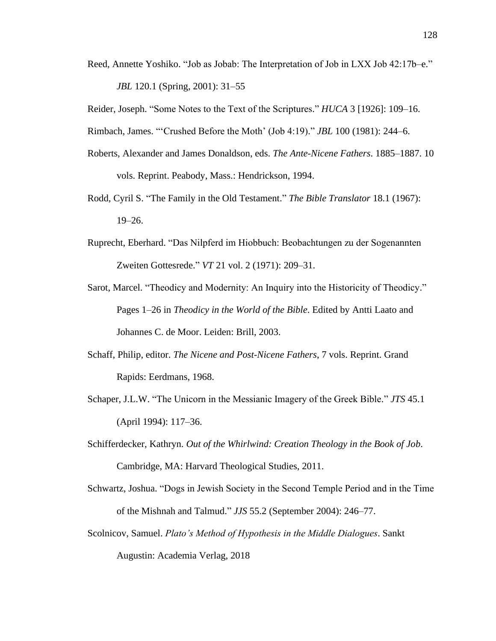Reed, Annette Yoshiko. "Job as Jobab: The Interpretation of Job in LXX Job 42:17b–e." *JBL* 120.1 (Spring, 2001): 31–55

Reider, Joseph. "Some Notes to the Text of the Scriptures." *HUCA* 3 [1926]: 109–16.

Rimbach, James. "'Crushed Before the Moth' (Job 4:19)." *JBL* 100 (1981): 244–6.

- Roberts, Alexander and James Donaldson, eds. *The Ante-Nicene Fathers*. 1885–1887. 10 vols. Reprint. Peabody, Mass.: Hendrickson, 1994.
- Rodd, Cyril S. "The Family in the Old Testament." *The Bible Translator* 18.1 (1967): 19–26.
- Ruprecht, Eberhard. "Das Nilpferd im Hiobbuch: Beobachtungen zu der Sogenannten Zweiten Gottesrede." *VT* 21 vol. 2 (1971): 209–31.
- Sarot, Marcel. "Theodicy and Modernity: An Inquiry into the Historicity of Theodicy." Pages 1–26 in *Theodicy in the World of the Bible*. Edited by Antti Laato and Johannes C. de Moor. Leiden: Brill, 2003.
- Schaff, Philip, editor. *The Nicene and Post-Nicene Fathers*, 7 vols. Reprint. Grand Rapids: Eerdmans, 1968.
- Schaper, J.L.W. "The Unicorn in the Messianic Imagery of the Greek Bible." *JTS* 45.1 (April 1994): 117–36.
- Schifferdecker, Kathryn. *Out of the Whirlwind: Creation Theology in the Book of Job*. Cambridge, MA: Harvard Theological Studies, 2011.
- Schwartz, Joshua. "Dogs in Jewish Society in the Second Temple Period and in the Time of the Mishnah and Talmud." *JJS* 55.2 (September 2004): 246–77.
- Scolnicov, Samuel. *Plato's Method of Hypothesis in the Middle Dialogues*. Sankt Augustin: Academia Verlag, 2018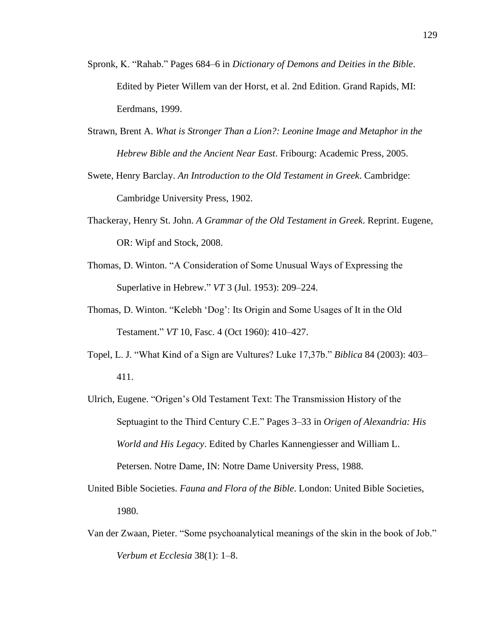- Spronk, K. "Rahab." Pages 684–6 in *Dictionary of Demons and Deities in the Bible*. Edited by Pieter Willem van der Horst, et al. 2nd Edition. Grand Rapids, MI: Eerdmans, 1999.
- Strawn, Brent A. *What is Stronger Than a Lion?: Leonine Image and Metaphor in the Hebrew Bible and the Ancient Near East*. Fribourg: Academic Press, 2005.
- Swete, Henry Barclay. *An Introduction to the Old Testament in Greek*. Cambridge: Cambridge University Press, 1902.
- Thackeray, Henry St. John. *A Grammar of the Old Testament in Greek*. Reprint. Eugene, OR: Wipf and Stock, 2008.
- Thomas, D. Winton. "A Consideration of Some Unusual Ways of Expressing the Superlative in Hebrew." *VT* 3 (Jul. 1953): 209–224.
- Thomas, D. Winton. "Kelebh 'Dog': Its Origin and Some Usages of It in the Old Testament." *VT* 10, Fasc. 4 (Oct 1960): 410–427.
- Topel, L. J. "What Kind of a Sign are Vultures? Luke 17,37b." *Biblica* 84 (2003): 403– 411.
- Ulrich, Eugene. "Origen's Old Testament Text: The Transmission History of the Septuagint to the Third Century C.E." Pages 3–33 in *Origen of Alexandria: His World and His Legacy*. Edited by Charles Kannengiesser and William L. Petersen. Notre Dame, IN: Notre Dame University Press, 1988.
- United Bible Societies. *Fauna and Flora of the Bible*. London: United Bible Societies, 1980.
- Van der Zwaan, Pieter. "Some psychoanalytical meanings of the skin in the book of Job." *Verbum et Ecclesia* 38(1): 1–8.